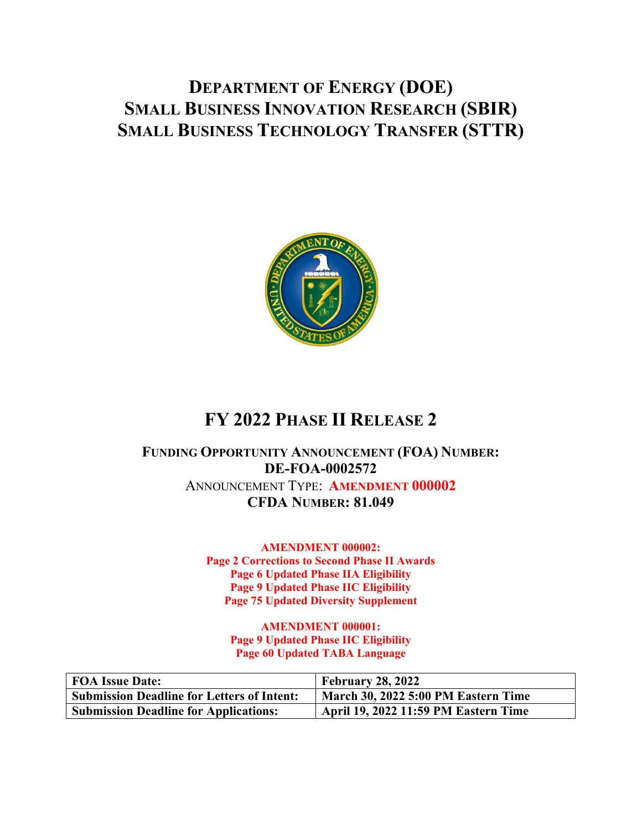# **DEPARTMENT OF ENERGY (DOE) SMALL BUSINESS INNOVATION RESEARCH (SBIR) SMALL BUSINESS TECHNOLOGY TRANSFER (STTR)**



# **FY 2022 PHASE II RELEASE 2**

# **FUNDING OPPORTUNITY ANNOUNCEMENT (FOA) NUMBER: DE-FOA-0002572**  ANNOUNCEMENT TYPE: **AMENDMENT 000002 CFDA NUMBER: 81.049**

**AMENDMENT 000002: Page 2 Corrections to Second Phase II Awards Page 6 Updated Phase IIA Eligibility Page 9 Updated Phase IIC Eligibility Page 75 Updated Diversity Supplement** 

> **AMENDMENT 000001: Page 9 Updated Phase IIC Eligibility Page 60 Updated TABA Language**

| FOA Issue Date:                                   | <b>February 28, 2022</b>                    |
|---------------------------------------------------|---------------------------------------------|
| <b>Submission Deadline for Letters of Intent:</b> | March 30, 2022 5:00 PM Eastern Time         |
| <b>Submission Deadline for Applications:</b>      | <b>April 19, 2022 11:59 PM Eastern Time</b> |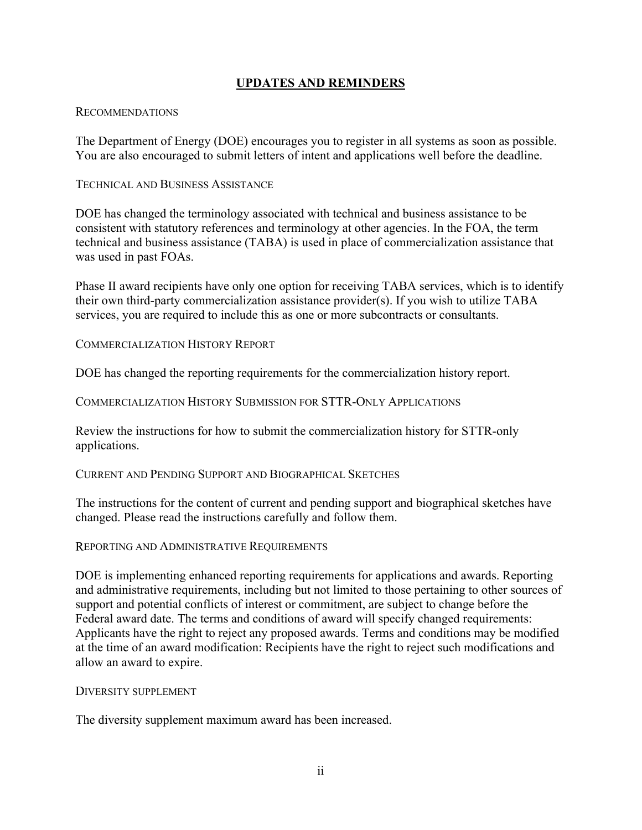### **UPDATES AND REMINDERS**

### RECOMMENDATIONS

The Department of Energy (DOE) encourages you to register in all systems as soon as possible. You are also encouraged to submit letters of intent and applications well before the deadline.

### TECHNICAL AND BUSINESS ASSISTANCE

DOE has changed the terminology associated with technical and business assistance to be consistent with statutory references and terminology at other agencies. In the FOA, the term technical and business assistance (TABA) is used in place of commercialization assistance that was used in past FOAs.

Phase II award recipients have only one option for receiving TABA services, which is to identify their own third-party commercialization assistance provider(s). If you wish to utilize TABA services, you are required to include this as one or more subcontracts or consultants.

COMMERCIALIZATION HISTORY REPORT

DOE has changed the reporting requirements for the commercialization history report.

COMMERCIALIZATION HISTORY SUBMISSION FOR STTR-ONLY APPLICATIONS

Review the instructions for how to submit the commercialization history for STTR-only applications.

CURRENT AND PENDING SUPPORT AND BIOGRAPHICAL SKETCHES

The instructions for the content of current and pending support and biographical sketches have changed. Please read the instructions carefully and follow them.

REPORTING AND ADMINISTRATIVE REQUIREMENTS

DOE is implementing enhanced reporting requirements for applications and awards. Reporting and administrative requirements, including but not limited to those pertaining to other sources of support and potential conflicts of interest or commitment, are subject to change before the Federal award date. The terms and conditions of award will specify changed requirements: Applicants have the right to reject any proposed awards. Terms and conditions may be modified at the time of an award modification: Recipients have the right to reject such modifications and allow an award to expire.

### DIVERSITY SUPPLEMENT

The diversity supplement maximum award has been increased.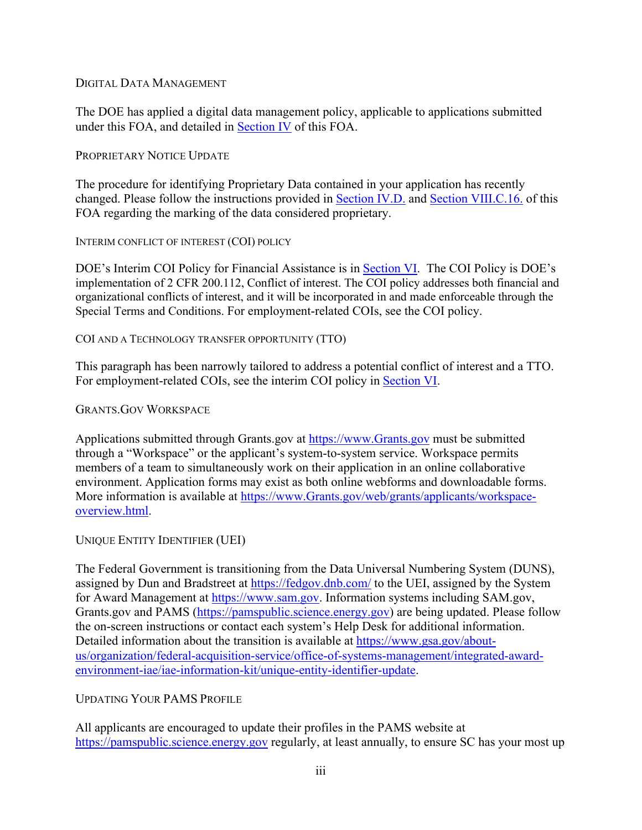### DIGITAL DATA MANAGEMENT

The DOE has applied a digital data management policy, applicable to applications submitted under this FOA, and detailed in Section IV of this FOA.

### PROPRIETARY NOTICE UPDATE

The procedure for identifying Proprietary Data contained in your application has recently changed. Please follow the instructions provided in Section IV.D. and Section VIII.C.16. of this FOA regarding the marking of the data considered proprietary.

INTERIM CONFLICT OF INTEREST (COI) POLICY

DOE's Interim COI Policy for Financial Assistance is in Section VI. The COI Policy is DOE's implementation of 2 CFR 200.112, Conflict of interest. The COI policy addresses both financial and organizational conflicts of interest, and it will be incorporated in and made enforceable through the Special Terms and Conditions. For employment-related COIs, see the COI policy.

COI AND A TECHNOLOGY TRANSFER OPPORTUNITY (TTO)

This paragraph has been narrowly tailored to address a potential conflict of interest and a TTO. For employment-related COIs, see the interim COI policy in Section VI.

### GRANTS.GOV WORKSPACE

Applications submitted through Grants.gov at https://www.Grants.gov must be submitted through a "Workspace" or the applicant's system-to-system service. Workspace permits members of a team to simultaneously work on their application in an online collaborative environment. Application forms may exist as both online webforms and downloadable forms. More information is available at https://www.Grants.gov/web/grants/applicants/workspaceoverview.html.

### UNIQUE ENTITY IDENTIFIER (UEI)

The Federal Government is transitioning from the Data Universal Numbering System (DUNS), assigned by Dun and Bradstreet at https://fedgov.dnb.com/ to the UEI, assigned by the System for Award Management at https://www.sam.gov. Information systems including SAM.gov, Grants.gov and PAMS (https://pamspublic.science.energy.gov) are being updated. Please follow the on-screen instructions or contact each system's Help Desk for additional information. Detailed information about the transition is available at https://www.gsa.gov/aboutus/organization/federal-acquisition-service/office-of-systems-management/integrated-awardenvironment-iae/iae-information-kit/unique-entity-identifier-update.

### UPDATING YOUR PAMS PROFILE

All applicants are encouraged to update their profiles in the PAMS website at https://pamspublic.science.energy.gov regularly, at least annually, to ensure SC has your most up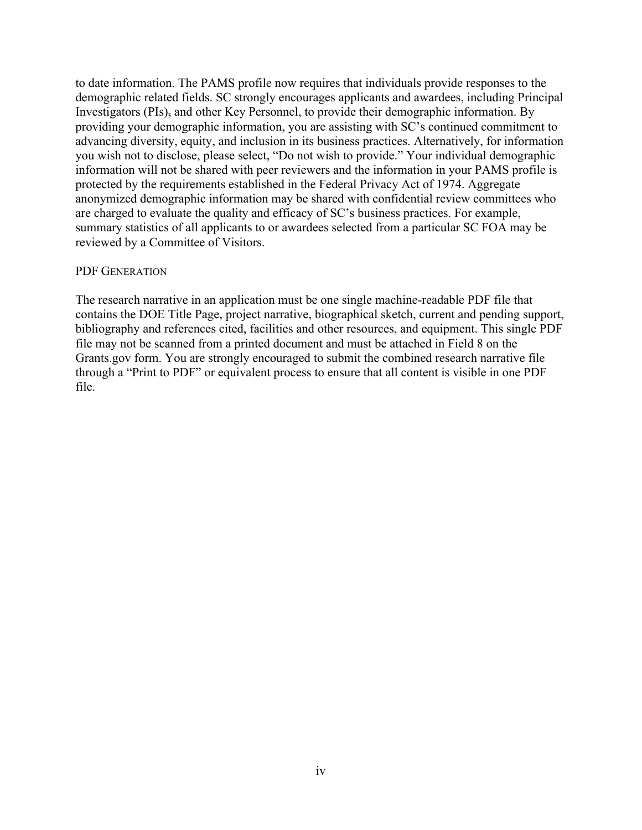to date information. The PAMS profile now requires that individuals provide responses to the demographic related fields. SC strongly encourages applicants and awardees, including Principal Investigators (PIs), and other Key Personnel, to provide their demographic information. By providing your demographic information, you are assisting with SC's continued commitment to advancing diversity, equity, and inclusion in its business practices. Alternatively, for information you wish not to disclose, please select, "Do not wish to provide." Your individual demographic information will not be shared with peer reviewers and the information in your PAMS profile is protected by the requirements established in the Federal Privacy Act of 1974. Aggregate anonymized demographic information may be shared with confidential review committees who are charged to evaluate the quality and efficacy of SC's business practices. For example, summary statistics of all applicants to or awardees selected from a particular SC FOA may be reviewed by a Committee of Visitors.

#### PDF GENERATION

The research narrative in an application must be one single machine-readable PDF file that contains the DOE Title Page, project narrative, biographical sketch, current and pending support, bibliography and references cited, facilities and other resources, and equipment. This single PDF file may not be scanned from a printed document and must be attached in Field 8 on the Grants.gov form. You are strongly encouraged to submit the combined research narrative file through a "Print to PDF" or equivalent process to ensure that all content is visible in one PDF file.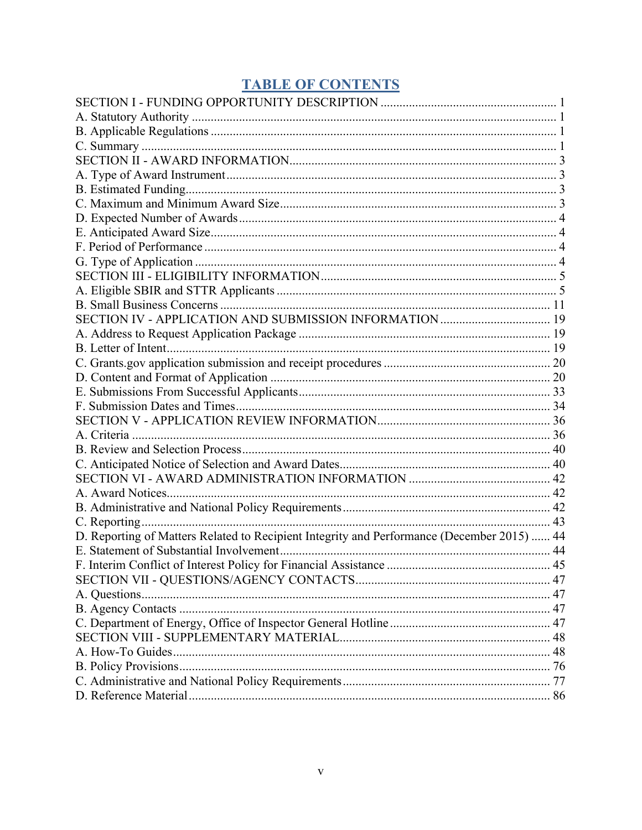# **TABLE OF CONTENTS**

| SECTION IV - APPLICATION AND SUBMISSION INFORMATION  19                                    |  |
|--------------------------------------------------------------------------------------------|--|
|                                                                                            |  |
|                                                                                            |  |
|                                                                                            |  |
|                                                                                            |  |
|                                                                                            |  |
|                                                                                            |  |
|                                                                                            |  |
|                                                                                            |  |
|                                                                                            |  |
|                                                                                            |  |
|                                                                                            |  |
|                                                                                            |  |
|                                                                                            |  |
|                                                                                            |  |
| D. Reporting of Matters Related to Recipient Integrity and Performance (December 2015)  44 |  |
|                                                                                            |  |
|                                                                                            |  |
|                                                                                            |  |
|                                                                                            |  |
|                                                                                            |  |
|                                                                                            |  |
|                                                                                            |  |
|                                                                                            |  |
|                                                                                            |  |
|                                                                                            |  |
|                                                                                            |  |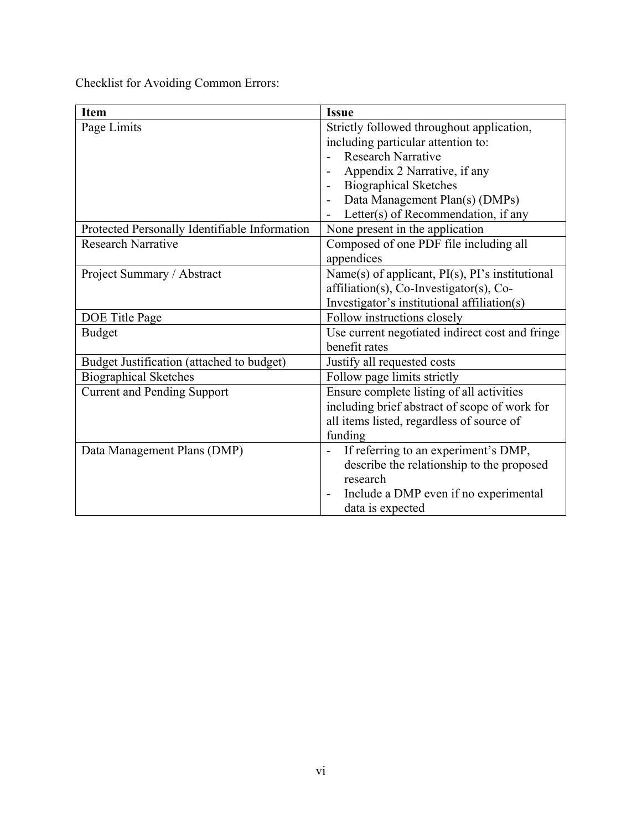Checklist for Avoiding Common Errors:

| <b>Item</b>                                   | <b>Issue</b>                                                      |
|-----------------------------------------------|-------------------------------------------------------------------|
| Page Limits                                   | Strictly followed throughout application,                         |
|                                               | including particular attention to:                                |
|                                               | <b>Research Narrative</b>                                         |
|                                               | Appendix 2 Narrative, if any                                      |
|                                               | <b>Biographical Sketches</b>                                      |
|                                               | Data Management Plan(s) (DMPs)                                    |
|                                               | Letter(s) of Recommendation, if any                               |
| Protected Personally Identifiable Information | None present in the application                                   |
| <b>Research Narrative</b>                     | Composed of one PDF file including all                            |
|                                               | appendices                                                        |
| Project Summary / Abstract                    | Name(s) of applicant, $PI(s)$ , $PI's$ institutional              |
|                                               | affiliation(s), Co-Investigator(s), Co-                           |
|                                               | Investigator's institutional affiliation(s)                       |
| DOE Title Page                                | Follow instructions closely                                       |
| <b>Budget</b>                                 | Use current negotiated indirect cost and fringe                   |
|                                               | benefit rates                                                     |
| Budget Justification (attached to budget)     | Justify all requested costs                                       |
| <b>Biographical Sketches</b>                  | Follow page limits strictly                                       |
| <b>Current and Pending Support</b>            | Ensure complete listing of all activities                         |
|                                               | including brief abstract of scope of work for                     |
|                                               | all items listed, regardless of source of                         |
|                                               | funding                                                           |
| Data Management Plans (DMP)                   | If referring to an experiment's DMP,<br>$\overline{\phantom{0}}$  |
|                                               | describe the relationship to the proposed                         |
|                                               | research                                                          |
|                                               | Include a DMP even if no experimental<br>$\overline{\phantom{0}}$ |
|                                               | data is expected                                                  |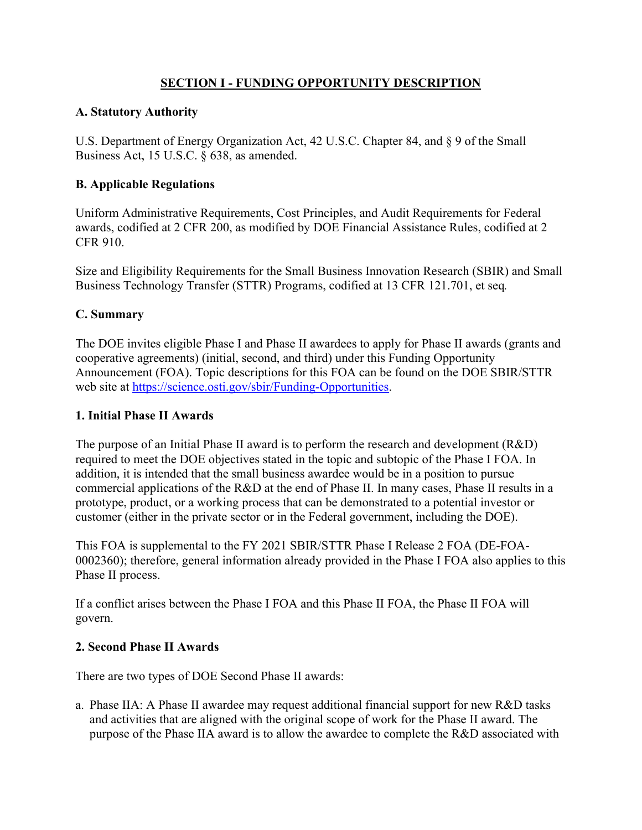# **SECTION I - FUNDING OPPORTUNITY DESCRIPTION**

### **A. Statutory Authority**

U.S. Department of Energy Organization Act, 42 U.S.C. Chapter 84, and § 9 of the Small Business Act, 15 U.S.C. § 638, as amended.

# **B. Applicable Regulations**

Uniform Administrative Requirements, Cost Principles, and Audit Requirements for Federal awards, codified at 2 CFR 200, as modified by DOE Financial Assistance Rules, codified at 2 CFR 910.

Size and Eligibility Requirements for the Small Business Innovation Research (SBIR) and Small Business Technology Transfer (STTR) Programs, codified at 13 CFR 121.701, et seq*.*

# **C. Summary**

The DOE invites eligible Phase I and Phase II awardees to apply for Phase II awards (grants and cooperative agreements) (initial, second, and third) under this Funding Opportunity Announcement (FOA). Topic descriptions for this FOA can be found on the DOE SBIR/STTR web site at https://science.osti.gov/sbir/Funding-Opportunities.

### **1. Initial Phase II Awards**

The purpose of an Initial Phase II award is to perform the research and development (R&D) required to meet the DOE objectives stated in the topic and subtopic of the Phase I FOA. In addition, it is intended that the small business awardee would be in a position to pursue commercial applications of the R&D at the end of Phase II. In many cases, Phase II results in a prototype, product, or a working process that can be demonstrated to a potential investor or customer (either in the private sector or in the Federal government, including the DOE).

This FOA is supplemental to the FY 2021 SBIR/STTR Phase I Release 2 FOA (DE-FOA-0002360); therefore, general information already provided in the Phase I FOA also applies to this Phase II process.

If a conflict arises between the Phase I FOA and this Phase II FOA, the Phase II FOA will govern.

### **2. Second Phase II Awards**

There are two types of DOE Second Phase II awards:

a. Phase IIA: A Phase II awardee may request additional financial support for new R&D tasks and activities that are aligned with the original scope of work for the Phase II award. The purpose of the Phase IIA award is to allow the awardee to complete the R&D associated with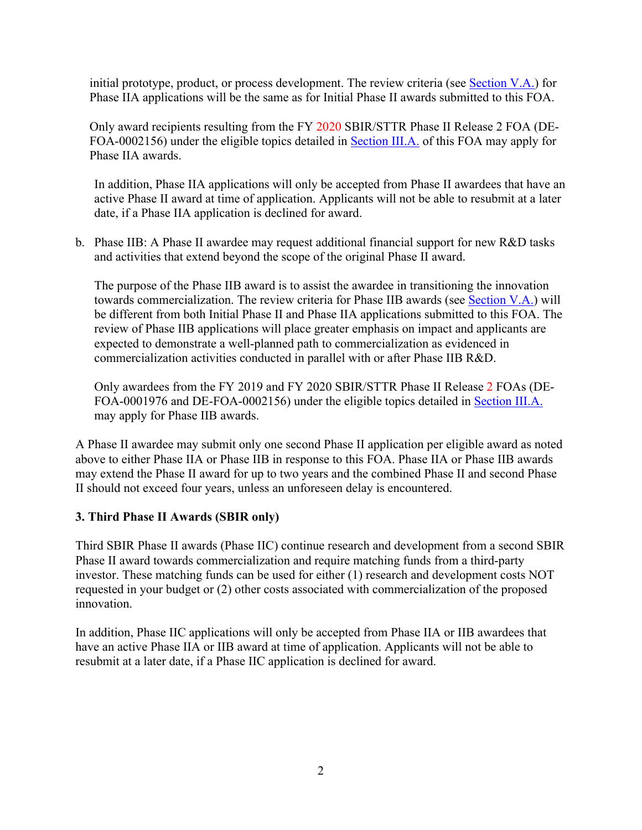initial prototype, product, or process development. The review criteria (see Section V.A.) for Phase IIA applications will be the same as for Initial Phase II awards submitted to this FOA.

Only award recipients resulting from the FY 2020 SBIR/STTR Phase II Release 2 FOA (DE-FOA-0002156) under the eligible topics detailed in Section III.A. of this FOA may apply for Phase IIA awards.

In addition, Phase IIA applications will only be accepted from Phase II awardees that have an active Phase II award at time of application. Applicants will not be able to resubmit at a later date, if a Phase IIA application is declined for award.

b. Phase IIB: A Phase II awardee may request additional financial support for new R&D tasks and activities that extend beyond the scope of the original Phase II award.

The purpose of the Phase IIB award is to assist the awardee in transitioning the innovation towards commercialization. The review criteria for Phase IIB awards (see Section V.A.) will be different from both Initial Phase II and Phase IIA applications submitted to this FOA. The review of Phase IIB applications will place greater emphasis on impact and applicants are expected to demonstrate a well-planned path to commercialization as evidenced in commercialization activities conducted in parallel with or after Phase IIB R&D.

Only awardees from the FY 2019 and FY 2020 SBIR/STTR Phase II Release 2 FOAs (DE-FOA-0001976 and DE-FOA-0002156) under the eligible topics detailed in Section III.A. may apply for Phase IIB awards.

A Phase II awardee may submit only one second Phase II application per eligible award as noted above to either Phase IIA or Phase IIB in response to this FOA. Phase IIA or Phase IIB awards may extend the Phase II award for up to two years and the combined Phase II and second Phase II should not exceed four years, unless an unforeseen delay is encountered.

### **3. Third Phase II Awards (SBIR only)**

Third SBIR Phase II awards (Phase IIC) continue research and development from a second SBIR Phase II award towards commercialization and require matching funds from a third-party investor. These matching funds can be used for either (1) research and development costs NOT requested in your budget or (2) other costs associated with commercialization of the proposed innovation.

In addition, Phase IIC applications will only be accepted from Phase IIA or IIB awardees that have an active Phase IIA or IIB award at time of application. Applicants will not be able to resubmit at a later date, if a Phase IIC application is declined for award.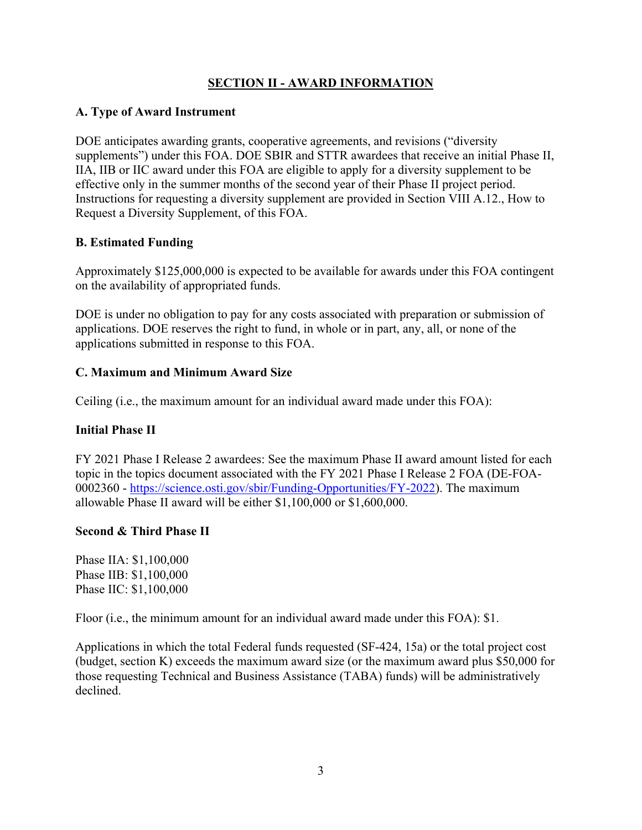# **SECTION II - AWARD INFORMATION**

### **A. Type of Award Instrument**

DOE anticipates awarding grants, cooperative agreements, and revisions ("diversity supplements") under this FOA. DOE SBIR and STTR awardees that receive an initial Phase II, IIA, IIB or IIC award under this FOA are eligible to apply for a diversity supplement to be effective only in the summer months of the second year of their Phase II project period. Instructions for requesting a diversity supplement are provided in Section VIII A.12., How to Request a Diversity Supplement, of this FOA.

# **B. Estimated Funding**

Approximately \$125,000,000 is expected to be available for awards under this FOA contingent on the availability of appropriated funds.

DOE is under no obligation to pay for any costs associated with preparation or submission of applications. DOE reserves the right to fund, in whole or in part, any, all, or none of the applications submitted in response to this FOA.

# **C. Maximum and Minimum Award Size**

Ceiling (i.e., the maximum amount for an individual award made under this FOA):

### **Initial Phase II**

FY 2021 Phase I Release 2 awardees: See the maximum Phase II award amount listed for each topic in the topics document associated with the FY 2021 Phase I Release 2 FOA (DE-FOA-0002360 - https://science.osti.gov/sbir/Funding-Opportunities/FY-2022). The maximum allowable Phase II award will be either \$1,100,000 or \$1,600,000.

### **Second & Third Phase II**

Phase IIA: \$1,100,000 Phase IIB: \$1,100,000 Phase IIC: \$1,100,000

Floor (i.e., the minimum amount for an individual award made under this FOA): \$1.

Applications in which the total Federal funds requested (SF-424, 15a) or the total project cost (budget, section K) exceeds the maximum award size (or the maximum award plus \$50,000 for those requesting Technical and Business Assistance (TABA) funds) will be administratively declined.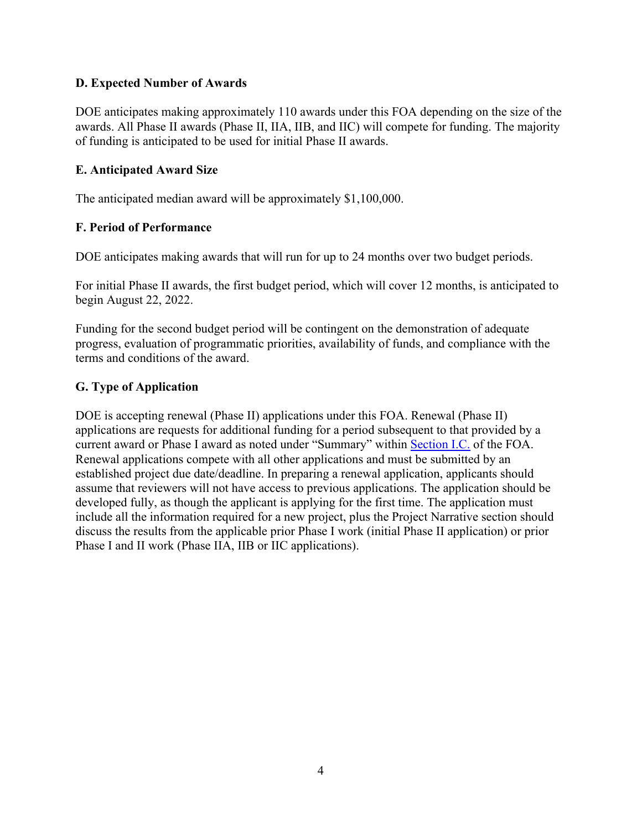### **D. Expected Number of Awards**

DOE anticipates making approximately 110 awards under this FOA depending on the size of the awards. All Phase II awards (Phase II, IIA, IIB, and IIC) will compete for funding. The majority of funding is anticipated to be used for initial Phase II awards.

### **E. Anticipated Award Size**

The anticipated median award will be approximately \$1,100,000.

### **F. Period of Performance**

DOE anticipates making awards that will run for up to 24 months over two budget periods.

For initial Phase II awards, the first budget period, which will cover 12 months, is anticipated to begin August 22, 2022.

Funding for the second budget period will be contingent on the demonstration of adequate progress, evaluation of programmatic priorities, availability of funds, and compliance with the terms and conditions of the award.

### **G. Type of Application**

DOE is accepting renewal (Phase II) applications under this FOA. Renewal (Phase II) applications are requests for additional funding for a period subsequent to that provided by a current award or Phase I award as noted under "Summary" within Section I.C. of the FOA. Renewal applications compete with all other applications and must be submitted by an established project due date/deadline. In preparing a renewal application, applicants should assume that reviewers will not have access to previous applications. The application should be developed fully, as though the applicant is applying for the first time. The application must include all the information required for a new project, plus the Project Narrative section should discuss the results from the applicable prior Phase I work (initial Phase II application) or prior Phase I and II work (Phase IIA, IIB or IIC applications).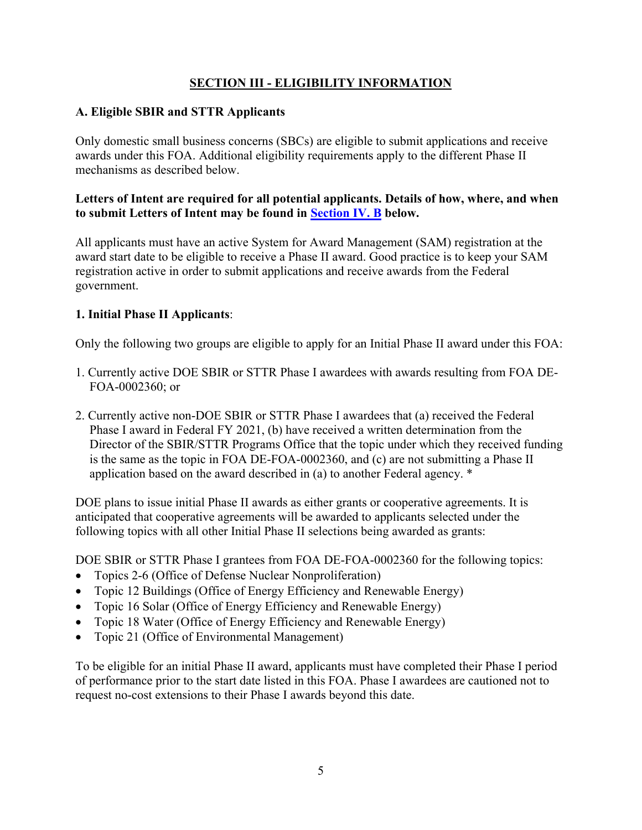# **SECTION III - ELIGIBILITY INFORMATION**

### **A. Eligible SBIR and STTR Applicants**

Only domestic small business concerns (SBCs) are eligible to submit applications and receive awards under this FOA. Additional eligibility requirements apply to the different Phase II mechanisms as described below.

### **Letters of Intent are required for all potential applicants. Details of how, where, and when to submit Letters of Intent may be found in Section IV. B below.**

All applicants must have an active System for Award Management (SAM) registration at the award start date to be eligible to receive a Phase II award. Good practice is to keep your SAM registration active in order to submit applications and receive awards from the Federal government.

### **1. Initial Phase II Applicants**:

Only the following two groups are eligible to apply for an Initial Phase II award under this FOA:

- 1. Currently active DOE SBIR or STTR Phase I awardees with awards resulting from FOA DE-FOA-0002360; or
- 2. Currently active non-DOE SBIR or STTR Phase I awardees that (a) received the Federal Phase I award in Federal FY 2021, (b) have received a written determination from the Director of the SBIR/STTR Programs Office that the topic under which they received funding is the same as the topic in FOA DE-FOA-0002360, and (c) are not submitting a Phase II application based on the award described in (a) to another Federal agency. \*

DOE plans to issue initial Phase II awards as either grants or cooperative agreements. It is anticipated that cooperative agreements will be awarded to applicants selected under the following topics with all other Initial Phase II selections being awarded as grants:

DOE SBIR or STTR Phase I grantees from FOA DE-FOA-0002360 for the following topics:

- Topics 2-6 (Office of Defense Nuclear Nonproliferation)
- Topic 12 Buildings (Office of Energy Efficiency and Renewable Energy)
- Topic 16 Solar (Office of Energy Efficiency and Renewable Energy)
- Topic 18 Water (Office of Energy Efficiency and Renewable Energy)
- Topic 21 (Office of Environmental Management)

To be eligible for an initial Phase II award, applicants must have completed their Phase I period of performance prior to the start date listed in this FOA. Phase I awardees are cautioned not to request no-cost extensions to their Phase I awards beyond this date.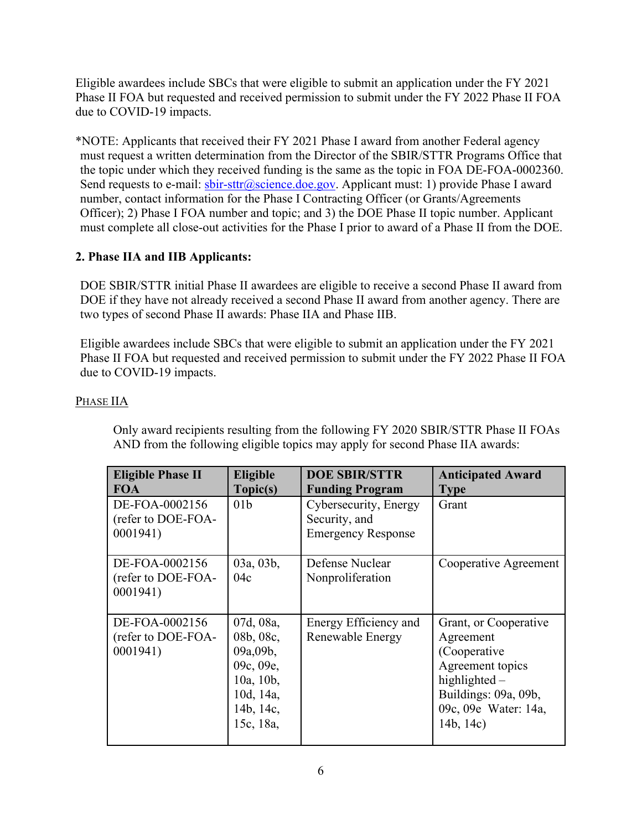Eligible awardees include SBCs that were eligible to submit an application under the FY 2021 Phase II FOA but requested and received permission to submit under the FY 2022 Phase II FOA due to COVID-19 impacts.

\*NOTE: Applicants that received their FY 2021 Phase I award from another Federal agency must request a written determination from the Director of the SBIR/STTR Programs Office that the topic under which they received funding is the same as the topic in FOA DE-FOA-0002360. Send requests to e-mail:  $\frac{\text{b} \text{b} \text{r} - \text{st} \text{tr}(\hat{\omega}) \text{c} \text{c} \text{i} \text{e} \text{e} \text{e} \text{e} \text{g} \text{e} \text{g} \text{e} \text{y}}{2}$ . Applicant must: 1) provide Phase I award number, contact information for the Phase I Contracting Officer (or Grants/Agreements Officer); 2) Phase I FOA number and topic; and 3) the DOE Phase II topic number. Applicant must complete all close-out activities for the Phase I prior to award of a Phase II from the DOE.

# **2. Phase IIA and IIB Applicants:**

DOE SBIR/STTR initial Phase II awardees are eligible to receive a second Phase II award from DOE if they have not already received a second Phase II award from another agency. There are two types of second Phase II awards: Phase IIA and Phase IIB.

Eligible awardees include SBCs that were eligible to submit an application under the FY 2021 Phase II FOA but requested and received permission to submit under the FY 2022 Phase II FOA due to COVID-19 impacts.

### PHASE IIA

Only award recipients resulting from the following FY 2020 SBIR/STTR Phase II FOAs AND from the following eligible topics may apply for second Phase IIA awards:

| <b>Eligible Phase II</b><br><b>FOA</b>           | <b>Eligible</b><br>Topic(s)                                                                         | <b>DOE SBIR/STTR</b><br><b>Funding Program</b>                      | <b>Anticipated Award</b><br><b>Type</b>                                                                                                                 |
|--------------------------------------------------|-----------------------------------------------------------------------------------------------------|---------------------------------------------------------------------|---------------------------------------------------------------------------------------------------------------------------------------------------------|
| DE-FOA-0002156<br>(refer to DOE-FOA-<br>0001941) | 01 <sub>b</sub>                                                                                     | Cybersecurity, Energy<br>Security, and<br><b>Emergency Response</b> | Grant                                                                                                                                                   |
| DE-FOA-0002156<br>(refer to DOE-FOA-<br>0001941) | 03a, 03b,<br>04c                                                                                    | Defense Nuclear<br>Nonproliferation                                 | Cooperative Agreement                                                                                                                                   |
| DE-FOA-0002156<br>(refer to DOE-FOA-<br>0001941) | 07d, 08a,<br>08b, 08c,<br>09a,09b,<br>09c, 09e,<br>10a, 10b,<br>10d, 14a,<br>14b, 14c,<br>15c, 18a, | Energy Efficiency and<br>Renewable Energy                           | Grant, or Cooperative<br>Agreement<br>(Cooperative)<br>Agreement topics<br>highlighted $-$<br>Buildings: 09a, 09b,<br>09c, 09e Water: 14a,<br>14b, 14c) |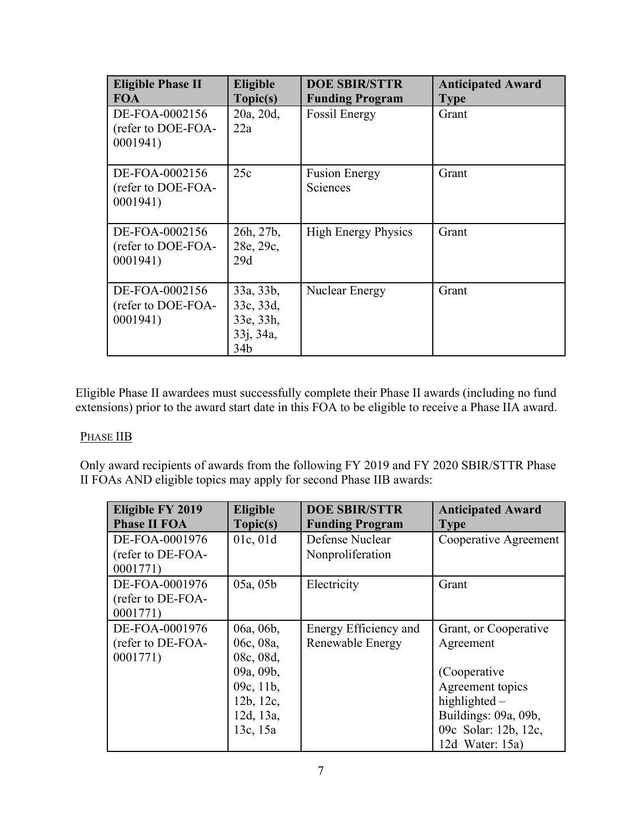| <b>Eligible Phase II</b><br><b>FOA</b>           | Eligible<br>Topic(s)                                    | <b>DOE SBIR/STTR</b><br><b>Funding Program</b> | <b>Anticipated Award</b><br><b>Type</b> |
|--------------------------------------------------|---------------------------------------------------------|------------------------------------------------|-----------------------------------------|
| DE-FOA-0002156<br>(refer to DOE-FOA-<br>0001941) | 20a, 20d,<br>22a                                        | <b>Fossil Energy</b>                           | Grant                                   |
| DE-FOA-0002156<br>(refer to DOE-FOA-<br>0001941) | 25c                                                     | <b>Fusion Energy</b><br>Sciences               | Grant                                   |
| DE-FOA-0002156<br>(refer to DOE-FOA-<br>0001941) | 26h, 27b,<br>28e, 29c,<br>29d                           | <b>High Energy Physics</b>                     | Grant                                   |
| DE-FOA-0002156<br>(refer to DOE-FOA-<br>0001941) | 33a, 33b,<br>33c, 33d,<br>33e, 33h,<br>33j, 34a,<br>34b | Nuclear Energy                                 | Grant                                   |

Eligible Phase II awardees must successfully complete their Phase II awards (including no fund extensions) prior to the award start date in this FOA to be eligible to receive a Phase IIA award.

### PHASE IIB

Only award recipients of awards from the following FY 2019 and FY 2020 SBIR/STTR Phase II FOAs AND eligible topics may apply for second Phase IIB awards:

| <b>Eligible FY 2019</b><br><b>Phase II FOA</b> | <b>Eligible</b><br>Topic(s) | <b>DOE SBIR/STTR</b><br><b>Funding Program</b> | <b>Anticipated Award</b><br><b>Type</b> |
|------------------------------------------------|-----------------------------|------------------------------------------------|-----------------------------------------|
| DE-FOA-0001976                                 | 01c, 01d                    | Defense Nuclear                                | Cooperative Agreement                   |
| (refer to DE-FOA-                              |                             | Nonproliferation                               |                                         |
| 0001771)                                       |                             |                                                |                                         |
| DE-FOA-0001976                                 | 05a, 05b                    | Electricity                                    | Grant                                   |
| (refer to DE-FOA-                              |                             |                                                |                                         |
| 0001771)                                       |                             |                                                |                                         |
| DE-FOA-0001976                                 | 06a, 06b,                   | Energy Efficiency and                          | Grant, or Cooperative                   |
| (refer to DE-FOA-                              | 06c, 08a,                   | Renewable Energy                               | Agreement                               |
| 0001771)                                       | 08c, 08d,                   |                                                |                                         |
|                                                | 09a, 09b,                   |                                                | (Cooperative)                           |
|                                                | 09c, $11b$ ,                |                                                | Agreement topics                        |
|                                                | 12b, 12c,                   |                                                | highlighted $-$                         |
|                                                | 12d, 13a,                   |                                                | Buildings: 09a, 09b,                    |
|                                                | 13c, 15a                    |                                                | 09c Solar: 12b, 12c,                    |
|                                                |                             |                                                | 12d Water: $15a$ )                      |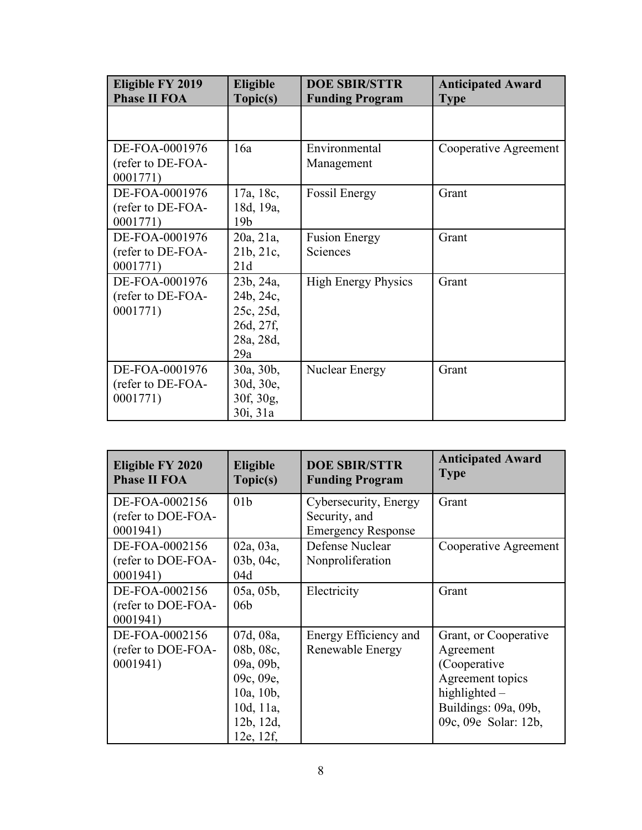| Eligible FY 2019<br><b>Phase II FOA</b>         | Eligible<br>Topic(s)                                                 | <b>DOE SBIR/STTR</b><br><b>Funding Program</b> | <b>Anticipated Award</b><br><b>Type</b> |  |
|-------------------------------------------------|----------------------------------------------------------------------|------------------------------------------------|-----------------------------------------|--|
|                                                 |                                                                      |                                                |                                         |  |
| DE-FOA-0001976<br>(refer to DE-FOA-<br>0001771) | 16a                                                                  | Environmental<br>Management                    | Cooperative Agreement                   |  |
| DE-FOA-0001976<br>(refer to DE-FOA-<br>0001771) | 17a, 18c,<br>18d, 19a,<br>19 <sub>b</sub>                            | <b>Fossil Energy</b>                           | Grant                                   |  |
| DE-FOA-0001976<br>(refer to DE-FOA-<br>0001771) | 20a, 21a,<br>21b, 21c,<br>21d                                        | <b>Fusion Energy</b><br>Sciences               | Grant                                   |  |
| DE-FOA-0001976<br>(refer to DE-FOA-<br>0001771) | 23b, 24a,<br>24b, 24c,<br>25c, 25d,<br>26d, 27f,<br>28a, 28d,<br>29a | <b>High Energy Physics</b>                     | Grant                                   |  |
| DE-FOA-0001976<br>(refer to DE-FOA-<br>0001771) | 30a, 30b,<br>30d, 30e,<br>30f, 30g,<br>30i, 31a                      | <b>Nuclear Energy</b>                          | Grant                                   |  |

| Eligible FY 2020<br><b>Phase II FOA</b>          | Eligible<br>Topic(s)                                                                                 | <b>DOE SBIR/STTR</b><br><b>Funding Program</b>                      | <b>Anticipated Award</b><br><b>Type</b>                                                                                                  |
|--------------------------------------------------|------------------------------------------------------------------------------------------------------|---------------------------------------------------------------------|------------------------------------------------------------------------------------------------------------------------------------------|
| DE-FOA-0002156<br>(refer to DOE-FOA-<br>0001941) | 01 <sub>b</sub>                                                                                      | Cybersecurity, Energy<br>Security, and<br><b>Emergency Response</b> | Grant                                                                                                                                    |
| DE-FOA-0002156<br>(refer to DOE-FOA-<br>0001941) | 02a, 03a,<br>03b, 04c,<br>04d                                                                        | Defense Nuclear<br>Nonproliferation                                 | Cooperative Agreement                                                                                                                    |
| DE-FOA-0002156<br>(refer to DOE-FOA-<br>0001941) | 05a, 05b,<br>06 <sub>b</sub>                                                                         | Electricity                                                         | Grant                                                                                                                                    |
| DE-FOA-0002156<br>(refer to DOE-FOA-<br>0001941) | 07d, 08a,<br>08b, 08c,<br>09a, 09b,<br>09c, 09e,<br>10a, 10b,<br>10d, 11a,<br>12b, 12d,<br>12e, 12f, | Energy Efficiency and<br>Renewable Energy                           | Grant, or Cooperative<br>Agreement<br>(Cooperative)<br>Agreement topics<br>highlighted -<br>Buildings: 09a, 09b,<br>09c, 09e Solar: 12b, |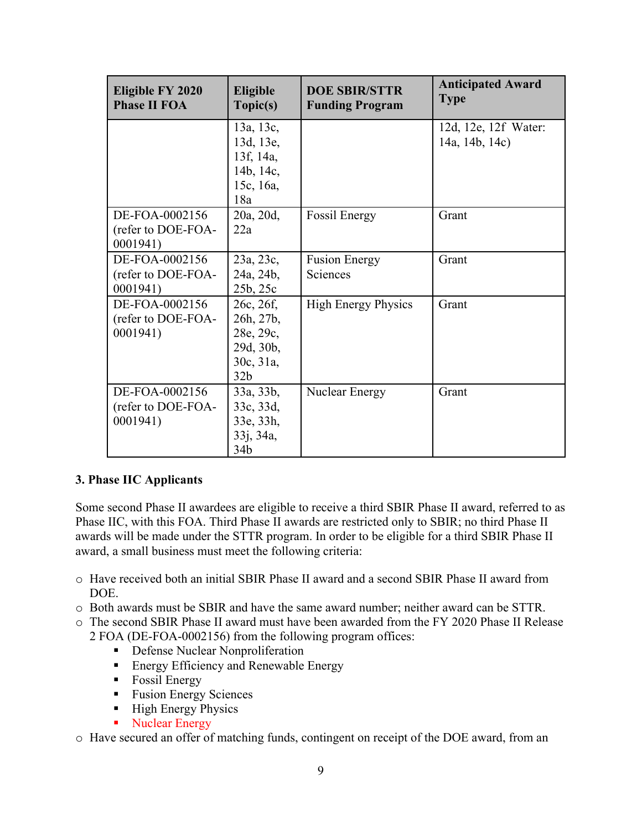| Eligible FY 2020<br><b>Phase II FOA</b>          | <b>Eligible</b><br>Topic(s)                                                      | <b>DOE SBIR/STTR</b><br><b>Funding Program</b> | <b>Anticipated Award</b><br><b>Type</b> |  |
|--------------------------------------------------|----------------------------------------------------------------------------------|------------------------------------------------|-----------------------------------------|--|
|                                                  | 13a, 13c,<br>13d, 13e,<br>13f, 14a,                                              |                                                | 12d, 12e, 12f Water:<br>14a, 14b, 14c)  |  |
|                                                  | 14b, 14c,<br>15c, 16a,<br>18a                                                    |                                                |                                         |  |
| DE-FOA-0002156<br>(refer to DOE-FOA-<br>0001941  | 20a, 20d,<br>22a                                                                 | <b>Fossil Energy</b>                           | Grant                                   |  |
| DE-FOA-0002156<br>(refer to DOE-FOA-<br>0001941) | 23a, 23c,<br>24a, 24b,<br>25b, 25c                                               | <b>Fusion Energy</b><br>Sciences               | Grant                                   |  |
| DE-FOA-0002156<br>(refer to DOE-FOA-<br>0001941) | 26c, 26f,<br>26h, 27b,<br>28e, 29c,<br>29d, 30b,<br>30c, 31a,<br>32 <sub>b</sub> | <b>High Energy Physics</b>                     | Grant                                   |  |
| DE-FOA-0002156<br>(refer to DOE-FOA-<br>0001941) | 33a, 33b,<br>33c, 33d,<br>33e, 33h,<br>33j, 34a,<br>34 <sub>b</sub>              | Nuclear Energy                                 | Grant                                   |  |

### **3. Phase IIC Applicants**

Some second Phase II awardees are eligible to receive a third SBIR Phase II award, referred to as Phase IIC, with this FOA. Third Phase II awards are restricted only to SBIR; no third Phase II awards will be made under the STTR program. In order to be eligible for a third SBIR Phase II award, a small business must meet the following criteria:

- o Have received both an initial SBIR Phase II award and a second SBIR Phase II award from DOE.
- o Both awards must be SBIR and have the same award number; neither award can be STTR.
- o The second SBIR Phase II award must have been awarded from the FY 2020 Phase II Release
	- 2 FOA (DE-FOA-0002156) from the following program offices:
		- **-** Defense Nuclear Nonproliferation
		- **Energy Efficiency and Renewable Energy**
		- **Fossil Energy**
		- **Fusion Energy Sciences**
		- **High Energy Physics**
		- Nuclear Energy

o Have secured an offer of matching funds, contingent on receipt of the DOE award, from an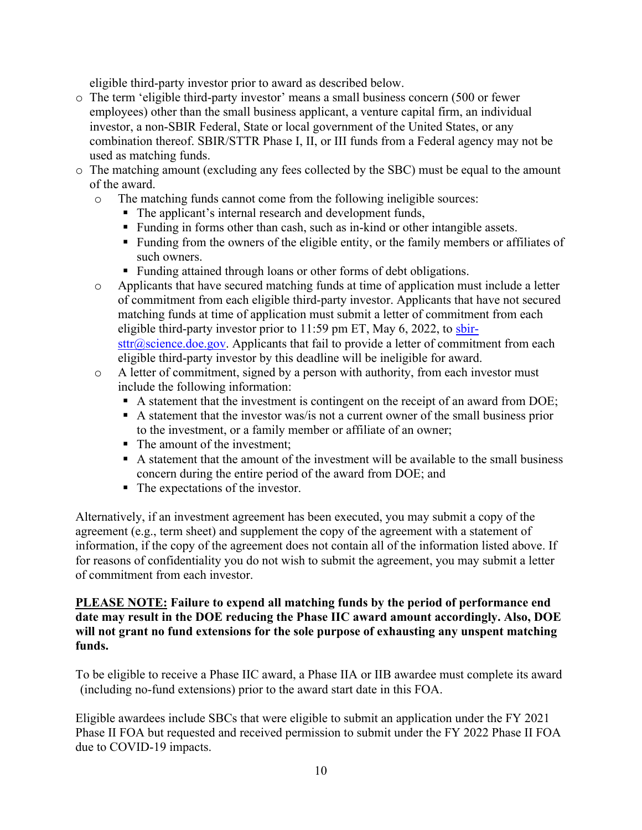eligible third-party investor prior to award as described below.

- o The term 'eligible third-party investor' means a small business concern (500 or fewer employees) other than the small business applicant, a venture capital firm, an individual investor, a non-SBIR Federal, State or local government of the United States, or any combination thereof. SBIR/STTR Phase I, II, or III funds from a Federal agency may not be used as matching funds.
- o The matching amount (excluding any fees collected by the SBC) must be equal to the amount of the award.
	- o The matching funds cannot come from the following ineligible sources:
		- The applicant's internal research and development funds,
		- Funding in forms other than cash, such as in-kind or other intangible assets.
		- **Funding from the owners of the eligible entity, or the family members or affiliates of** such owners.
		- **Funding attained through loans or other forms of debt obligations.**
	- o Applicants that have secured matching funds at time of application must include a letter of commitment from each eligible third-party investor. Applicants that have not secured matching funds at time of application must submit a letter of commitment from each eligible third-party investor prior to 11:59 pm ET, May 6, 2022, to sbir $str@$ science.doe.gov. Applicants that fail to provide a letter of commitment from each eligible third-party investor by this deadline will be ineligible for award.
	- o A letter of commitment, signed by a person with authority, from each investor must include the following information:
		- A statement that the investment is contingent on the receipt of an award from DOE;
		- $\blacksquare$  A statement that the investor was/is not a current owner of the small business prior to the investment, or a family member or affiliate of an owner;
		- The amount of the investment;
		- A statement that the amount of the investment will be available to the small business concern during the entire period of the award from DOE; and
		- The expectations of the investor.

Alternatively, if an investment agreement has been executed, you may submit a copy of the agreement (e.g., term sheet) and supplement the copy of the agreement with a statement of information, if the copy of the agreement does not contain all of the information listed above. If for reasons of confidentiality you do not wish to submit the agreement, you may submit a letter of commitment from each investor.

### **PLEASE NOTE: Failure to expend all matching funds by the period of performance end date may result in the DOE reducing the Phase IIC award amount accordingly. Also, DOE will not grant no fund extensions for the sole purpose of exhausting any unspent matching funds.**

To be eligible to receive a Phase IIC award, a Phase IIA or IIB awardee must complete its award (including no-fund extensions) prior to the award start date in this FOA.

Eligible awardees include SBCs that were eligible to submit an application under the FY 2021 Phase II FOA but requested and received permission to submit under the FY 2022 Phase II FOA due to COVID-19 impacts.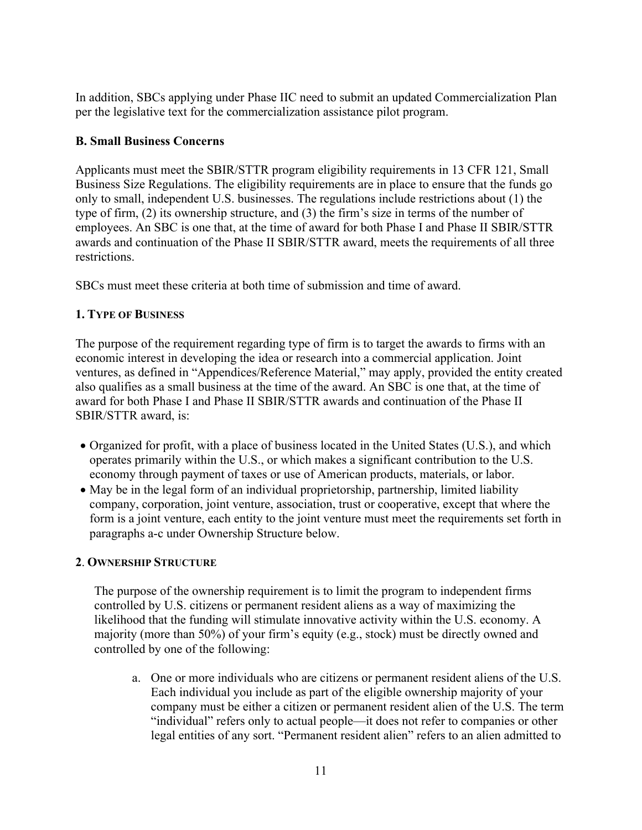In addition, SBCs applying under Phase IIC need to submit an updated Commercialization Plan per the legislative text for the commercialization assistance pilot program.

# **B. Small Business Concerns**

Applicants must meet the SBIR/STTR program eligibility requirements in 13 CFR 121, Small Business Size Regulations. The eligibility requirements are in place to ensure that the funds go only to small, independent U.S. businesses. The regulations include restrictions about (1) the type of firm, (2) its ownership structure, and (3) the firm's size in terms of the number of employees. An SBC is one that, at the time of award for both Phase I and Phase II SBIR/STTR awards and continuation of the Phase II SBIR/STTR award, meets the requirements of all three restrictions.

SBCs must meet these criteria at both time of submission and time of award.

# **1. TYPE OF BUSINESS**

 The purpose of the requirement regarding type of firm is to target the awards to firms with an economic interest in developing the idea or research into a commercial application. Joint ventures, as defined in "Appendices/Reference Material," may apply, provided the entity created also qualifies as a small business at the time of the award. An SBC is one that, at the time of award for both Phase I and Phase II SBIR/STTR awards and continuation of the Phase II SBIR/STTR award, is:

- Organized for profit, with a place of business located in the United States (U.S.), and which operates primarily within the U.S., or which makes a significant contribution to the U.S. economy through payment of taxes or use of American products, materials, or labor.
- May be in the legal form of an individual proprietorship, partnership, limited liability company, corporation, joint venture, association, trust or cooperative, except that where the form is a joint venture, each entity to the joint venture must meet the requirements set forth in paragraphs a-c under Ownership Structure below.

# **2**. **OWNERSHIP STRUCTURE**

The purpose of the ownership requirement is to limit the program to independent firms controlled by U.S. citizens or permanent resident aliens as a way of maximizing the likelihood that the funding will stimulate innovative activity within the U.S. economy. A majority (more than 50%) of your firm's equity (e.g., stock) must be directly owned and controlled by one of the following:

a. One or more individuals who are citizens or permanent resident aliens of the U.S. Each individual you include as part of the eligible ownership majority of your company must be either a citizen or permanent resident alien of the U.S. The term "individual" refers only to actual people—it does not refer to companies or other legal entities of any sort. "Permanent resident alien" refers to an alien admitted to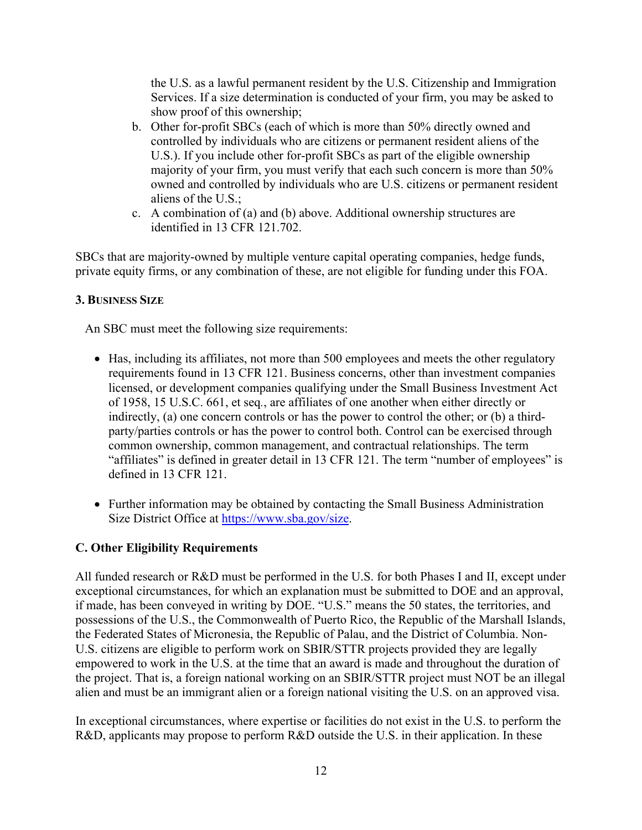the U.S. as a lawful permanent resident by the U.S. Citizenship and Immigration Services. If a size determination is conducted of your firm, you may be asked to show proof of this ownership;

- b. Other for-profit SBCs (each of which is more than 50% directly owned and controlled by individuals who are citizens or permanent resident aliens of the U.S.). If you include other for-profit SBCs as part of the eligible ownership majority of your firm, you must verify that each such concern is more than 50% owned and controlled by individuals who are U.S. citizens or permanent resident aliens of the U.S.;
- c. A combination of (a) and (b) above. Additional ownership structures are identified in 13 CFR 121.702.

SBCs that are majority-owned by multiple venture capital operating companies, hedge funds, private equity firms, or any combination of these, are not eligible for funding under this FOA.

### **3. BUSINESS SIZE**

An SBC must meet the following size requirements:

- Has, including its affiliates, not more than 500 employees and meets the other regulatory requirements found in 13 CFR 121. Business concerns, other than investment companies licensed, or development companies qualifying under the Small Business Investment Act of 1958, 15 U.S.C. 661, et seq*.*, are affiliates of one another when either directly or indirectly, (a) one concern controls or has the power to control the other; or (b) a thirdparty/parties controls or has the power to control both. Control can be exercised through common ownership, common management, and contractual relationships. The term "affiliates" is defined in greater detail in 13 CFR 121. The term "number of employees" is defined in 13 CFR 121.
- Further information may be obtained by contacting the Small Business Administration Size District Office at https://www.sba.gov/size.

# **C. Other Eligibility Requirements**

All funded research or R&D must be performed in the U.S. for both Phases I and II, except under exceptional circumstances, for which an explanation must be submitted to DOE and an approval, if made, has been conveyed in writing by DOE. "U.S." means the 50 states, the territories, and possessions of the U.S., the Commonwealth of Puerto Rico, the Republic of the Marshall Islands, the Federated States of Micronesia, the Republic of Palau, and the District of Columbia. Non-U.S. citizens are eligible to perform work on SBIR/STTR projects provided they are legally empowered to work in the U.S. at the time that an award is made and throughout the duration of the project. That is, a foreign national working on an SBIR/STTR project must NOT be an illegal alien and must be an immigrant alien or a foreign national visiting the U.S. on an approved visa.

In exceptional circumstances, where expertise or facilities do not exist in the U.S. to perform the R&D, applicants may propose to perform R&D outside the U.S. in their application. In these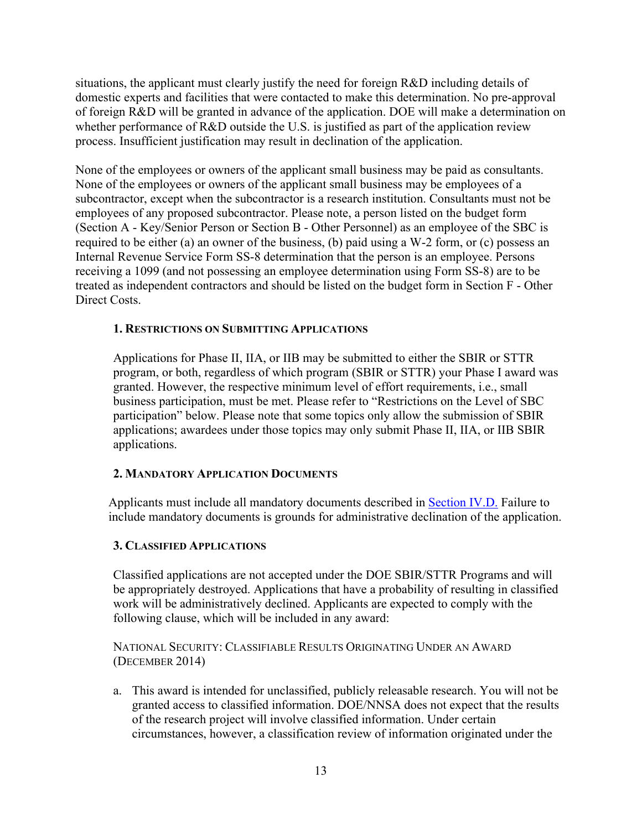situations, the applicant must clearly justify the need for foreign R&D including details of domestic experts and facilities that were contacted to make this determination. No pre-approval of foreign R&D will be granted in advance of the application. DOE will make a determination on whether performance of R&D outside the U.S. is justified as part of the application review process. Insufficient justification may result in declination of the application.

None of the employees or owners of the applicant small business may be paid as consultants. None of the employees or owners of the applicant small business may be employees of a subcontractor, except when the subcontractor is a research institution. Consultants must not be employees of any proposed subcontractor. Please note, a person listed on the budget form (Section A - Key/Senior Person or Section B - Other Personnel) as an employee of the SBC is required to be either (a) an owner of the business, (b) paid using a W-2 form, or (c) possess an Internal Revenue Service Form SS-8 determination that the person is an employee. Persons receiving a 1099 (and not possessing an employee determination using Form SS-8) are to be treated as independent contractors and should be listed on the budget form in Section F - Other Direct Costs.

### **1. RESTRICTIONS ON SUBMITTING APPLICATIONS**

Applications for Phase II, IIA, or IIB may be submitted to either the SBIR or STTR program, or both, regardless of which program (SBIR or STTR) your Phase I award was granted. However, the respective minimum level of effort requirements, i.e., small business participation, must be met. Please refer to "Restrictions on the Level of SBC participation" below. Please note that some topics only allow the submission of SBIR applications; awardees under those topics may only submit Phase II, IIA, or IIB SBIR applications.

### **2. MANDATORY APPLICATION DOCUMENTS**

Applicants must include all mandatory documents described in Section IV.D. Failure to include mandatory documents is grounds for administrative declination of the application.

### **3. CLASSIFIED APPLICATIONS**

Classified applications are not accepted under the DOE SBIR/STTR Programs and will be appropriately destroyed. Applications that have a probability of resulting in classified work will be administratively declined. Applicants are expected to comply with the following clause, which will be included in any award:

NATIONAL SECURITY: CLASSIFIABLE RESULTS ORIGINATING UNDER AN AWARD (DECEMBER 2014)

 a. This award is intended for unclassified, publicly releasable research. You will not be granted access to classified information. DOE/NNSA does not expect that the results of the research project will involve classified information. Under certain circumstances, however, a classification review of information originated under the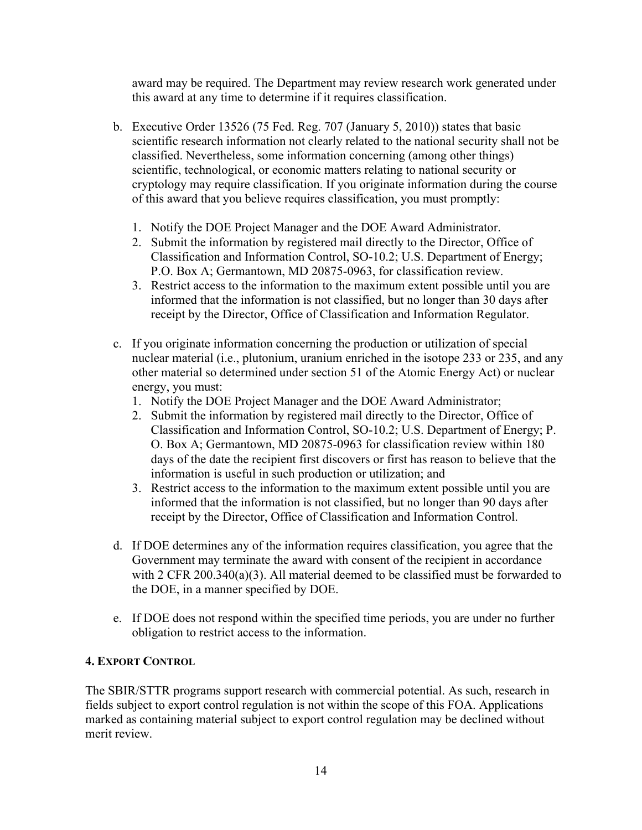award may be required. The Department may review research work generated under this award at any time to determine if it requires classification.

- b. Executive Order 13526 (75 Fed. Reg. 707 (January 5, 2010)) states that basic scientific research information not clearly related to the national security shall not be classified. Nevertheless, some information concerning (among other things) scientific, technological, or economic matters relating to national security or cryptology may require classification. If you originate information during the course of this award that you believe requires classification, you must promptly:
	- 1. Notify the DOE Project Manager and the DOE Award Administrator.
	- 2. Submit the information by registered mail directly to the Director, Office of Classification and Information Control, SO-10.2; U.S. Department of Energy; P.O. Box A; Germantown, MD 20875-0963, for classification review.
	- 3. Restrict access to the information to the maximum extent possible until you are informed that the information is not classified, but no longer than 30 days after receipt by the Director, Office of Classification and Information Regulator.
- c. If you originate information concerning the production or utilization of special nuclear material (i.e., plutonium, uranium enriched in the isotope 233 or 235, and any other material so determined under section 51 of the Atomic Energy Act) or nuclear energy, you must:
	- 1. Notify the DOE Project Manager and the DOE Award Administrator;
	- 2. Submit the information by registered mail directly to the Director, Office of Classification and Information Control, SO-10.2; U.S. Department of Energy; P. O. Box A; Germantown, MD 20875-0963 for classification review within 180 days of the date the recipient first discovers or first has reason to believe that the information is useful in such production or utilization; and
	- 3. Restrict access to the information to the maximum extent possible until you are informed that the information is not classified, but no longer than 90 days after receipt by the Director, Office of Classification and Information Control.
- d. If DOE determines any of the information requires classification, you agree that the Government may terminate the award with consent of the recipient in accordance with 2 CFR 200.340(a)(3). All material deemed to be classified must be forwarded to the DOE, in a manner specified by DOE.
- e. If DOE does not respond within the specified time periods, you are under no further obligation to restrict access to the information.

### **4. EXPORT CONTROL**

The SBIR/STTR programs support research with commercial potential. As such, research in fields subject to export control regulation is not within the scope of this FOA. Applications marked as containing material subject to export control regulation may be declined without merit review.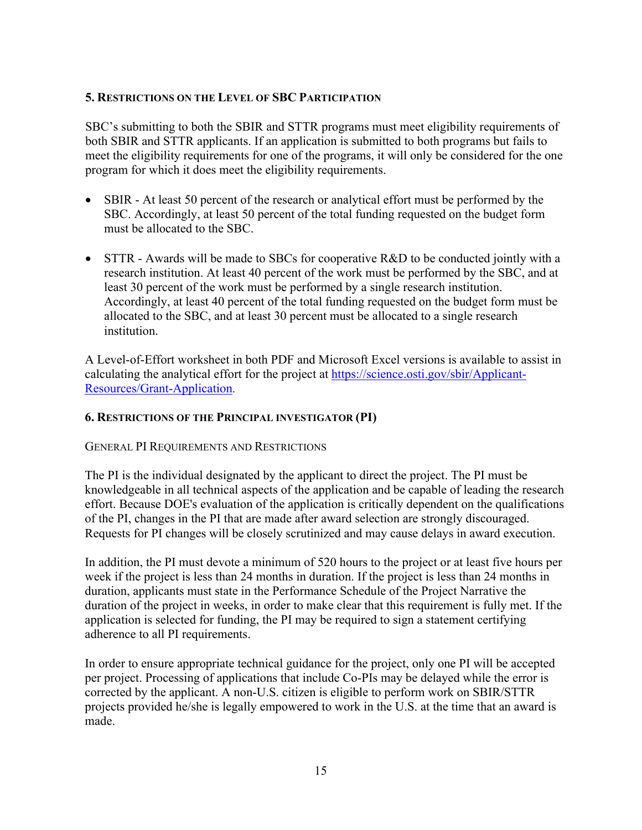### **5. RESTRICTIONS ON THE LEVEL OF SBC PARTICIPATION**

SBC's submitting to both the SBIR and STTR programs must meet eligibility requirements of both SBIR and STTR applicants. If an application is submitted to both programs but fails to meet the eligibility requirements for one of the programs, it will only be considered for the one program for which it does meet the eligibility requirements.

- SBIR At least 50 percent of the research or analytical effort must be performed by the SBC. Accordingly, at least 50 percent of the total funding requested on the budget form must be allocated to the SBC.
- STTR Awards will be made to SBCs for cooperative R&D to be conducted jointly with a research institution. At least 40 percent of the work must be performed by the SBC, and at least 30 percent of the work must be performed by a single research institution. Accordingly, at least 40 percent of the total funding requested on the budget form must be allocated to the SBC, and at least 30 percent must be allocated to a single research institution.

A Level-of-Effort worksheet in both PDF and Microsoft Excel versions is available to assist in calculating the analytical effort for the project at https://science.osti.gov/sbir/Applicant-Resources/Grant-Application.

### **6. RESTRICTIONS OF THE PRINCIPAL INVESTIGATOR (PI)**

### GENERAL PI REQUIREMENTS AND RESTRICTIONS

The PI is the individual designated by the applicant to direct the project. The PI must be knowledgeable in all technical aspects of the application and be capable of leading the research effort. Because DOE's evaluation of the application is critically dependent on the qualifications of the PI, changes in the PI that are made after award selection are strongly discouraged. Requests for PI changes will be closely scrutinized and may cause delays in award execution.

In addition, the PI must devote a minimum of 520 hours to the project or at least five hours per week if the project is less than 24 months in duration. If the project is less than 24 months in duration, applicants must state in the Performance Schedule of the Project Narrative the duration of the project in weeks, in order to make clear that this requirement is fully met. If the application is selected for funding, the PI may be required to sign a statement certifying adherence to all PI requirements.

In order to ensure appropriate technical guidance for the project, only one PI will be accepted per project. Processing of applications that include Co-PIs may be delayed while the error is corrected by the applicant. A non-U.S. citizen is eligible to perform work on SBIR/STTR projects provided he/she is legally empowered to work in the U.S. at the time that an award is made.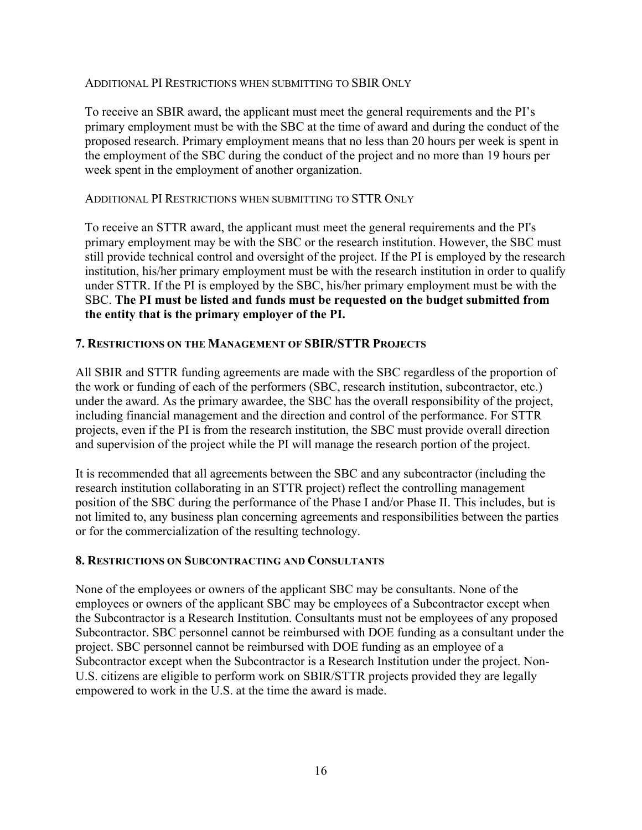#### ADDITIONAL PI RESTRICTIONS WHEN SUBMITTING TO SBIR ONLY

To receive an SBIR award, the applicant must meet the general requirements and the PI's primary employment must be with the SBC at the time of award and during the conduct of the proposed research. Primary employment means that no less than 20 hours per week is spent in the employment of the SBC during the conduct of the project and no more than 19 hours per week spent in the employment of another organization.

#### ADDITIONAL PI RESTRICTIONS WHEN SUBMITTING TO STTR ONLY

To receive an STTR award, the applicant must meet the general requirements and the PI's primary employment may be with the SBC or the research institution. However, the SBC must still provide technical control and oversight of the project. If the PI is employed by the research institution, his/her primary employment must be with the research institution in order to qualify under STTR. If the PI is employed by the SBC, his/her primary employment must be with the SBC. **The PI must be listed and funds must be requested on the budget submitted from the entity that is the primary employer of the PI.**

### **7. RESTRICTIONS ON THE MANAGEMENT OF SBIR/STTR PROJECTS**

All SBIR and STTR funding agreements are made with the SBC regardless of the proportion of the work or funding of each of the performers (SBC, research institution, subcontractor, etc.) under the award. As the primary awardee, the SBC has the overall responsibility of the project, including financial management and the direction and control of the performance. For STTR projects, even if the PI is from the research institution, the SBC must provide overall direction and supervision of the project while the PI will manage the research portion of the project.

It is recommended that all agreements between the SBC and any subcontractor (including the research institution collaborating in an STTR project) reflect the controlling management position of the SBC during the performance of the Phase I and/or Phase II. This includes, but is not limited to, any business plan concerning agreements and responsibilities between the parties or for the commercialization of the resulting technology.

#### **8. RESTRICTIONS ON SUBCONTRACTING AND CONSULTANTS**

None of the employees or owners of the applicant SBC may be consultants. None of the employees or owners of the applicant SBC may be employees of a Subcontractor except when the Subcontractor is a Research Institution. Consultants must not be employees of any proposed Subcontractor. SBC personnel cannot be reimbursed with DOE funding as a consultant under the project. SBC personnel cannot be reimbursed with DOE funding as an employee of a Subcontractor except when the Subcontractor is a Research Institution under the project. Non-U.S. citizens are eligible to perform work on SBIR/STTR projects provided they are legally empowered to work in the U.S. at the time the award is made.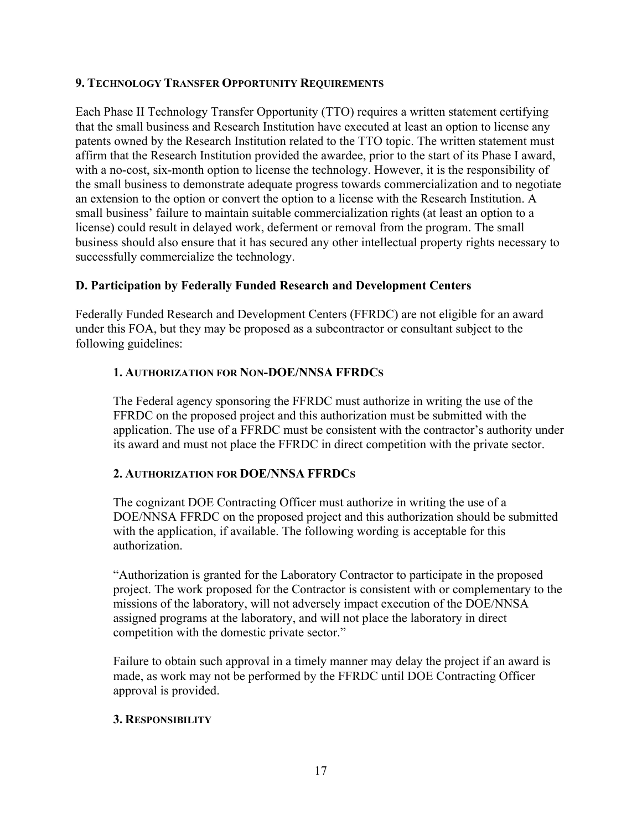### **9. TECHNOLOGY TRANSFER OPPORTUNITY REQUIREMENTS**

Each Phase II Technology Transfer Opportunity (TTO) requires a written statement certifying that the small business and Research Institution have executed at least an option to license any patents owned by the Research Institution related to the TTO topic. The written statement must affirm that the Research Institution provided the awardee, prior to the start of its Phase I award, with a no-cost, six-month option to license the technology. However, it is the responsibility of the small business to demonstrate adequate progress towards commercialization and to negotiate an extension to the option or convert the option to a license with the Research Institution. A small business' failure to maintain suitable commercialization rights (at least an option to a license) could result in delayed work, deferment or removal from the program. The small business should also ensure that it has secured any other intellectual property rights necessary to successfully commercialize the technology.

### **D. Participation by Federally Funded Research and Development Centers**

Federally Funded Research and Development Centers (FFRDC) are not eligible for an award under this FOA, but they may be proposed as a subcontractor or consultant subject to the following guidelines:

### **1. AUTHORIZATION FOR NON-DOE/NNSA FFRDCS**

The Federal agency sponsoring the FFRDC must authorize in writing the use of the FFRDC on the proposed project and this authorization must be submitted with the application. The use of a FFRDC must be consistent with the contractor's authority under its award and must not place the FFRDC in direct competition with the private sector.

### **2. AUTHORIZATION FOR DOE/NNSA FFRDCS**

The cognizant DOE Contracting Officer must authorize in writing the use of a DOE/NNSA FFRDC on the proposed project and this authorization should be submitted with the application, if available. The following wording is acceptable for this authorization.

"Authorization is granted for the Laboratory Contractor to participate in the proposed project. The work proposed for the Contractor is consistent with or complementary to the missions of the laboratory, will not adversely impact execution of the DOE/NNSA assigned programs at the laboratory, and will not place the laboratory in direct competition with the domestic private sector."

Failure to obtain such approval in a timely manner may delay the project if an award is made, as work may not be performed by the FFRDC until DOE Contracting Officer approval is provided.

### **3. RESPONSIBILITY**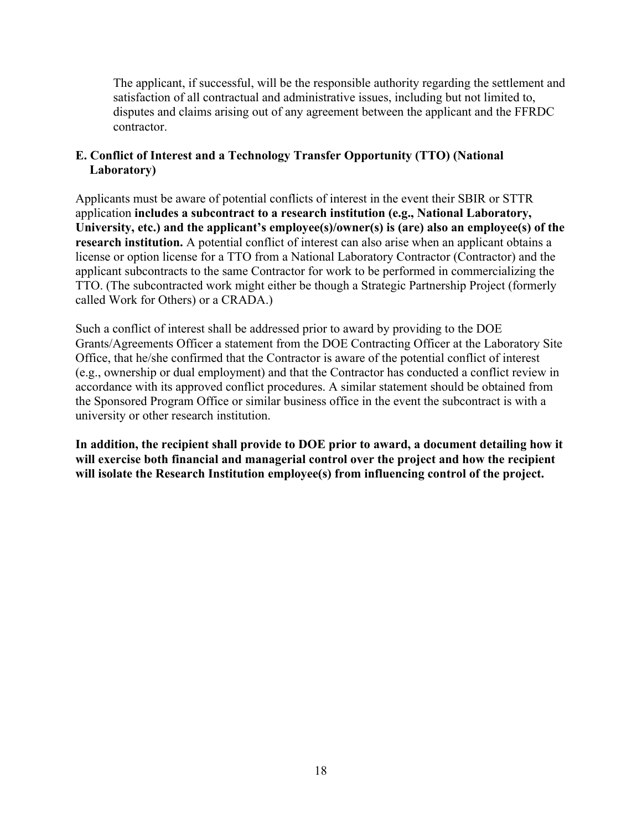The applicant, if successful, will be the responsible authority regarding the settlement and satisfaction of all contractual and administrative issues, including but not limited to, disputes and claims arising out of any agreement between the applicant and the FFRDC contractor.

### **E. Conflict of Interest and a Technology Transfer Opportunity (TTO) (National Laboratory)**

Applicants must be aware of potential conflicts of interest in the event their SBIR or STTR application **includes a subcontract to a research institution (e.g., National Laboratory, University, etc.) and the applicant's employee(s)/owner(s) is (are) also an employee(s) of the research institution.** A potential conflict of interest can also arise when an applicant obtains a license or option license for a TTO from a National Laboratory Contractor (Contractor) and the applicant subcontracts to the same Contractor for work to be performed in commercializing the TTO. (The subcontracted work might either be though a Strategic Partnership Project (formerly called Work for Others) or a CRADA.)

Such a conflict of interest shall be addressed prior to award by providing to the DOE Grants/Agreements Officer a statement from the DOE Contracting Officer at the Laboratory Site Office, that he/she confirmed that the Contractor is aware of the potential conflict of interest (e.g., ownership or dual employment) and that the Contractor has conducted a conflict review in accordance with its approved conflict procedures. A similar statement should be obtained from the Sponsored Program Office or similar business office in the event the subcontract is with a university or other research institution.

**In addition, the recipient shall provide to DOE prior to award, a document detailing how it will exercise both financial and managerial control over the project and how the recipient will isolate the Research Institution employee(s) from influencing control of the project.**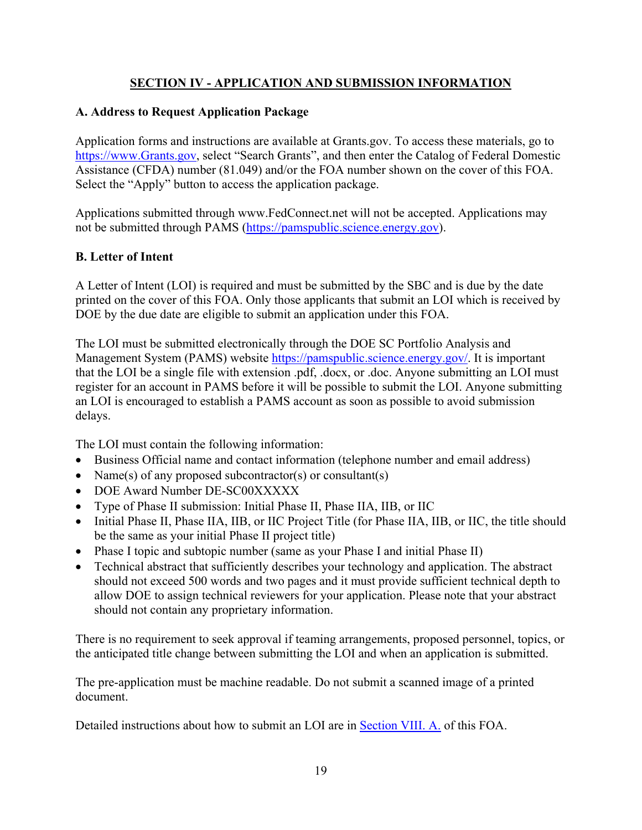# **SECTION IV - APPLICATION AND SUBMISSION INFORMATION**

### **A. Address to Request Application Package**

Application forms and instructions are available at Grants.gov. To access these materials, go to https://www.Grants.gov, select "Search Grants", and then enter the Catalog of Federal Domestic Assistance (CFDA) number (81.049) and/or the FOA number shown on the cover of this FOA. Select the "Apply" button to access the application package.

Applications submitted through www.FedConnect.net will not be accepted. Applications may not be submitted through PAMS (https://pamspublic.science.energy.gov).

### **B. Letter of Intent**

A Letter of Intent (LOI) is required and must be submitted by the SBC and is due by the date printed on the cover of this FOA. Only those applicants that submit an LOI which is received by DOE by the due date are eligible to submit an application under this FOA.

The LOI must be submitted electronically through the DOE SC Portfolio Analysis and Management System (PAMS) website https://pamspublic.science.energy.gov/. It is important that the LOI be a single file with extension .pdf, .docx, or .doc. Anyone submitting an LOI must register for an account in PAMS before it will be possible to submit the LOI. Anyone submitting an LOI is encouraged to establish a PAMS account as soon as possible to avoid submission delays.

The LOI must contain the following information:

- Business Official name and contact information (telephone number and email address)
- Name(s) of any proposed subcontractor(s) or consultant(s)
- DOE Award Number DE-SC00XXXXX
- Type of Phase II submission: Initial Phase II, Phase IIA, IIB, or IIC
- Initial Phase II, Phase IIA, IIB, or IIC Project Title (for Phase IIA, IIB, or IIC, the title should be the same as your initial Phase II project title)
- Phase I topic and subtopic number (same as your Phase I and initial Phase II)
- Technical abstract that sufficiently describes your technology and application. The abstract should not exceed 500 words and two pages and it must provide sufficient technical depth to allow DOE to assign technical reviewers for your application. Please note that your abstract should not contain any proprietary information.

There is no requirement to seek approval if teaming arrangements, proposed personnel, topics, or the anticipated title change between submitting the LOI and when an application is submitted.

The pre-application must be machine readable. Do not submit a scanned image of a printed document.

Detailed instructions about how to submit an LOI are in **Section VIII. A.** of this FOA.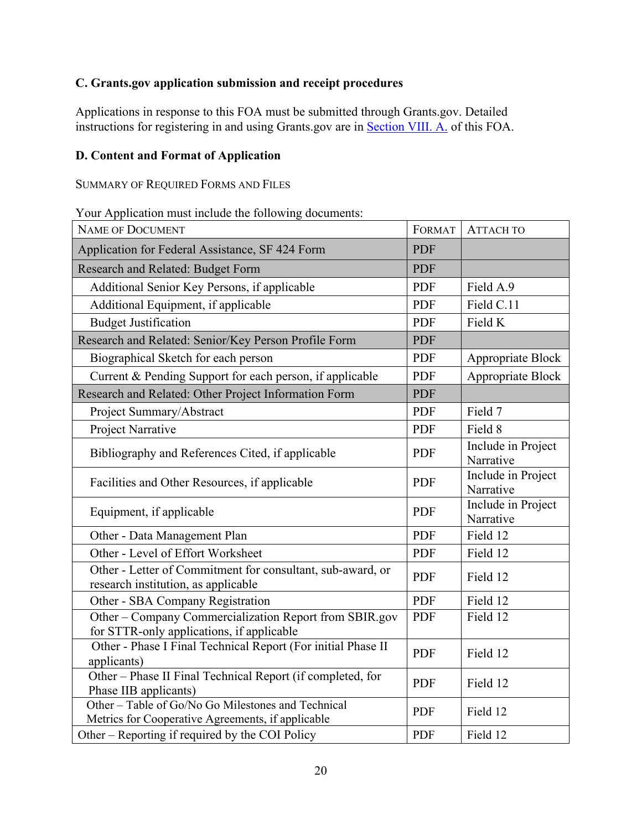# **C. Grants.gov application submission and receipt procedures**

Applications in response to this FOA must be submitted through Grants.gov. Detailed instructions for registering in and using Grants.gov are in Section VIII. A. of this FOA.

### **D. Content and Format of Application**

SUMMARY OF REQUIRED FORMS AND FILES

Your Application must include the following documents:

| <b>NAME OF DOCUMENT</b>                                                                                 | <b>FORMAT</b> | АТТАСН ТО                       |
|---------------------------------------------------------------------------------------------------------|---------------|---------------------------------|
| Application for Federal Assistance, SF 424 Form                                                         | <b>PDF</b>    |                                 |
| Research and Related: Budget Form                                                                       | <b>PDF</b>    |                                 |
| Additional Senior Key Persons, if applicable                                                            | <b>PDF</b>    | Field A.9                       |
| Additional Equipment, if applicable                                                                     | <b>PDF</b>    | Field C.11                      |
| <b>Budget Justification</b>                                                                             | <b>PDF</b>    | Field K                         |
| Research and Related: Senior/Key Person Profile Form                                                    | <b>PDF</b>    |                                 |
| Biographical Sketch for each person                                                                     | PDF           | Appropriate Block               |
| Current & Pending Support for each person, if applicable                                                | <b>PDF</b>    | Appropriate Block               |
| Research and Related: Other Project Information Form                                                    | <b>PDF</b>    |                                 |
| Project Summary/Abstract                                                                                | PDF           | Field 7                         |
| Project Narrative                                                                                       | <b>PDF</b>    | Field 8                         |
| Bibliography and References Cited, if applicable                                                        | <b>PDF</b>    | Include in Project<br>Narrative |
| Facilities and Other Resources, if applicable                                                           | <b>PDF</b>    | Include in Project<br>Narrative |
| Equipment, if applicable                                                                                | PDF           | Include in Project<br>Narrative |
| Other - Data Management Plan                                                                            | <b>PDF</b>    | Field 12                        |
| Other - Level of Effort Worksheet                                                                       | <b>PDF</b>    | Field 12                        |
| Other - Letter of Commitment for consultant, sub-award, or<br>research institution, as applicable       | <b>PDF</b>    | Field 12                        |
| Other - SBA Company Registration                                                                        | <b>PDF</b>    | Field 12                        |
| Other - Company Commercialization Report from SBIR.gov<br>for STTR-only applications, if applicable     | <b>PDF</b>    | Field 12                        |
| Other - Phase I Final Technical Report (For initial Phase II<br>applicants)                             | <b>PDF</b>    | Field 12                        |
| Other - Phase II Final Technical Report (if completed, for<br>Phase IIB applicants)                     | <b>PDF</b>    | Field 12                        |
| Other - Table of Go/No Go Milestones and Technical<br>Metrics for Cooperative Agreements, if applicable | <b>PDF</b>    | Field 12                        |
| Other – Reporting if required by the COI Policy                                                         | <b>PDF</b>    | Field 12                        |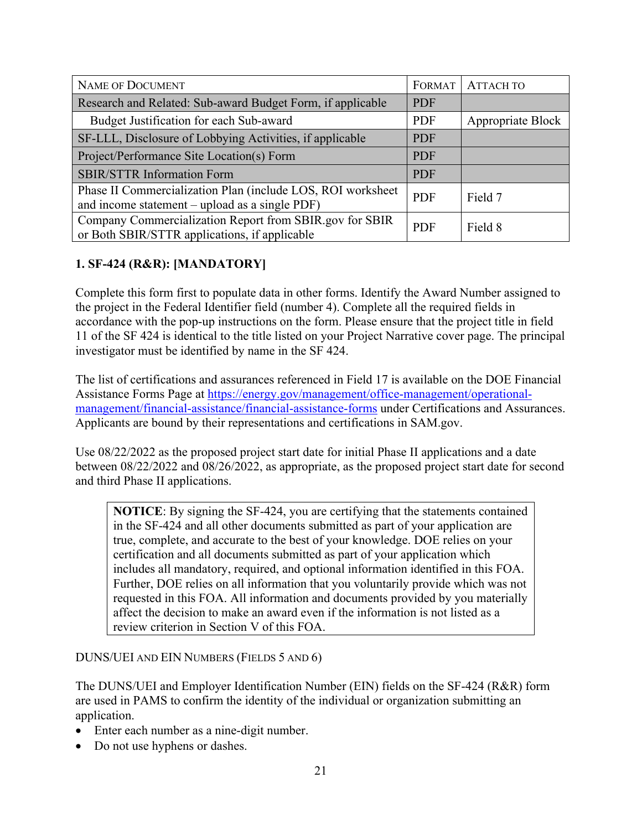| <b>NAME OF DOCUMENT</b>                                                                                       | FORMAT     | <b>ATTACH TO</b>  |
|---------------------------------------------------------------------------------------------------------------|------------|-------------------|
| Research and Related: Sub-award Budget Form, if applicable                                                    | <b>PDF</b> |                   |
| Budget Justification for each Sub-award                                                                       | <b>PDF</b> | Appropriate Block |
| SF-LLL, Disclosure of Lobbying Activities, if applicable                                                      | <b>PDF</b> |                   |
| Project/Performance Site Location(s) Form                                                                     | <b>PDF</b> |                   |
| <b>SBIR/STTR Information Form</b>                                                                             | <b>PDF</b> |                   |
| Phase II Commercialization Plan (include LOS, ROI worksheet<br>and income statement – upload as a single PDF) | <b>PDF</b> | Field 7           |
| Company Commercialization Report from SBIR.gov for SBIR<br>or Both SBIR/STTR applications, if applicable      | <b>PDF</b> | Field 8           |

# **1. SF-424 (R&R): [MANDATORY]**

Complete this form first to populate data in other forms. Identify the Award Number assigned to the project in the Federal Identifier field (number 4). Complete all the required fields in accordance with the pop-up instructions on the form. Please ensure that the project title in field 11 of the SF 424 is identical to the title listed on your Project Narrative cover page. The principal investigator must be identified by name in the SF 424.

The list of certifications and assurances referenced in Field 17 is available on the DOE Financial Assistance Forms Page at https://energy.gov/management/office-management/operationalmanagement/financial-assistance/financial-assistance-forms under Certifications and Assurances. Applicants are bound by their representations and certifications in SAM.gov.

Use 08/22/2022 as the proposed project start date for initial Phase II applications and a date between 08/22/2022 and 08/26/2022, as appropriate, as the proposed project start date for second and third Phase II applications.

**NOTICE**: By signing the SF-424, you are certifying that the statements contained in the SF-424 and all other documents submitted as part of your application are true, complete, and accurate to the best of your knowledge. DOE relies on your certification and all documents submitted as part of your application which includes all mandatory, required, and optional information identified in this FOA. Further, DOE relies on all information that you voluntarily provide which was not requested in this FOA. All information and documents provided by you materially affect the decision to make an award even if the information is not listed as a review criterion in Section V of this FOA.

DUNS/UEI AND EIN NUMBERS (FIELDS 5 AND 6)

The DUNS/UEI and Employer Identification Number (EIN) fields on the SF-424 (R&R) form are used in PAMS to confirm the identity of the individual or organization submitting an application.

- Enter each number as a nine-digit number.
- Do not use hyphens or dashes.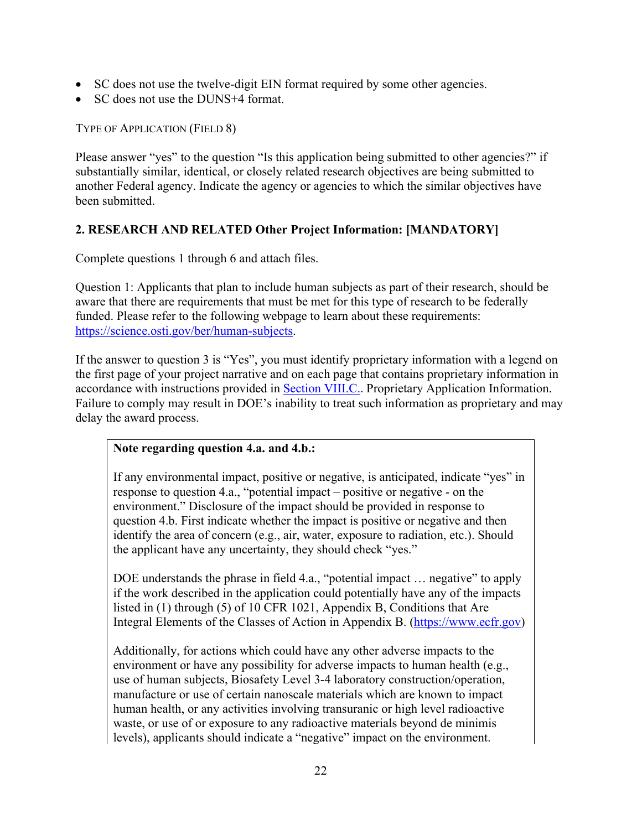- SC does not use the twelve-digit EIN format required by some other agencies.
- SC does not use the DUNS+4 format.

TYPE OF APPLICATION (FIELD 8)

Please answer "yes" to the question "Is this application being submitted to other agencies?" if substantially similar, identical, or closely related research objectives are being submitted to another Federal agency. Indicate the agency or agencies to which the similar objectives have been submitted.

# **2. RESEARCH AND RELATED Other Project Information: [MANDATORY]**

Complete questions 1 through 6 and attach files.

Question 1: Applicants that plan to include human subjects as part of their research, should be aware that there are requirements that must be met for this type of research to be federally funded. Please refer to the following webpage to learn about these requirements: https://science.osti.gov/ber/human-subjects.

If the answer to question 3 is "Yes", you must identify proprietary information with a legend on the first page of your project narrative and on each page that contains proprietary information in accordance with instructions provided in Section VIII.C.. Proprietary Application Information. Failure to comply may result in DOE's inability to treat such information as proprietary and may delay the award process.

### **Note regarding question 4.a. and 4.b.:**

If any environmental impact, positive or negative, is anticipated, indicate "yes" in response to question 4.a., "potential impact – positive or negative - on the environment." Disclosure of the impact should be provided in response to question 4.b. First indicate whether the impact is positive or negative and then identify the area of concern (e.g., air, water, exposure to radiation, etc.). Should the applicant have any uncertainty, they should check "yes."

DOE understands the phrase in field 4.a., "potential impact ... negative" to apply if the work described in the application could potentially have any of the impacts listed in (1) through (5) of 10 CFR 1021, Appendix B, Conditions that Are Integral Elements of the Classes of Action in Appendix B. (https://www.ecfr.gov)

Additionally, for actions which could have any other adverse impacts to the environment or have any possibility for adverse impacts to human health (e.g., use of human subjects, Biosafety Level 3-4 laboratory construction/operation, manufacture or use of certain nanoscale materials which are known to impact human health, or any activities involving transuranic or high level radioactive waste, or use of or exposure to any radioactive materials beyond de minimis levels), applicants should indicate a "negative" impact on the environment.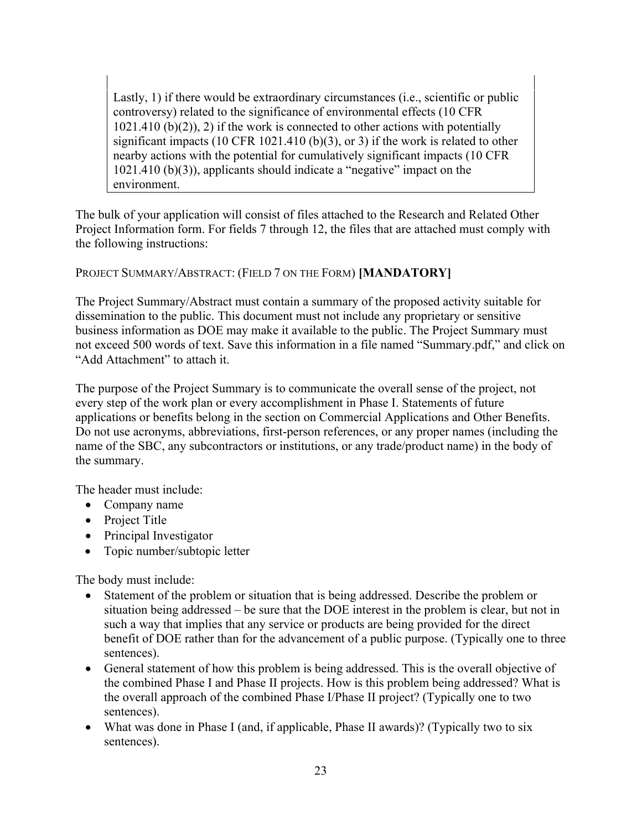Lastly, 1) if there would be extraordinary circumstances (i.e., scientific or public controversy) related to the significance of environmental effects (10 CFR  $1021.410$  (b)(2)), 2) if the work is connected to other actions with potentially significant impacts (10 CFR 1021.410 (b)(3), or 3) if the work is related to other nearby actions with the potential for cumulatively significant impacts (10 CFR 1021.410 (b)(3)), applicants should indicate a "negative" impact on the environment.

The bulk of your application will consist of files attached to the Research and Related Other Project Information form. For fields 7 through 12, the files that are attached must comply with the following instructions:

PROJECT SUMMARY/ABSTRACT: (FIELD 7 ON THE FORM) **[MANDATORY]**

The Project Summary/Abstract must contain a summary of the proposed activity suitable for dissemination to the public. This document must not include any proprietary or sensitive business information as DOE may make it available to the public. The Project Summary must not exceed 500 words of text. Save this information in a file named "Summary.pdf," and click on "Add Attachment" to attach it.

The purpose of the Project Summary is to communicate the overall sense of the project, not every step of the work plan or every accomplishment in Phase I. Statements of future applications or benefits belong in the section on Commercial Applications and Other Benefits. Do not use acronyms, abbreviations, first-person references, or any proper names (including the name of the SBC, any subcontractors or institutions, or any trade/product name) in the body of the summary.

The header must include:

- Company name
- Project Title
- Principal Investigator
- Topic number/subtopic letter

The body must include:

- Statement of the problem or situation that is being addressed. Describe the problem or situation being addressed – be sure that the DOE interest in the problem is clear, but not in such a way that implies that any service or products are being provided for the direct benefit of DOE rather than for the advancement of a public purpose. (Typically one to three sentences).
- General statement of how this problem is being addressed. This is the overall objective of the combined Phase I and Phase II projects. How is this problem being addressed? What is the overall approach of the combined Phase I/Phase II project? (Typically one to two sentences).
- What was done in Phase I (and, if applicable, Phase II awards)? (Typically two to six sentences).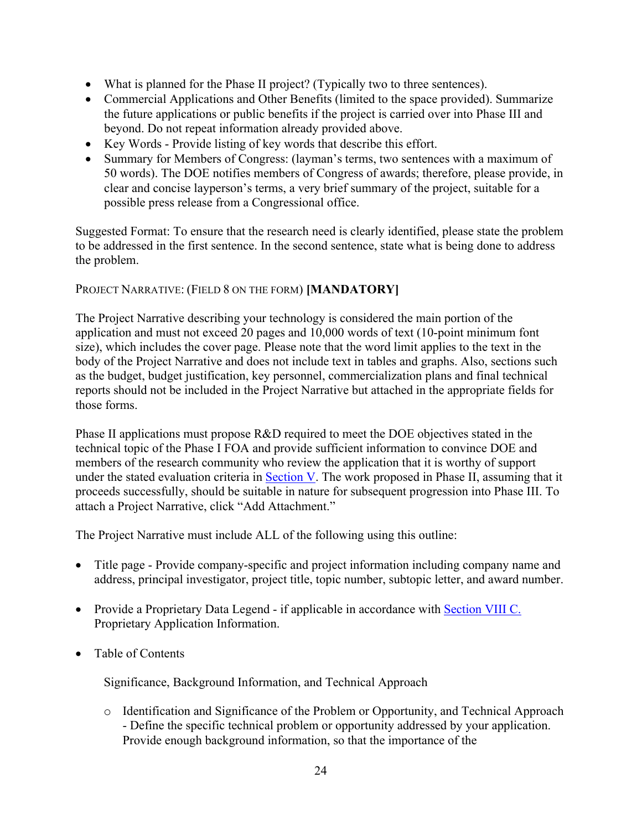- What is planned for the Phase II project? (Typically two to three sentences).
- Commercial Applications and Other Benefits (limited to the space provided). Summarize the future applications or public benefits if the project is carried over into Phase III and beyond. Do not repeat information already provided above.
- Key Words Provide listing of key words that describe this effort.
- Summary for Members of Congress: (layman's terms, two sentences with a maximum of 50 words). The DOE notifies members of Congress of awards; therefore, please provide, in clear and concise layperson's terms, a very brief summary of the project, suitable for a possible press release from a Congressional office.

Suggested Format: To ensure that the research need is clearly identified, please state the problem to be addressed in the first sentence. In the second sentence, state what is being done to address the problem.

# PROJECT NARRATIVE: (FIELD 8 ON THE FORM) **[MANDATORY]**

The Project Narrative describing your technology is considered the main portion of the application and must not exceed 20 pages and 10,000 words of text (10-point minimum font size), which includes the cover page. Please note that the word limit applies to the text in the body of the Project Narrative and does not include text in tables and graphs. Also, sections such as the budget, budget justification, key personnel, commercialization plans and final technical reports should not be included in the Project Narrative but attached in the appropriate fields for those forms.

Phase II applications must propose R&D required to meet the DOE objectives stated in the technical topic of the Phase I FOA and provide sufficient information to convince DOE and members of the research community who review the application that it is worthy of support under the stated evaluation criteria in Section V. The work proposed in Phase II, assuming that it proceeds successfully, should be suitable in nature for subsequent progression into Phase III. To attach a Project Narrative, click "Add Attachment."

The Project Narrative must include ALL of the following using this outline:

- Title page Provide company-specific and project information including company name and address, principal investigator, project title, topic number, subtopic letter, and award number.
- Provide a Proprietary Data Legend if applicable in accordance with Section VIII C. Proprietary Application Information.
- Table of Contents

Significance, Background Information, and Technical Approach

o Identification and Significance of the Problem or Opportunity, and Technical Approach - Define the specific technical problem or opportunity addressed by your application. Provide enough background information, so that the importance of the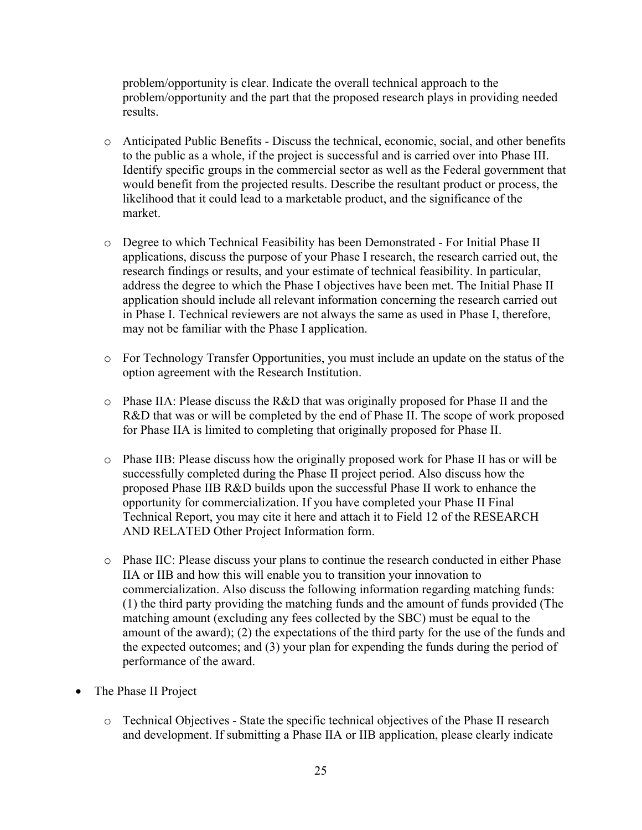problem/opportunity is clear. Indicate the overall technical approach to the problem/opportunity and the part that the proposed research plays in providing needed results.

- o Anticipated Public Benefits Discuss the technical, economic, social, and other benefits to the public as a whole, if the project is successful and is carried over into Phase III. Identify specific groups in the commercial sector as well as the Federal government that would benefit from the projected results. Describe the resultant product or process, the likelihood that it could lead to a marketable product, and the significance of the market.
- o Degree to which Technical Feasibility has been Demonstrated For Initial Phase II applications, discuss the purpose of your Phase I research, the research carried out, the research findings or results, and your estimate of technical feasibility. In particular, address the degree to which the Phase I objectives have been met. The Initial Phase II application should include all relevant information concerning the research carried out in Phase I. Technical reviewers are not always the same as used in Phase I, therefore, may not be familiar with the Phase I application.
- o For Technology Transfer Opportunities, you must include an update on the status of the option agreement with the Research Institution.
- o Phase IIA: Please discuss the R&D that was originally proposed for Phase II and the R&D that was or will be completed by the end of Phase II. The scope of work proposed for Phase IIA is limited to completing that originally proposed for Phase II.
- o Phase IIB: Please discuss how the originally proposed work for Phase II has or will be successfully completed during the Phase II project period. Also discuss how the proposed Phase IIB R&D builds upon the successful Phase II work to enhance the opportunity for commercialization. If you have completed your Phase II Final Technical Report, you may cite it here and attach it to Field 12 of the RESEARCH AND RELATED Other Project Information form.
- o Phase IIC: Please discuss your plans to continue the research conducted in either Phase IIA or IIB and how this will enable you to transition your innovation to commercialization. Also discuss the following information regarding matching funds: (1) the third party providing the matching funds and the amount of funds provided (The matching amount (excluding any fees collected by the SBC) must be equal to the amount of the award); (2) the expectations of the third party for the use of the funds and the expected outcomes; and (3) your plan for expending the funds during the period of performance of the award.
- The Phase II Project
	- o Technical Objectives State the specific technical objectives of the Phase II research and development. If submitting a Phase IIA or IIB application, please clearly indicate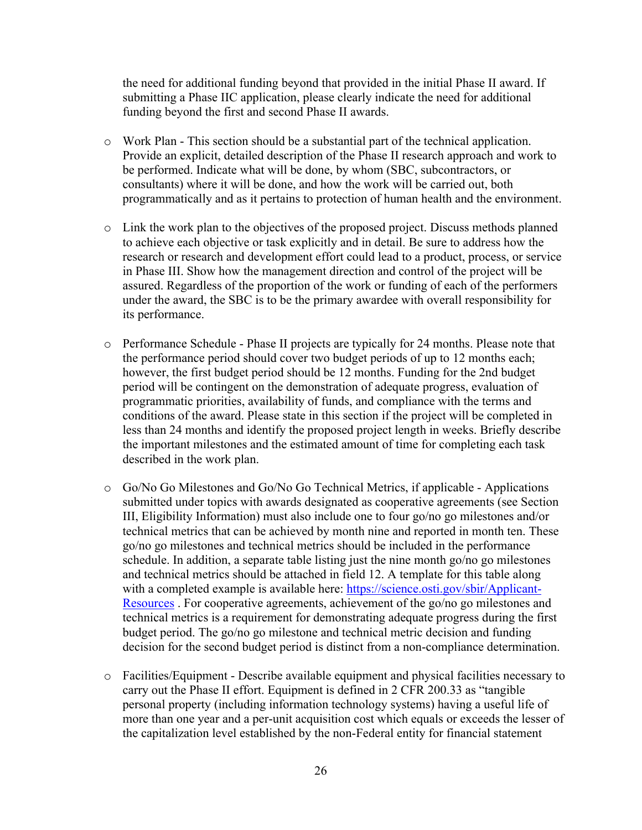the need for additional funding beyond that provided in the initial Phase II award. If submitting a Phase IIC application, please clearly indicate the need for additional funding beyond the first and second Phase II awards.

- $\circ$  Work Plan This section should be a substantial part of the technical application. Provide an explicit, detailed description of the Phase II research approach and work to be performed. Indicate what will be done, by whom (SBC, subcontractors, or consultants) where it will be done, and how the work will be carried out, both programmatically and as it pertains to protection of human health and the environment.
- o Link the work plan to the objectives of the proposed project. Discuss methods planned to achieve each objective or task explicitly and in detail. Be sure to address how the research or research and development effort could lead to a product, process, or service in Phase III. Show how the management direction and control of the project will be assured. Regardless of the proportion of the work or funding of each of the performers under the award, the SBC is to be the primary awardee with overall responsibility for its performance.
- o Performance Schedule Phase II projects are typically for 24 months. Please note that the performance period should cover two budget periods of up to 12 months each; however, the first budget period should be 12 months. Funding for the 2nd budget period will be contingent on the demonstration of adequate progress, evaluation of programmatic priorities, availability of funds, and compliance with the terms and conditions of the award. Please state in this section if the project will be completed in less than 24 months and identify the proposed project length in weeks. Briefly describe the important milestones and the estimated amount of time for completing each task described in the work plan.
- o Go/No Go Milestones and Go/No Go Technical Metrics, if applicable Applications submitted under topics with awards designated as cooperative agreements (see Section III, Eligibility Information) must also include one to four go/no go milestones and/or technical metrics that can be achieved by month nine and reported in month ten. These go/no go milestones and technical metrics should be included in the performance schedule. In addition, a separate table listing just the nine month go/no go milestones and technical metrics should be attached in field 12. A template for this table along with a completed example is available here: https://science.osti.gov/sbir/Applicant-Resources . For cooperative agreements, achievement of the go/no go milestones and technical metrics is a requirement for demonstrating adequate progress during the first budget period. The go/no go milestone and technical metric decision and funding decision for the second budget period is distinct from a non-compliance determination.
- o Facilities/Equipment Describe available equipment and physical facilities necessary to carry out the Phase II effort. Equipment is defined in 2 CFR 200.33 as "tangible personal property (including information technology systems) having a useful life of more than one year and a per-unit acquisition cost which equals or exceeds the lesser of the capitalization level established by the non-Federal entity for financial statement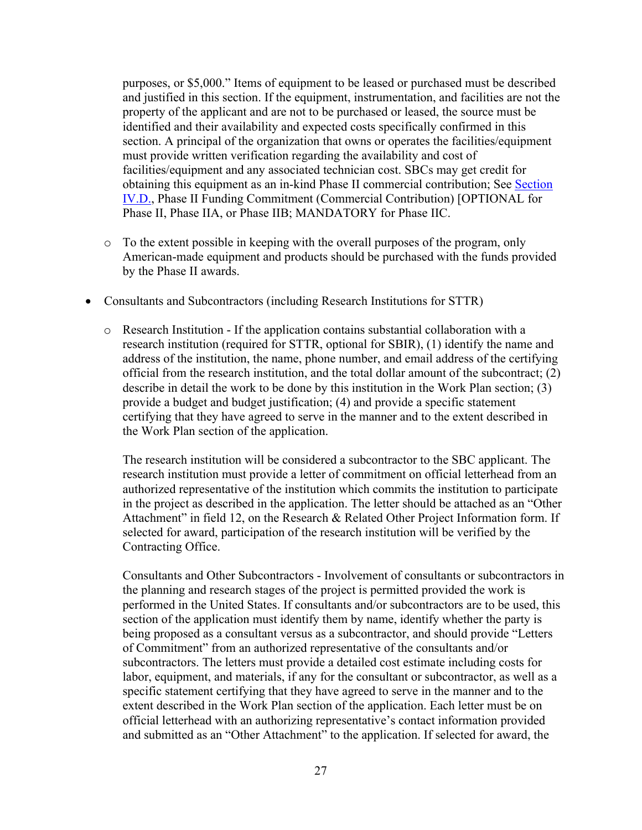purposes, or \$5,000." Items of equipment to be leased or purchased must be described and justified in this section. If the equipment, instrumentation, and facilities are not the property of the applicant and are not to be purchased or leased, the source must be identified and their availability and expected costs specifically confirmed in this section. A principal of the organization that owns or operates the facilities/equipment must provide written verification regarding the availability and cost of facilities/equipment and any associated technician cost. SBCs may get credit for obtaining this equipment as an in-kind Phase II commercial contribution; See Section IV.D., Phase II Funding Commitment (Commercial Contribution) [OPTIONAL for Phase II, Phase IIA, or Phase IIB; MANDATORY for Phase IIC.

- o To the extent possible in keeping with the overall purposes of the program, only American-made equipment and products should be purchased with the funds provided by the Phase II awards.
- Consultants and Subcontractors (including Research Institutions for STTR)
	- o Research Institution If the application contains substantial collaboration with a research institution (required for STTR, optional for SBIR), (1) identify the name and address of the institution, the name, phone number, and email address of the certifying official from the research institution, and the total dollar amount of the subcontract; (2) describe in detail the work to be done by this institution in the Work Plan section; (3) provide a budget and budget justification; (4) and provide a specific statement certifying that they have agreed to serve in the manner and to the extent described in the Work Plan section of the application.

The research institution will be considered a subcontractor to the SBC applicant. The research institution must provide a letter of commitment on official letterhead from an authorized representative of the institution which commits the institution to participate in the project as described in the application. The letter should be attached as an "Other Attachment" in field 12, on the Research & Related Other Project Information form. If selected for award, participation of the research institution will be verified by the Contracting Office.

Consultants and Other Subcontractors - Involvement of consultants or subcontractors in the planning and research stages of the project is permitted provided the work is performed in the United States. If consultants and/or subcontractors are to be used, this section of the application must identify them by name, identify whether the party is being proposed as a consultant versus as a subcontractor, and should provide "Letters of Commitment" from an authorized representative of the consultants and/or subcontractors. The letters must provide a detailed cost estimate including costs for labor, equipment, and materials, if any for the consultant or subcontractor, as well as a specific statement certifying that they have agreed to serve in the manner and to the extent described in the Work Plan section of the application. Each letter must be on official letterhead with an authorizing representative's contact information provided and submitted as an "Other Attachment" to the application. If selected for award, the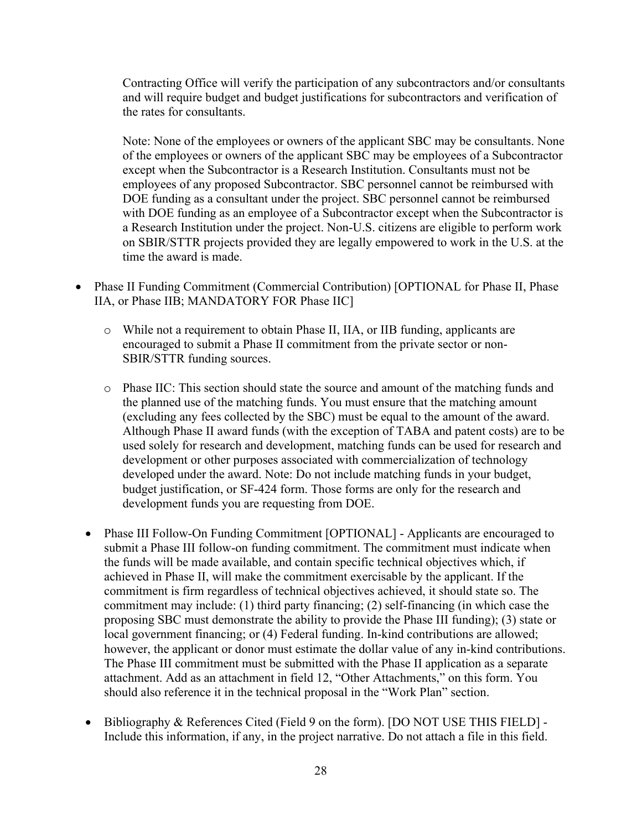Contracting Office will verify the participation of any subcontractors and/or consultants and will require budget and budget justifications for subcontractors and verification of the rates for consultants.

Note: None of the employees or owners of the applicant SBC may be consultants. None of the employees or owners of the applicant SBC may be employees of a Subcontractor except when the Subcontractor is a Research Institution. Consultants must not be employees of any proposed Subcontractor. SBC personnel cannot be reimbursed with DOE funding as a consultant under the project. SBC personnel cannot be reimbursed with DOE funding as an employee of a Subcontractor except when the Subcontractor is a Research Institution under the project. Non-U.S. citizens are eligible to perform work on SBIR/STTR projects provided they are legally empowered to work in the U.S. at the time the award is made.

- Phase II Funding Commitment (Commercial Contribution) [OPTIONAL for Phase II, Phase IIA, or Phase IIB; MANDATORY FOR Phase IIC]
	- o While not a requirement to obtain Phase II, IIA, or IIB funding, applicants are encouraged to submit a Phase II commitment from the private sector or non-SBIR/STTR funding sources.
	- o Phase IIC: This section should state the source and amount of the matching funds and the planned use of the matching funds. You must ensure that the matching amount (excluding any fees collected by the SBC) must be equal to the amount of the award. Although Phase II award funds (with the exception of TABA and patent costs) are to be used solely for research and development, matching funds can be used for research and development or other purposes associated with commercialization of technology developed under the award. Note: Do not include matching funds in your budget, budget justification, or SF-424 form. Those forms are only for the research and development funds you are requesting from DOE.
	- Phase III Follow-On Funding Commitment [OPTIONAL] Applicants are encouraged to submit a Phase III follow-on funding commitment. The commitment must indicate when the funds will be made available, and contain specific technical objectives which, if achieved in Phase II, will make the commitment exercisable by the applicant. If the commitment is firm regardless of technical objectives achieved, it should state so. The commitment may include: (1) third party financing; (2) self-financing (in which case the proposing SBC must demonstrate the ability to provide the Phase III funding); (3) state or local government financing; or (4) Federal funding. In-kind contributions are allowed; however, the applicant or donor must estimate the dollar value of any in-kind contributions. The Phase III commitment must be submitted with the Phase II application as a separate attachment. Add as an attachment in field 12, "Other Attachments," on this form. You should also reference it in the technical proposal in the "Work Plan" section.
	- Bibliography & References Cited (Field 9 on the form). [DO NOT USE THIS FIELD] Include this information, if any, in the project narrative. Do not attach a file in this field.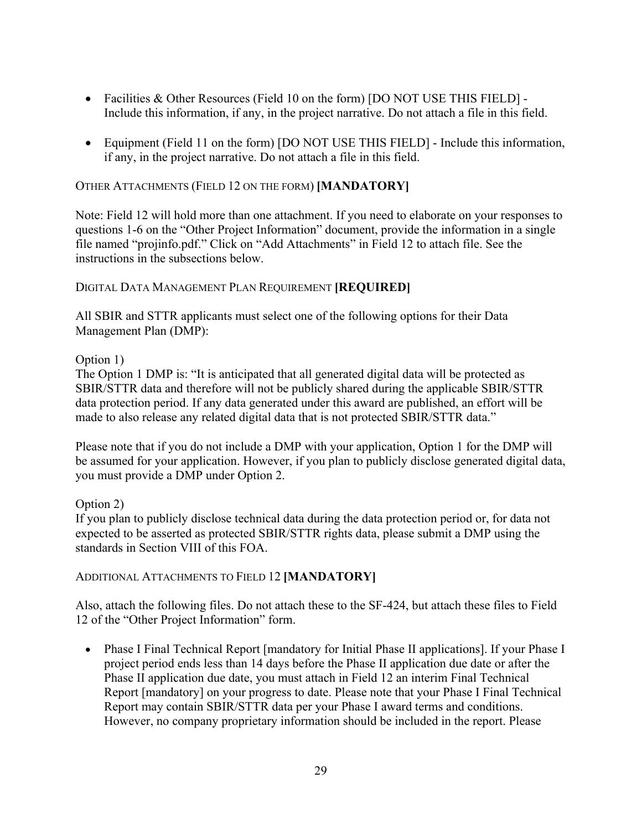- Facilities & Other Resources (Field 10 on the form) [DO NOT USE THIS FIELD] -Include this information, if any, in the project narrative. Do not attach a file in this field.
- Equipment (Field 11 on the form) [DO NOT USE THIS FIELD] Include this information, if any, in the project narrative. Do not attach a file in this field.

### OTHER ATTACHMENTS (FIELD 12 ON THE FORM) **[MANDATORY]**

Note: Field 12 will hold more than one attachment. If you need to elaborate on your responses to questions 1-6 on the "Other Project Information" document, provide the information in a single file named "projinfo.pdf." Click on "Add Attachments" in Field 12 to attach file. See the instructions in the subsections below.

### DIGITAL DATA MANAGEMENT PLAN REQUIREMENT **[REQUIRED]**

All SBIR and STTR applicants must select one of the following options for their Data Management Plan (DMP):

### Option 1)

The Option 1 DMP is: "It is anticipated that all generated digital data will be protected as SBIR/STTR data and therefore will not be publicly shared during the applicable SBIR/STTR data protection period. If any data generated under this award are published, an effort will be made to also release any related digital data that is not protected SBIR/STTR data."

Please note that if you do not include a DMP with your application, Option 1 for the DMP will be assumed for your application. However, if you plan to publicly disclose generated digital data, you must provide a DMP under Option 2.

Option 2)

If you plan to publicly disclose technical data during the data protection period or, for data not expected to be asserted as protected SBIR/STTR rights data, please submit a DMP using the standards in Section VIII of this FOA.

### ADDITIONAL ATTACHMENTS TO FIELD 12 **[MANDATORY]**

Also, attach the following files. Do not attach these to the SF-424, but attach these files to Field 12 of the "Other Project Information" form.

• Phase I Final Technical Report [mandatory for Initial Phase II applications]. If your Phase I project period ends less than 14 days before the Phase II application due date or after the Phase II application due date, you must attach in Field 12 an interim Final Technical Report [mandatory] on your progress to date. Please note that your Phase I Final Technical Report may contain SBIR/STTR data per your Phase I award terms and conditions. However, no company proprietary information should be included in the report. Please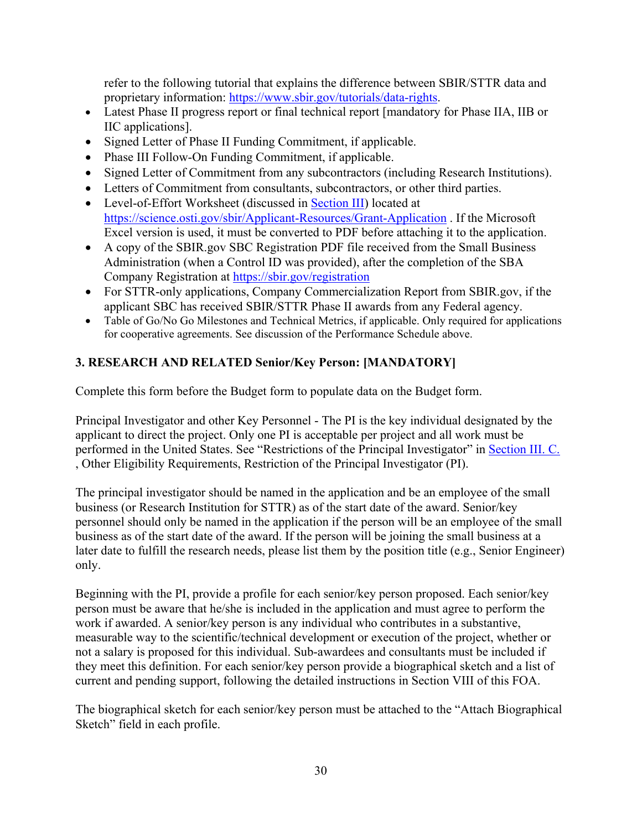refer to the following tutorial that explains the difference between SBIR/STTR data and proprietary information: https://www.sbir.gov/tutorials/data-rights.

- Latest Phase II progress report or final technical report [mandatory for Phase IIA, IIB or IIC applications].
- Signed Letter of Phase II Funding Commitment, if applicable.
- Phase III Follow-On Funding Commitment, if applicable.
- Signed Letter of Commitment from any subcontractors (including Research Institutions).
- Letters of Commitment from consultants, subcontractors, or other third parties.
- Level-of-Effort Worksheet (discussed in Section III) located at https://science.osti.gov/sbir/Applicant-Resources/Grant-Application . If the Microsoft Excel version is used, it must be converted to PDF before attaching it to the application.
- A copy of the SBIR.gov SBC Registration PDF file received from the Small Business Administration (when a Control ID was provided), after the completion of the SBA Company Registration at https://sbir.gov/registration
- For STTR-only applications, Company Commercialization Report from SBIR.gov, if the applicant SBC has received SBIR/STTR Phase II awards from any Federal agency.
- Table of Go/No Go Milestones and Technical Metrics, if applicable. Only required for applications for cooperative agreements. See discussion of the Performance Schedule above.

# **3. RESEARCH AND RELATED Senior/Key Person: [MANDATORY]**

Complete this form before the Budget form to populate data on the Budget form.

Principal Investigator and other Key Personnel - The PI is the key individual designated by the applicant to direct the project. Only one PI is acceptable per project and all work must be performed in the United States. See "Restrictions of the Principal Investigator" in Section III. C. , Other Eligibility Requirements, Restriction of the Principal Investigator (PI).

The principal investigator should be named in the application and be an employee of the small business (or Research Institution for STTR) as of the start date of the award. Senior/key personnel should only be named in the application if the person will be an employee of the small business as of the start date of the award. If the person will be joining the small business at a later date to fulfill the research needs, please list them by the position title (e.g., Senior Engineer) only.

Beginning with the PI, provide a profile for each senior/key person proposed. Each senior/key person must be aware that he/she is included in the application and must agree to perform the work if awarded. A senior/key person is any individual who contributes in a substantive, measurable way to the scientific/technical development or execution of the project, whether or not a salary is proposed for this individual. Sub-awardees and consultants must be included if they meet this definition. For each senior/key person provide a biographical sketch and a list of current and pending support, following the detailed instructions in Section VIII of this FOA.

The biographical sketch for each senior/key person must be attached to the "Attach Biographical Sketch" field in each profile.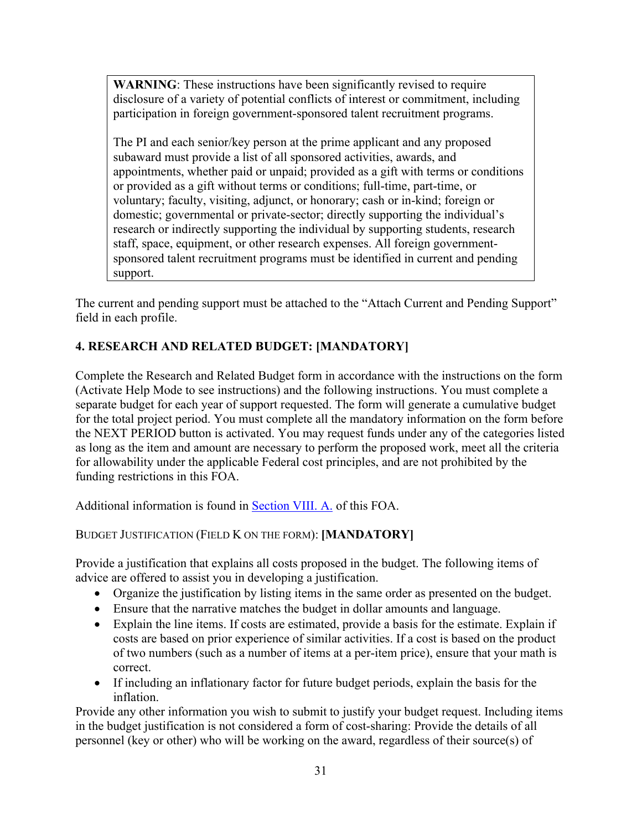**WARNING**: These instructions have been significantly revised to require disclosure of a variety of potential conflicts of interest or commitment, including participation in foreign government-sponsored talent recruitment programs.

The PI and each senior/key person at the prime applicant and any proposed subaward must provide a list of all sponsored activities, awards, and appointments, whether paid or unpaid; provided as a gift with terms or conditions or provided as a gift without terms or conditions; full-time, part-time, or voluntary; faculty, visiting, adjunct, or honorary; cash or in-kind; foreign or domestic; governmental or private-sector; directly supporting the individual's research or indirectly supporting the individual by supporting students, research staff, space, equipment, or other research expenses. All foreign governmentsponsored talent recruitment programs must be identified in current and pending support.

The current and pending support must be attached to the "Attach Current and Pending Support" field in each profile.

# **4. RESEARCH AND RELATED BUDGET: [MANDATORY]**

Complete the Research and Related Budget form in accordance with the instructions on the form (Activate Help Mode to see instructions) and the following instructions. You must complete a separate budget for each year of support requested. The form will generate a cumulative budget for the total project period. You must complete all the mandatory information on the form before the NEXT PERIOD button is activated. You may request funds under any of the categories listed as long as the item and amount are necessary to perform the proposed work, meet all the criteria for allowability under the applicable Federal cost principles, and are not prohibited by the funding restrictions in this FOA.

Additional information is found in Section VIII. A. of this FOA.

# BUDGET JUSTIFICATION (FIELD K ON THE FORM): **[MANDATORY]**

Provide a justification that explains all costs proposed in the budget. The following items of advice are offered to assist you in developing a justification.

- Organize the justification by listing items in the same order as presented on the budget.
- Ensure that the narrative matches the budget in dollar amounts and language.
- Explain the line items. If costs are estimated, provide a basis for the estimate. Explain if costs are based on prior experience of similar activities. If a cost is based on the product of two numbers (such as a number of items at a per-item price), ensure that your math is correct.
- If including an inflationary factor for future budget periods, explain the basis for the inflation.

Provide any other information you wish to submit to justify your budget request. Including items in the budget justification is not considered a form of cost-sharing: Provide the details of all personnel (key or other) who will be working on the award, regardless of their source(s) of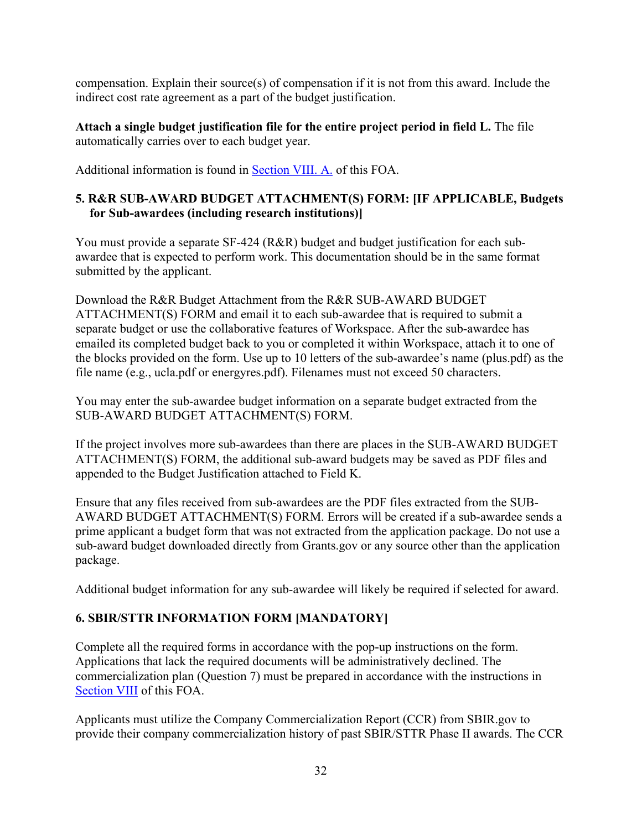compensation. Explain their source(s) of compensation if it is not from this award. Include the indirect cost rate agreement as a part of the budget justification.

**Attach a single budget justification file for the entire project period in field L.** The file automatically carries over to each budget year.

Additional information is found in Section VIII. A. of this FOA.

# **5. R&R SUB-AWARD BUDGET ATTACHMENT(S) FORM: [IF APPLICABLE, Budgets for Sub-awardees (including research institutions)]**

You must provide a separate SF-424 (R&R) budget and budget justification for each subawardee that is expected to perform work. This documentation should be in the same format submitted by the applicant.

Download the R&R Budget Attachment from the R&R SUB-AWARD BUDGET ATTACHMENT(S) FORM and email it to each sub-awardee that is required to submit a separate budget or use the collaborative features of Workspace. After the sub-awardee has emailed its completed budget back to you or completed it within Workspace, attach it to one of the blocks provided on the form. Use up to 10 letters of the sub-awardee's name (plus.pdf) as the file name (e.g., ucla.pdf or energyres.pdf). Filenames must not exceed 50 characters.

You may enter the sub-awardee budget information on a separate budget extracted from the SUB-AWARD BUDGET ATTACHMENT(S) FORM.

If the project involves more sub-awardees than there are places in the SUB-AWARD BUDGET ATTACHMENT(S) FORM, the additional sub-award budgets may be saved as PDF files and appended to the Budget Justification attached to Field K.

Ensure that any files received from sub-awardees are the PDF files extracted from the SUB-AWARD BUDGET ATTACHMENT(S) FORM. Errors will be created if a sub-awardee sends a prime applicant a budget form that was not extracted from the application package. Do not use a sub-award budget downloaded directly from Grants.gov or any source other than the application package.

Additional budget information for any sub-awardee will likely be required if selected for award.

# **6. SBIR/STTR INFORMATION FORM [MANDATORY]**

Complete all the required forms in accordance with the pop-up instructions on the form. Applications that lack the required documents will be administratively declined. The commercialization plan (Question 7) must be prepared in accordance with the instructions in Section VIII of this FOA.

Applicants must utilize the Company Commercialization Report (CCR) from SBIR.gov to provide their company commercialization history of past SBIR/STTR Phase II awards. The CCR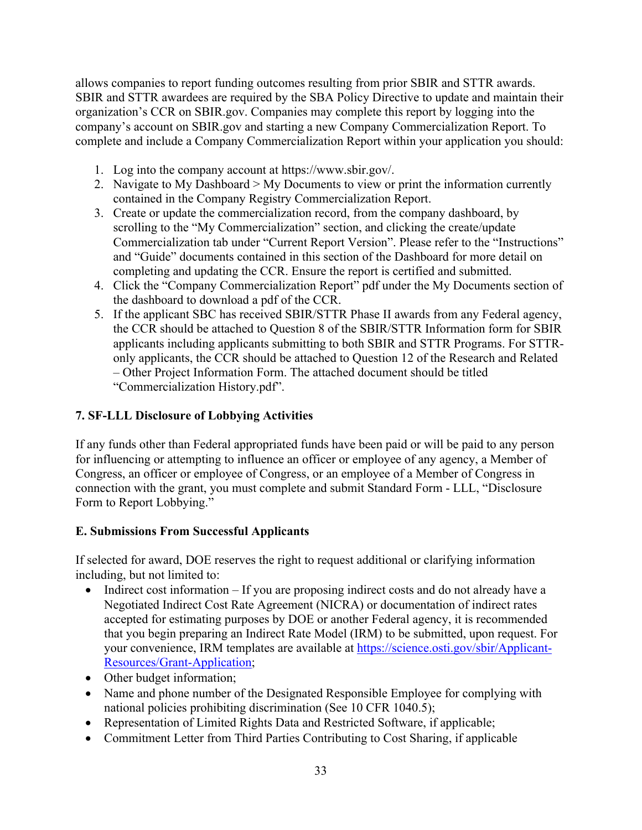allows companies to report funding outcomes resulting from prior SBIR and STTR awards. SBIR and STTR awardees are required by the SBA Policy Directive to update and maintain their organization's CCR on SBIR.gov. Companies may complete this report by logging into the company's account on SBIR.gov and starting a new Company Commercialization Report. To complete and include a Company Commercialization Report within your application you should:

- 1. Log into the company account at https://www.sbir.gov/.
- 2. Navigate to My Dashboard > My Documents to view or print the information currently contained in the Company Registry Commercialization Report.
- 3. Create or update the commercialization record, from the company dashboard, by scrolling to the "My Commercialization" section, and clicking the create/update Commercialization tab under "Current Report Version". Please refer to the "Instructions" and "Guide" documents contained in this section of the Dashboard for more detail on completing and updating the CCR. Ensure the report is certified and submitted.
- 4. Click the "Company Commercialization Report" pdf under the My Documents section of the dashboard to download a pdf of the CCR.
- 5. If the applicant SBC has received SBIR/STTR Phase II awards from any Federal agency, the CCR should be attached to Question 8 of the SBIR/STTR Information form for SBIR applicants including applicants submitting to both SBIR and STTR Programs. For STTRonly applicants, the CCR should be attached to Question 12 of the Research and Related – Other Project Information Form. The attached document should be titled "Commercialization History.pdf".

# **7. SF-LLL Disclosure of Lobbying Activities**

If any funds other than Federal appropriated funds have been paid or will be paid to any person for influencing or attempting to influence an officer or employee of any agency, a Member of Congress, an officer or employee of Congress, or an employee of a Member of Congress in connection with the grant, you must complete and submit Standard Form - LLL, "Disclosure Form to Report Lobbying."

## **E. Submissions From Successful Applicants**

If selected for award, DOE reserves the right to request additional or clarifying information including, but not limited to:

- Indirect cost information If you are proposing indirect costs and do not already have a Negotiated Indirect Cost Rate Agreement (NICRA) or documentation of indirect rates accepted for estimating purposes by DOE or another Federal agency, it is recommended that you begin preparing an Indirect Rate Model (IRM) to be submitted, upon request. For your convenience, IRM templates are available at https://science.osti.gov/sbir/Applicant-Resources/Grant-Application;
- Other budget information;
- Name and phone number of the Designated Responsible Employee for complying with national policies prohibiting discrimination (See 10 CFR 1040.5);
- Representation of Limited Rights Data and Restricted Software, if applicable;
- Commitment Letter from Third Parties Contributing to Cost Sharing, if applicable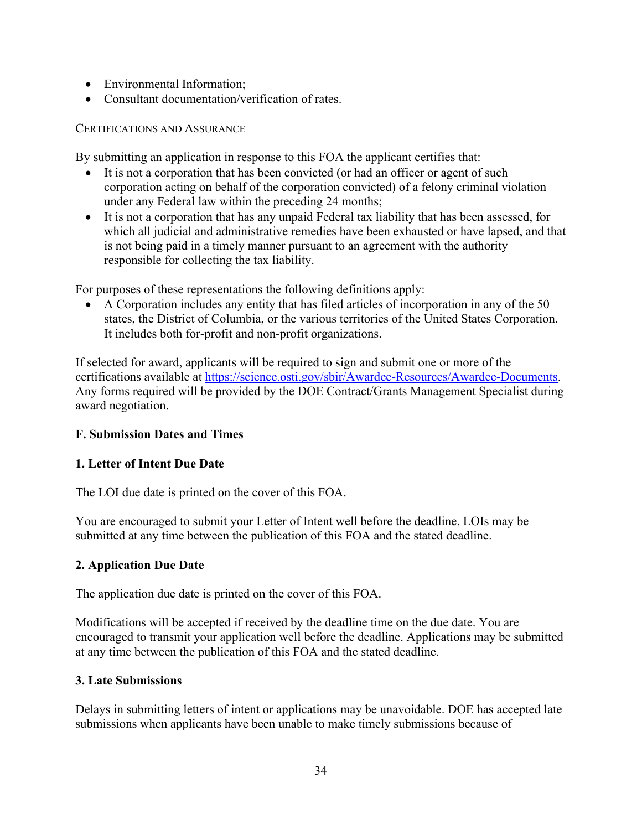- Environmental Information:
- Consultant documentation/verification of rates.

### CERTIFICATIONS AND ASSURANCE

By submitting an application in response to this FOA the applicant certifies that:

- It is not a corporation that has been convicted (or had an officer or agent of such corporation acting on behalf of the corporation convicted) of a felony criminal violation under any Federal law within the preceding 24 months;
- It is not a corporation that has any unpaid Federal tax liability that has been assessed, for which all judicial and administrative remedies have been exhausted or have lapsed, and that is not being paid in a timely manner pursuant to an agreement with the authority responsible for collecting the tax liability.

For purposes of these representations the following definitions apply:

 A Corporation includes any entity that has filed articles of incorporation in any of the 50 states, the District of Columbia, or the various territories of the United States Corporation. It includes both for-profit and non-profit organizations.

If selected for award, applicants will be required to sign and submit one or more of the certifications available at https://science.osti.gov/sbir/Awardee-Resources/Awardee-Documents. Any forms required will be provided by the DOE Contract/Grants Management Specialist during award negotiation.

# **F. Submission Dates and Times**

## **1. Letter of Intent Due Date**

The LOI due date is printed on the cover of this FOA.

You are encouraged to submit your Letter of Intent well before the deadline. LOIs may be submitted at any time between the publication of this FOA and the stated deadline.

## **2. Application Due Date**

The application due date is printed on the cover of this FOA.

Modifications will be accepted if received by the deadline time on the due date. You are encouraged to transmit your application well before the deadline. Applications may be submitted at any time between the publication of this FOA and the stated deadline.

## **3. Late Submissions**

Delays in submitting letters of intent or applications may be unavoidable. DOE has accepted late submissions when applicants have been unable to make timely submissions because of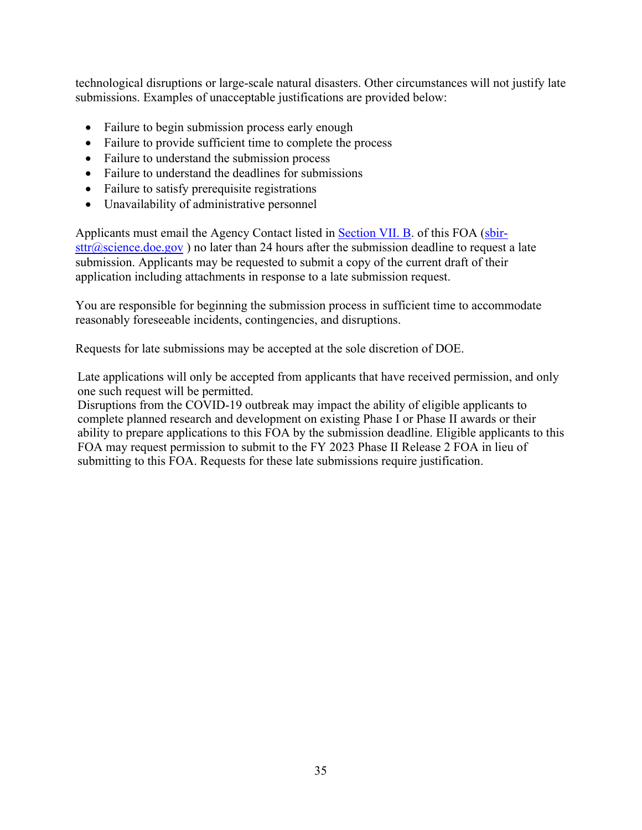technological disruptions or large-scale natural disasters. Other circumstances will not justify late submissions. Examples of unacceptable justifications are provided below:

- Failure to begin submission process early enough
- Failure to provide sufficient time to complete the process
- Failure to understand the submission process
- Failure to understand the deadlines for submissions
- Failure to satisfy prerequisite registrations
- Unavailability of administrative personnel

Applicants must email the Agency Contact listed in **Section VII. B.** of this FOA (sbir $str(\widehat{\omega})$  science.doe.gov) no later than 24 hours after the submission deadline to request a late submission. Applicants may be requested to submit a copy of the current draft of their application including attachments in response to a late submission request.

You are responsible for beginning the submission process in sufficient time to accommodate reasonably foreseeable incidents, contingencies, and disruptions.

Requests for late submissions may be accepted at the sole discretion of DOE.

Late applications will only be accepted from applicants that have received permission, and only one such request will be permitted.

Disruptions from the COVID-19 outbreak may impact the ability of eligible applicants to complete planned research and development on existing Phase I or Phase II awards or their ability to prepare applications to this FOA by the submission deadline. Eligible applicants to this FOA may request permission to submit to the FY 2023 Phase II Release 2 FOA in lieu of submitting to this FOA. Requests for these late submissions require justification.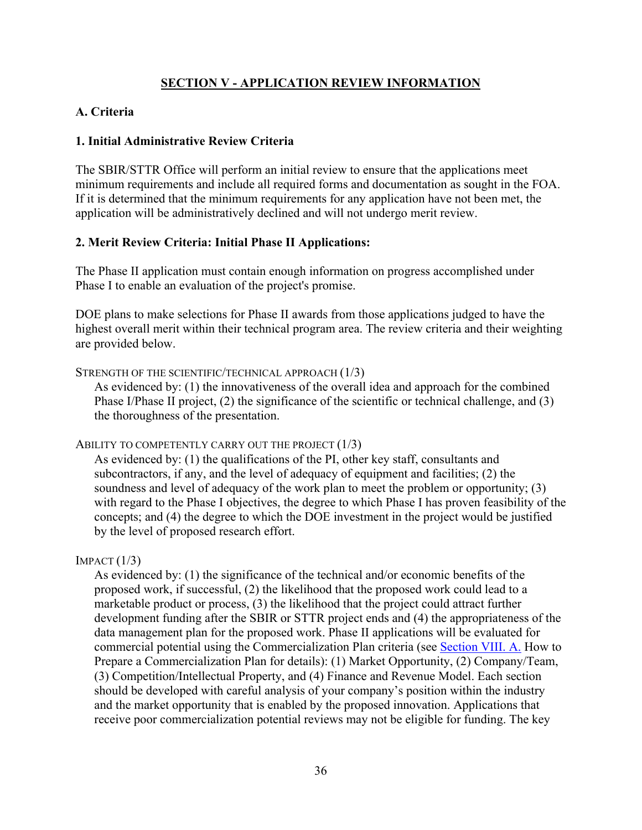## **SECTION V - APPLICATION REVIEW INFORMATION**

# **A. Criteria**

## **1. Initial Administrative Review Criteria**

The SBIR/STTR Office will perform an initial review to ensure that the applications meet minimum requirements and include all required forms and documentation as sought in the FOA. If it is determined that the minimum requirements for any application have not been met, the application will be administratively declined and will not undergo merit review.

## **2. Merit Review Criteria: Initial Phase II Applications:**

The Phase II application must contain enough information on progress accomplished under Phase I to enable an evaluation of the project's promise.

DOE plans to make selections for Phase II awards from those applications judged to have the highest overall merit within their technical program area. The review criteria and their weighting are provided below.

STRENGTH OF THE SCIENTIFIC/TECHNICAL APPROACH (1/3)

As evidenced by: (1) the innovativeness of the overall idea and approach for the combined Phase I/Phase II project, (2) the significance of the scientific or technical challenge, and (3) the thoroughness of the presentation.

### ABILITY TO COMPETENTLY CARRY OUT THE PROJECT (1/3)

As evidenced by: (1) the qualifications of the PI, other key staff, consultants and subcontractors, if any, and the level of adequacy of equipment and facilities; (2) the soundness and level of adequacy of the work plan to meet the problem or opportunity; (3) with regard to the Phase I objectives, the degree to which Phase I has proven feasibility of the concepts; and (4) the degree to which the DOE investment in the project would be justified by the level of proposed research effort.

### $IMFACT (1/3)$

As evidenced by: (1) the significance of the technical and/or economic benefits of the proposed work, if successful, (2) the likelihood that the proposed work could lead to a marketable product or process, (3) the likelihood that the project could attract further development funding after the SBIR or STTR project ends and (4) the appropriateness of the data management plan for the proposed work. Phase II applications will be evaluated for commercial potential using the Commercialization Plan criteria (see Section VIII. A. How to Prepare a Commercialization Plan for details): (1) Market Opportunity, (2) Company/Team, (3) Competition/Intellectual Property, and (4) Finance and Revenue Model. Each section should be developed with careful analysis of your company's position within the industry and the market opportunity that is enabled by the proposed innovation. Applications that receive poor commercialization potential reviews may not be eligible for funding. The key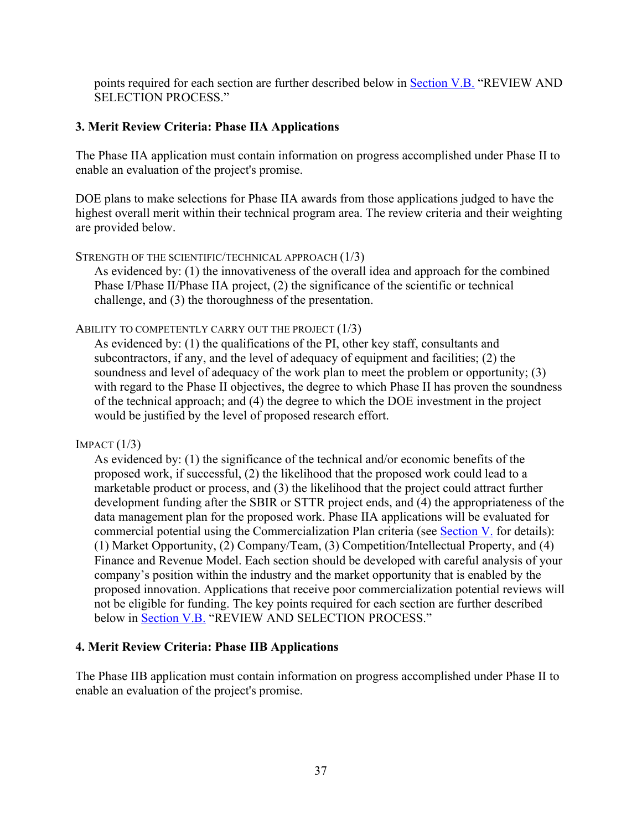points required for each section are further described below in Section V.B. "REVIEW AND SELECTION PROCESS."

### **3. Merit Review Criteria: Phase IIA Applications**

The Phase IIA application must contain information on progress accomplished under Phase II to enable an evaluation of the project's promise.

DOE plans to make selections for Phase IIA awards from those applications judged to have the highest overall merit within their technical program area. The review criteria and their weighting are provided below.

STRENGTH OF THE SCIENTIFIC/TECHNICAL APPROACH (1/3)

As evidenced by: (1) the innovativeness of the overall idea and approach for the combined Phase I/Phase II/Phase IIA project, (2) the significance of the scientific or technical challenge, and (3) the thoroughness of the presentation.

ABILITY TO COMPETENTLY CARRY OUT THE PROJECT (1/3)

As evidenced by: (1) the qualifications of the PI, other key staff, consultants and subcontractors, if any, and the level of adequacy of equipment and facilities; (2) the soundness and level of adequacy of the work plan to meet the problem or opportunity; (3) with regard to the Phase II objectives, the degree to which Phase II has proven the soundness of the technical approach; and (4) the degree to which the DOE investment in the project would be justified by the level of proposed research effort.

 $IMPACT (1/3)$ 

As evidenced by: (1) the significance of the technical and/or economic benefits of the proposed work, if successful, (2) the likelihood that the proposed work could lead to a marketable product or process, and (3) the likelihood that the project could attract further development funding after the SBIR or STTR project ends, and (4) the appropriateness of the data management plan for the proposed work. Phase IIA applications will be evaluated for commercial potential using the Commercialization Plan criteria (see Section V. for details): (1) Market Opportunity, (2) Company/Team, (3) Competition/Intellectual Property, and (4) Finance and Revenue Model. Each section should be developed with careful analysis of your company's position within the industry and the market opportunity that is enabled by the proposed innovation. Applications that receive poor commercialization potential reviews will not be eligible for funding. The key points required for each section are further described below in Section V.B. "REVIEW AND SELECTION PROCESS."

### **4. Merit Review Criteria: Phase IIB Applications**

The Phase IIB application must contain information on progress accomplished under Phase II to enable an evaluation of the project's promise.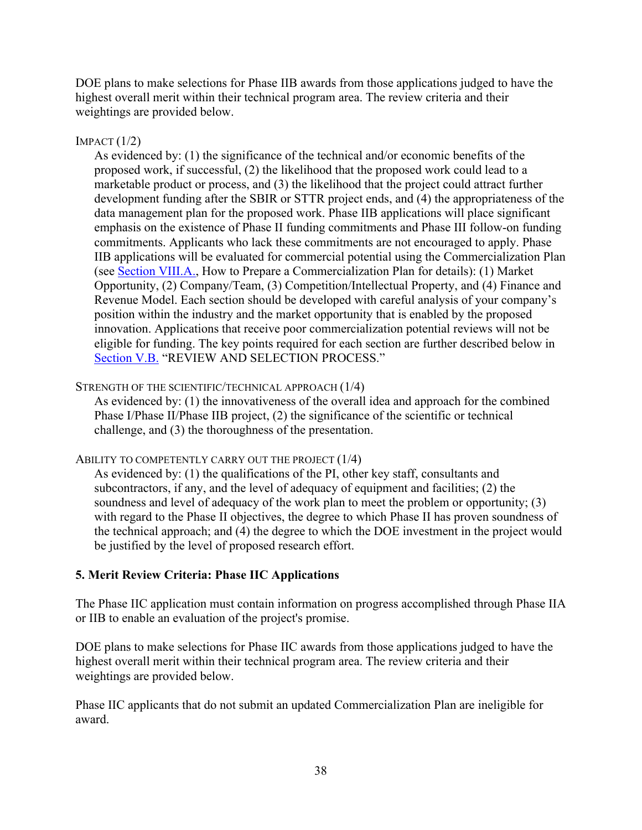DOE plans to make selections for Phase IIB awards from those applications judged to have the highest overall merit within their technical program area. The review criteria and their weightings are provided below.

### $IMPACT (1/2)$

As evidenced by: (1) the significance of the technical and/or economic benefits of the proposed work, if successful, (2) the likelihood that the proposed work could lead to a marketable product or process, and (3) the likelihood that the project could attract further development funding after the SBIR or STTR project ends, and (4) the appropriateness of the data management plan for the proposed work. Phase IIB applications will place significant emphasis on the existence of Phase II funding commitments and Phase III follow-on funding commitments. Applicants who lack these commitments are not encouraged to apply. Phase IIB applications will be evaluated for commercial potential using the Commercialization Plan (see Section VIII.A., How to Prepare a Commercialization Plan for details): (1) Market Opportunity, (2) Company/Team, (3) Competition/Intellectual Property, and (4) Finance and Revenue Model. Each section should be developed with careful analysis of your company's position within the industry and the market opportunity that is enabled by the proposed innovation. Applications that receive poor commercialization potential reviews will not be eligible for funding. The key points required for each section are further described below in Section V.B. "REVIEW AND SELECTION PROCESS."

### STRENGTH OF THE SCIENTIFIC/TECHNICAL APPROACH (1/4)

As evidenced by: (1) the innovativeness of the overall idea and approach for the combined Phase I/Phase II/Phase IIB project, (2) the significance of the scientific or technical challenge, and (3) the thoroughness of the presentation.

### ABILITY TO COMPETENTLY CARRY OUT THE PROJECT (1/4)

As evidenced by: (1) the qualifications of the PI, other key staff, consultants and subcontractors, if any, and the level of adequacy of equipment and facilities; (2) the soundness and level of adequacy of the work plan to meet the problem or opportunity; (3) with regard to the Phase II objectives, the degree to which Phase II has proven soundness of the technical approach; and (4) the degree to which the DOE investment in the project would be justified by the level of proposed research effort.

## **5. Merit Review Criteria: Phase IIC Applications**

The Phase IIC application must contain information on progress accomplished through Phase IIA or IIB to enable an evaluation of the project's promise.

DOE plans to make selections for Phase IIC awards from those applications judged to have the highest overall merit within their technical program area. The review criteria and their weightings are provided below.

Phase IIC applicants that do not submit an updated Commercialization Plan are ineligible for award.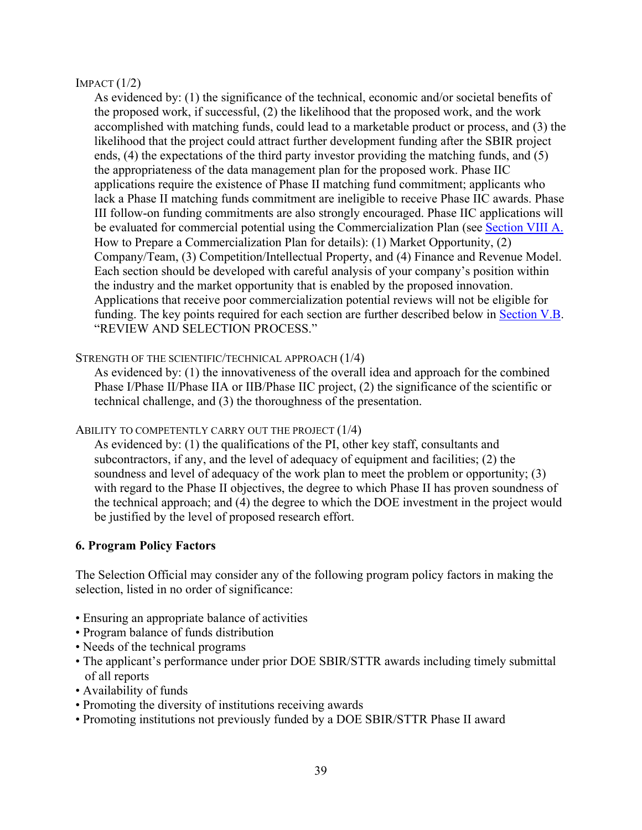#### $IMPACT (1/2)$

As evidenced by: (1) the significance of the technical, economic and/or societal benefits of the proposed work, if successful, (2) the likelihood that the proposed work, and the work accomplished with matching funds, could lead to a marketable product or process, and (3) the likelihood that the project could attract further development funding after the SBIR project ends, (4) the expectations of the third party investor providing the matching funds, and (5) the appropriateness of the data management plan for the proposed work. Phase IIC applications require the existence of Phase II matching fund commitment; applicants who lack a Phase II matching funds commitment are ineligible to receive Phase IIC awards. Phase III follow-on funding commitments are also strongly encouraged. Phase IIC applications will be evaluated for commercial potential using the Commercialization Plan (see Section VIII A. How to Prepare a Commercialization Plan for details): (1) Market Opportunity, (2) Company/Team, (3) Competition/Intellectual Property, and (4) Finance and Revenue Model. Each section should be developed with careful analysis of your company's position within the industry and the market opportunity that is enabled by the proposed innovation. Applications that receive poor commercialization potential reviews will not be eligible for funding. The key points required for each section are further described below in Section V.B. "REVIEW AND SELECTION PROCESS."

### STRENGTH OF THE SCIENTIFIC/TECHNICAL APPROACH  $(1/4)$

As evidenced by: (1) the innovativeness of the overall idea and approach for the combined Phase I/Phase II/Phase IIA or IIB/Phase IIC project, (2) the significance of the scientific or technical challenge, and (3) the thoroughness of the presentation.

### ABILITY TO COMPETENTLY CARRY OUT THE PROJECT  $(1/4)$

As evidenced by: (1) the qualifications of the PI, other key staff, consultants and subcontractors, if any, and the level of adequacy of equipment and facilities; (2) the soundness and level of adequacy of the work plan to meet the problem or opportunity; (3) with regard to the Phase II objectives, the degree to which Phase II has proven soundness of the technical approach; and (4) the degree to which the DOE investment in the project would be justified by the level of proposed research effort.

### **6. Program Policy Factors**

The Selection Official may consider any of the following program policy factors in making the selection, listed in no order of significance:

- Ensuring an appropriate balance of activities
- Program balance of funds distribution
- Needs of the technical programs
- The applicant's performance under prior DOE SBIR/STTR awards including timely submittal of all reports
- Availability of funds
- Promoting the diversity of institutions receiving awards
- Promoting institutions not previously funded by a DOE SBIR/STTR Phase II award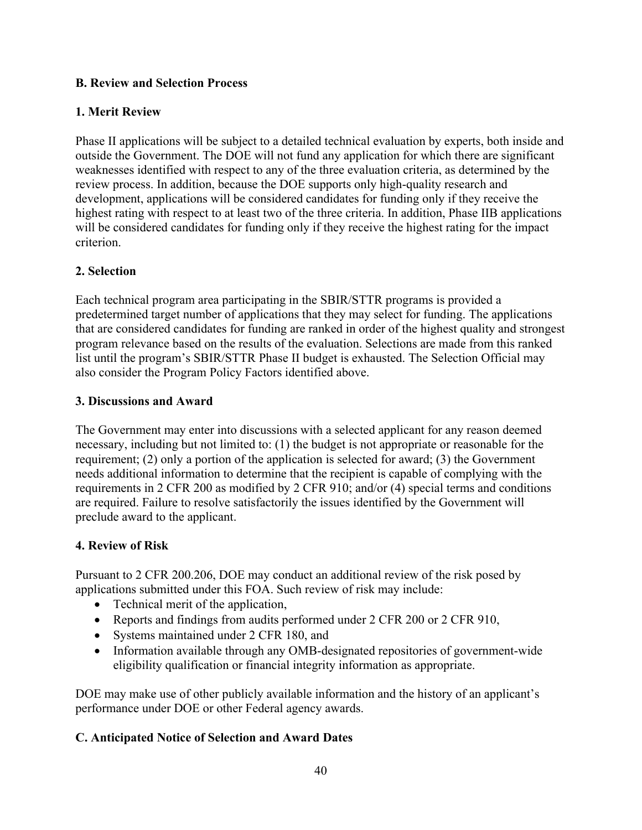## **B. Review and Selection Process**

# **1. Merit Review**

Phase II applications will be subject to a detailed technical evaluation by experts, both inside and outside the Government. The DOE will not fund any application for which there are significant weaknesses identified with respect to any of the three evaluation criteria, as determined by the review process. In addition, because the DOE supports only high-quality research and development, applications will be considered candidates for funding only if they receive the highest rating with respect to at least two of the three criteria. In addition, Phase IIB applications will be considered candidates for funding only if they receive the highest rating for the impact criterion.

## **2. Selection**

Each technical program area participating in the SBIR/STTR programs is provided a predetermined target number of applications that they may select for funding. The applications that are considered candidates for funding are ranked in order of the highest quality and strongest program relevance based on the results of the evaluation. Selections are made from this ranked list until the program's SBIR/STTR Phase II budget is exhausted. The Selection Official may also consider the Program Policy Factors identified above.

## **3. Discussions and Award**

The Government may enter into discussions with a selected applicant for any reason deemed necessary, including but not limited to: (1) the budget is not appropriate or reasonable for the requirement; (2) only a portion of the application is selected for award; (3) the Government needs additional information to determine that the recipient is capable of complying with the requirements in 2 CFR 200 as modified by 2 CFR 910; and/or (4) special terms and conditions are required. Failure to resolve satisfactorily the issues identified by the Government will preclude award to the applicant.

# **4. Review of Risk**

Pursuant to 2 CFR 200.206, DOE may conduct an additional review of the risk posed by applications submitted under this FOA. Such review of risk may include:

- Technical merit of the application,
- Reports and findings from audits performed under 2 CFR 200 or 2 CFR 910,
- Systems maintained under 2 CFR 180, and
- Information available through any OMB-designated repositories of government-wide eligibility qualification or financial integrity information as appropriate.

DOE may make use of other publicly available information and the history of an applicant's performance under DOE or other Federal agency awards.

# **C. Anticipated Notice of Selection and Award Dates**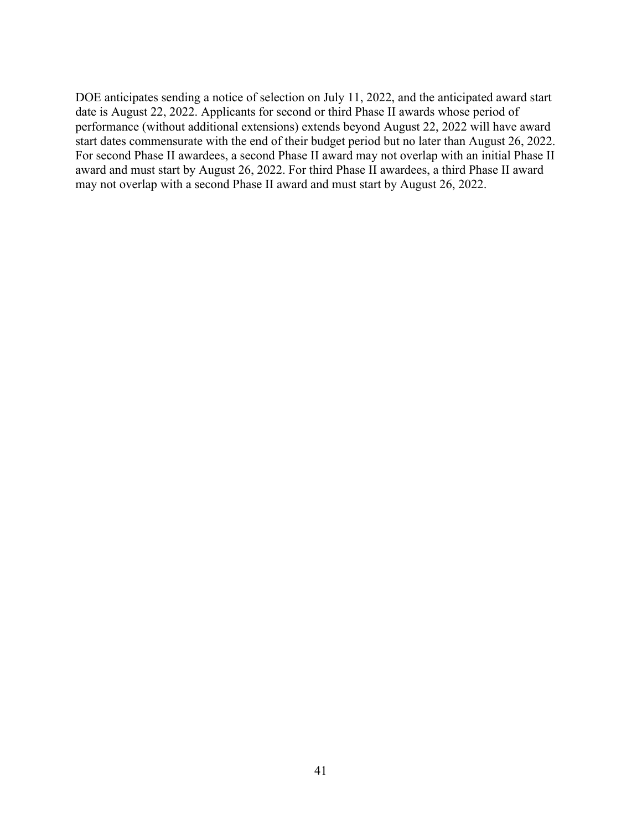DOE anticipates sending a notice of selection on July 11, 2022, and the anticipated award start date is August 22, 2022. Applicants for second or third Phase II awards whose period of performance (without additional extensions) extends beyond August 22, 2022 will have award start dates commensurate with the end of their budget period but no later than August 26, 2022. For second Phase II awardees, a second Phase II award may not overlap with an initial Phase II award and must start by August 26, 2022. For third Phase II awardees, a third Phase II award may not overlap with a second Phase II award and must start by August 26, 2022.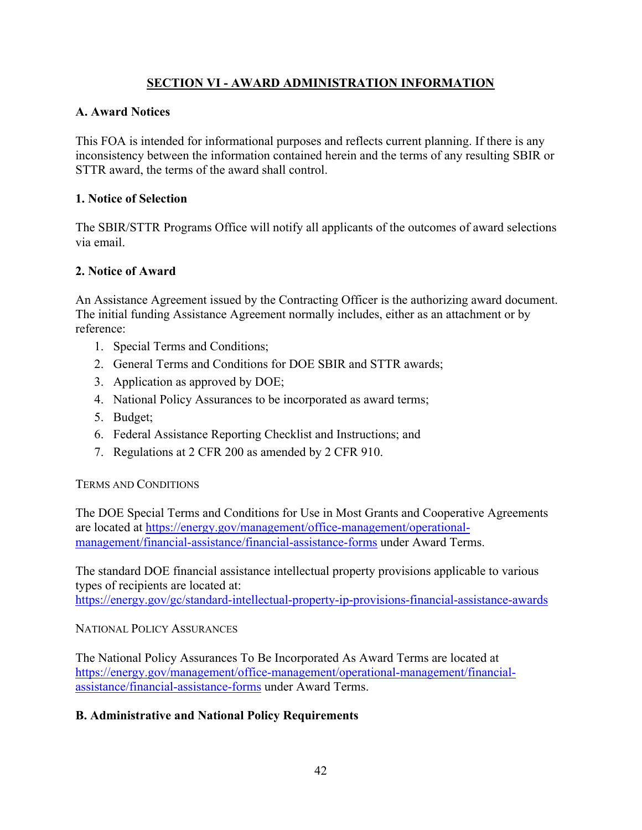# **SECTION VI - AWARD ADMINISTRATION INFORMATION**

### **A. Award Notices**

This FOA is intended for informational purposes and reflects current planning. If there is any inconsistency between the information contained herein and the terms of any resulting SBIR or STTR award, the terms of the award shall control.

### **1. Notice of Selection**

The SBIR/STTR Programs Office will notify all applicants of the outcomes of award selections via email.

### **2. Notice of Award**

An Assistance Agreement issued by the Contracting Officer is the authorizing award document. The initial funding Assistance Agreement normally includes, either as an attachment or by reference:

- 1. Special Terms and Conditions;
- 2. General Terms and Conditions for DOE SBIR and STTR awards;
- 3. Application as approved by DOE;
- 4. National Policy Assurances to be incorporated as award terms;
- 5. Budget;
- 6. Federal Assistance Reporting Checklist and Instructions; and
- 7. Regulations at 2 CFR 200 as amended by 2 CFR 910.

### TERMS AND CONDITIONS

The DOE Special Terms and Conditions for Use in Most Grants and Cooperative Agreements are located at https://energy.gov/management/office-management/operationalmanagement/financial-assistance/financial-assistance-forms under Award Terms.

The standard DOE financial assistance intellectual property provisions applicable to various types of recipients are located at: https://energy.gov/gc/standard-intellectual-property-ip-provisions-financial-assistance-awards

NATIONAL POLICY ASSURANCES

The National Policy Assurances To Be Incorporated As Award Terms are located at https://energy.gov/management/office-management/operational-management/financialassistance/financial-assistance-forms under Award Terms.

## **B. Administrative and National Policy Requirements**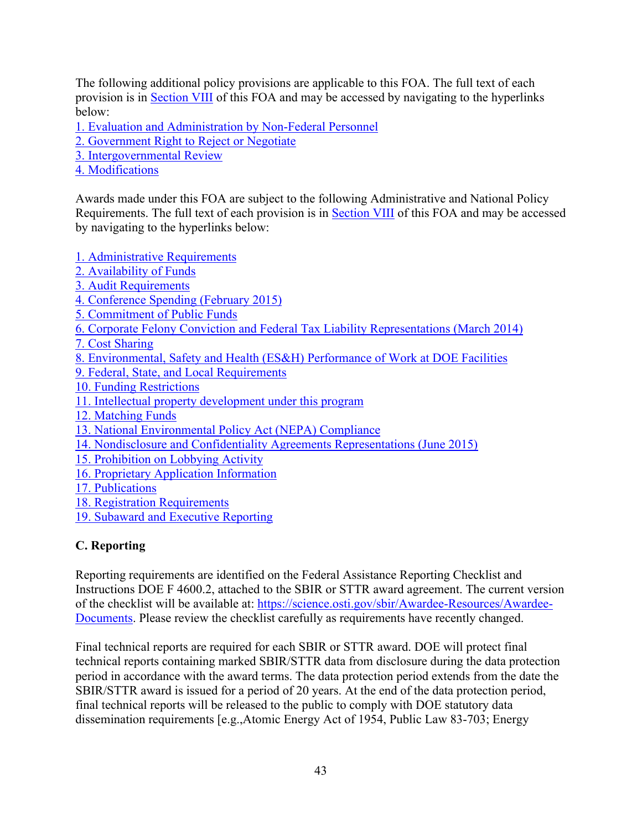The following additional policy provisions are applicable to this FOA. The full text of each provision is in Section VIII of this FOA and may be accessed by navigating to the hyperlinks below:

1. Evaluation and Administration by Non-Federal Personnel

2. Government Right to Reject or Negotiate

- 3. Intergovernmental Review
- 4. Modifications

Awards made under this FOA are subject to the following Administrative and National Policy Requirements. The full text of each provision is in Section VIII of this FOA and may be accessed by navigating to the hyperlinks below:

1. Administrative Requirements

- 2. Availability of Funds
- 3. Audit Requirements
- 4. Conference Spending (February 2015)
- 5. Commitment of Public Funds
- 6. Corporate Felony Conviction and Federal Tax Liability Representations (March 2014)
- 7. Cost Sharing
- 8. Environmental, Safety and Health (ES&H) Performance of Work at DOE Facilities
- 9. Federal, State, and Local Requirements
- 10. Funding Restrictions
- 11. Intellectual property development under this program
- 12. Matching Funds
- 13. National Environmental Policy Act (NEPA) Compliance
- 14. Nondisclosure and Confidentiality Agreements Representations (June 2015)
- 15. Prohibition on Lobbying Activity
- 16. Proprietary Application Information
- 17. Publications
- 18. Registration Requirements
- 19. Subaward and Executive Reporting

# **C. Reporting**

Reporting requirements are identified on the Federal Assistance Reporting Checklist and Instructions DOE F 4600.2, attached to the SBIR or STTR award agreement. The current version of the checklist will be available at: https://science.osti.gov/sbir/Awardee-Resources/Awardee-Documents. Please review the checklist carefully as requirements have recently changed.

Final technical reports are required for each SBIR or STTR award. DOE will protect final technical reports containing marked SBIR/STTR data from disclosure during the data protection period in accordance with the award terms. The data protection period extends from the date the SBIR/STTR award is issued for a period of 20 years. At the end of the data protection period, final technical reports will be released to the public to comply with DOE statutory data dissemination requirements [e.g.,Atomic Energy Act of 1954, Public Law 83-703; Energy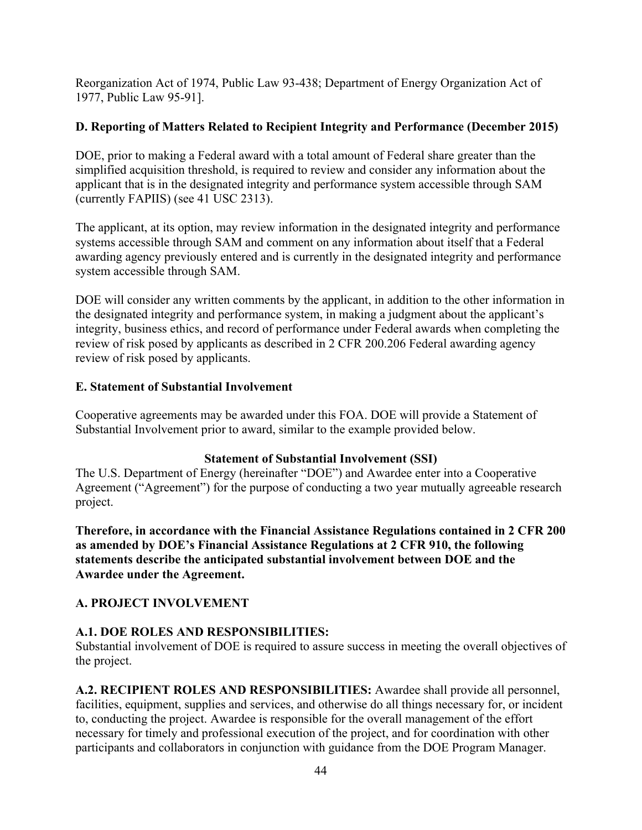Reorganization Act of 1974, Public Law 93-438; Department of Energy Organization Act of 1977, Public Law 95-91].

## **D. Reporting of Matters Related to Recipient Integrity and Performance (December 2015)**

DOE, prior to making a Federal award with a total amount of Federal share greater than the simplified acquisition threshold, is required to review and consider any information about the applicant that is in the designated integrity and performance system accessible through SAM (currently FAPIIS) (see 41 USC 2313).

The applicant, at its option, may review information in the designated integrity and performance systems accessible through SAM and comment on any information about itself that a Federal awarding agency previously entered and is currently in the designated integrity and performance system accessible through SAM.

DOE will consider any written comments by the applicant, in addition to the other information in the designated integrity and performance system, in making a judgment about the applicant's integrity, business ethics, and record of performance under Federal awards when completing the review of risk posed by applicants as described in 2 CFR 200.206 Federal awarding agency review of risk posed by applicants.

## **E. Statement of Substantial Involvement**

Cooperative agreements may be awarded under this FOA. DOE will provide a Statement of Substantial Involvement prior to award, similar to the example provided below.

## **Statement of Substantial Involvement (SSI)**

The U.S. Department of Energy (hereinafter "DOE") and Awardee enter into a Cooperative Agreement ("Agreement") for the purpose of conducting a two year mutually agreeable research project.

**Therefore, in accordance with the Financial Assistance Regulations contained in 2 CFR 200 as amended by DOE's Financial Assistance Regulations at 2 CFR 910, the following statements describe the anticipated substantial involvement between DOE and the Awardee under the Agreement.** 

# **A. PROJECT INVOLVEMENT**

# **A.1. DOE ROLES AND RESPONSIBILITIES:**

Substantial involvement of DOE is required to assure success in meeting the overall objectives of the project.

**A.2. RECIPIENT ROLES AND RESPONSIBILITIES:** Awardee shall provide all personnel, facilities, equipment, supplies and services, and otherwise do all things necessary for, or incident to, conducting the project. Awardee is responsible for the overall management of the effort necessary for timely and professional execution of the project, and for coordination with other participants and collaborators in conjunction with guidance from the DOE Program Manager.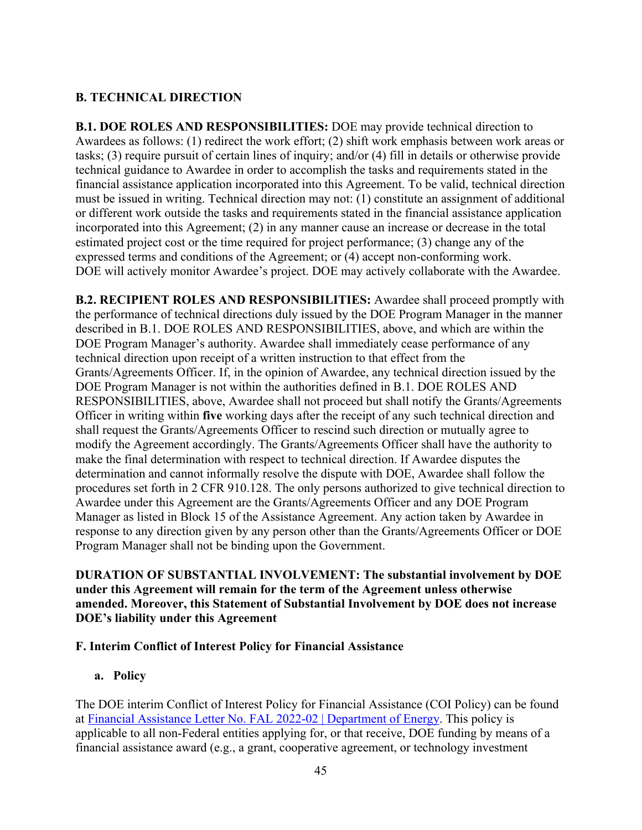# **B. TECHNICAL DIRECTION**

**B.1. DOE ROLES AND RESPONSIBILITIES:** DOE may provide technical direction to Awardees as follows: (1) redirect the work effort; (2) shift work emphasis between work areas or tasks; (3) require pursuit of certain lines of inquiry; and/or (4) fill in details or otherwise provide technical guidance to Awardee in order to accomplish the tasks and requirements stated in the financial assistance application incorporated into this Agreement. To be valid, technical direction must be issued in writing. Technical direction may not: (1) constitute an assignment of additional or different work outside the tasks and requirements stated in the financial assistance application incorporated into this Agreement; (2) in any manner cause an increase or decrease in the total estimated project cost or the time required for project performance; (3) change any of the expressed terms and conditions of the Agreement; or (4) accept non-conforming work. DOE will actively monitor Awardee's project. DOE may actively collaborate with the Awardee.

**B.2. RECIPIENT ROLES AND RESPONSIBILITIES:** Awardee shall proceed promptly with the performance of technical directions duly issued by the DOE Program Manager in the manner described in B.1. DOE ROLES AND RESPONSIBILITIES, above, and which are within the DOE Program Manager's authority. Awardee shall immediately cease performance of any technical direction upon receipt of a written instruction to that effect from the Grants/Agreements Officer. If, in the opinion of Awardee, any technical direction issued by the DOE Program Manager is not within the authorities defined in B.1. DOE ROLES AND RESPONSIBILITIES, above, Awardee shall not proceed but shall notify the Grants/Agreements Officer in writing within **five** working days after the receipt of any such technical direction and shall request the Grants/Agreements Officer to rescind such direction or mutually agree to modify the Agreement accordingly. The Grants/Agreements Officer shall have the authority to make the final determination with respect to technical direction. If Awardee disputes the determination and cannot informally resolve the dispute with DOE, Awardee shall follow the procedures set forth in 2 CFR 910.128. The only persons authorized to give technical direction to Awardee under this Agreement are the Grants/Agreements Officer and any DOE Program Manager as listed in Block 15 of the Assistance Agreement. Any action taken by Awardee in response to any direction given by any person other than the Grants/Agreements Officer or DOE Program Manager shall not be binding upon the Government.

## **DURATION OF SUBSTANTIAL INVOLVEMENT: The substantial involvement by DOE under this Agreement will remain for the term of the Agreement unless otherwise amended. Moreover, this Statement of Substantial Involvement by DOE does not increase DOE's liability under this Agreement**

### **F. Interim Conflict of Interest Policy for Financial Assistance**

## **a. Policy**

The DOE interim Conflict of Interest Policy for Financial Assistance (COI Policy) can be found at Financial Assistance Letter No. FAL 2022-02 | Department of Energy. This policy is applicable to all non-Federal entities applying for, or that receive, DOE funding by means of a financial assistance award (e.g., a grant, cooperative agreement, or technology investment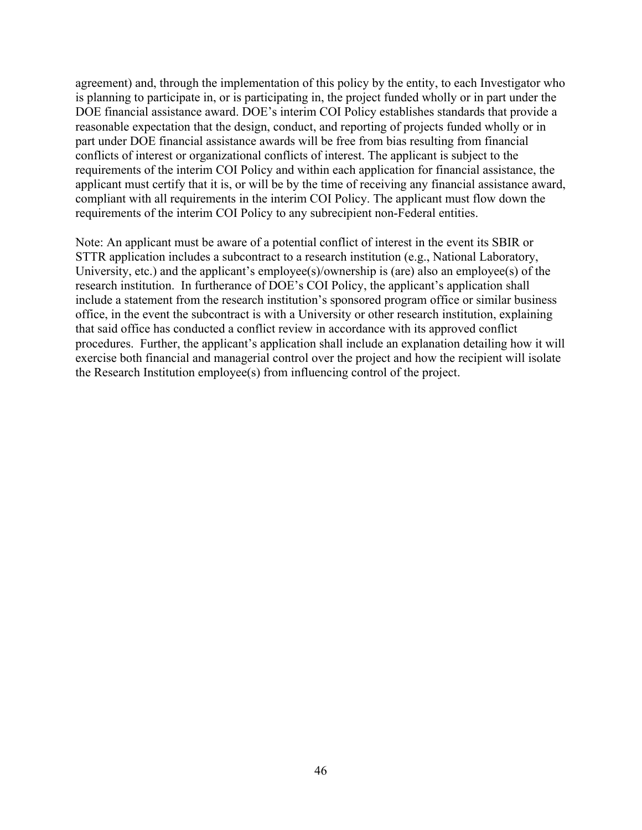agreement) and, through the implementation of this policy by the entity, to each Investigator who is planning to participate in, or is participating in, the project funded wholly or in part under the DOE financial assistance award. DOE's interim COI Policy establishes standards that provide a reasonable expectation that the design, conduct, and reporting of projects funded wholly or in part under DOE financial assistance awards will be free from bias resulting from financial conflicts of interest or organizational conflicts of interest. The applicant is subject to the requirements of the interim COI Policy and within each application for financial assistance, the applicant must certify that it is, or will be by the time of receiving any financial assistance award, compliant with all requirements in the interim COI Policy. The applicant must flow down the requirements of the interim COI Policy to any subrecipient non-Federal entities.

Note: An applicant must be aware of a potential conflict of interest in the event its SBIR or STTR application includes a subcontract to a research institution (e.g., National Laboratory, University, etc.) and the applicant's employee(s)/ownership is (are) also an employee(s) of the research institution. In furtherance of DOE's COI Policy, the applicant's application shall include a statement from the research institution's sponsored program office or similar business office, in the event the subcontract is with a University or other research institution, explaining that said office has conducted a conflict review in accordance with its approved conflict procedures. Further, the applicant's application shall include an explanation detailing how it will exercise both financial and managerial control over the project and how the recipient will isolate the Research Institution employee(s) from influencing control of the project.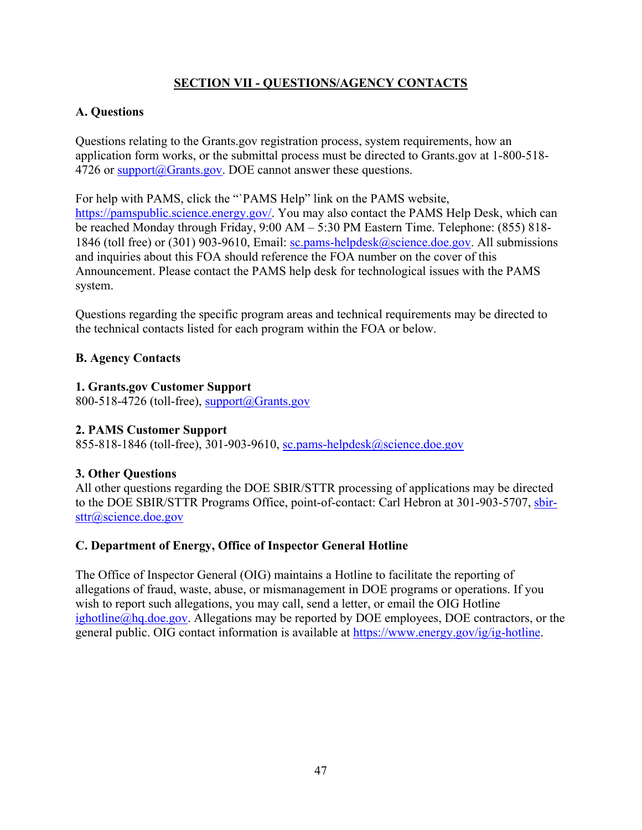# **SECTION VII - QUESTIONS/AGENCY CONTACTS**

## **A. Questions**

Questions relating to the Grants.gov registration process, system requirements, how an application form works, or the submittal process must be directed to Grants.gov at 1-800-518- 4726 or support@Grants.gov. DOE cannot answer these questions.

For help with PAMS, click the "`PAMS Help" link on the PAMS website, https://pamspublic.science.energy.gov/. You may also contact the PAMS Help Desk, which can be reached Monday through Friday, 9:00 AM – 5:30 PM Eastern Time. Telephone: (855) 818- 1846 (toll free) or (301) 903-9610, Email: sc.pams-helpdesk@science.doe.gov. All submissions and inquiries about this FOA should reference the FOA number on the cover of this Announcement. Please contact the PAMS help desk for technological issues with the PAMS system.

Questions regarding the specific program areas and technical requirements may be directed to the technical contacts listed for each program within the FOA or below.

## **B. Agency Contacts**

## **1. Grants.gov Customer Support**

800-518-4726 (toll-free), support $(a)$ Grants.gov

## **2. PAMS Customer Support**

855-818-1846 (toll-free), 301-903-9610, sc.pams-helpdesk@science.doe.gov

# **3. Other Questions**

All other questions regarding the DOE SBIR/STTR processing of applications may be directed to the DOE SBIR/STTR Programs Office, point-of-contact: Carl Hebron at 301-903-5707, sbirsttr@science.doe.gov

## **C. Department of Energy, Office of Inspector General Hotline**

The Office of Inspector General (OIG) maintains a Hotline to facilitate the reporting of allegations of fraud, waste, abuse, or mismanagement in DOE programs or operations. If you wish to report such allegations, you may call, send a letter, or email the OIG Hotline ighotline@hq.doe.gov. Allegations may be reported by DOE employees, DOE contractors, or the general public. OIG contact information is available at https://www.energy.gov/ig/ig-hotline.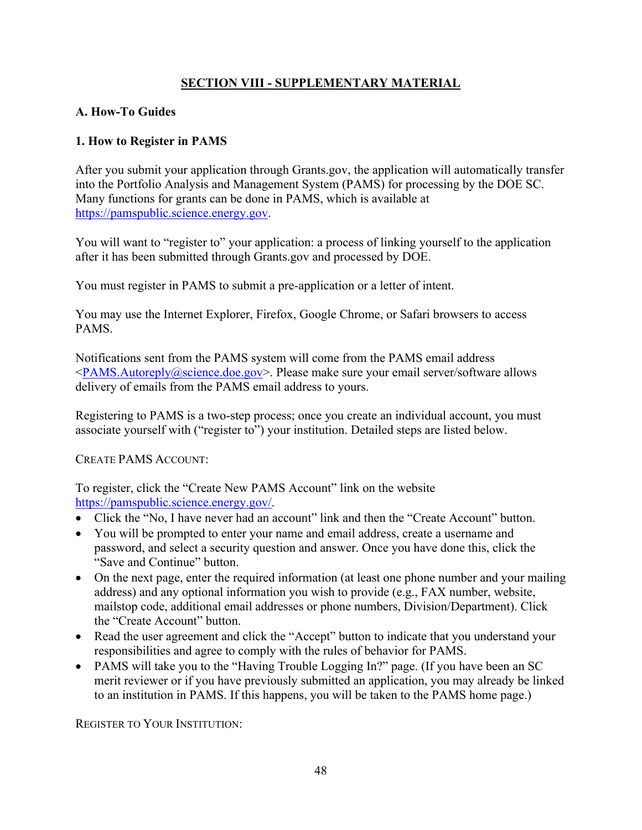# **SECTION VIII - SUPPLEMENTARY MATERIAL**

### **A. How-To Guides**

## **1. How to Register in PAMS**

After you submit your application through Grants.gov, the application will automatically transfer into the Portfolio Analysis and Management System (PAMS) for processing by the DOE SC. Many functions for grants can be done in PAMS, which is available at https://pamspublic.science.energy.gov.

You will want to "register to" your application: a process of linking yourself to the application after it has been submitted through Grants.gov and processed by DOE.

You must register in PAMS to submit a pre-application or a letter of intent.

You may use the Internet Explorer, Firefox, Google Chrome, or Safari browsers to access PAMS.

Notifications sent from the PAMS system will come from the PAMS email address  $\langle$ PAMS.Autoreply@science.doe.gov>. Please make sure your email server/software allows delivery of emails from the PAMS email address to yours.

Registering to PAMS is a two-step process; once you create an individual account, you must associate yourself with ("register to") your institution. Detailed steps are listed below.

CREATE PAMS ACCOUNT:

To register, click the "Create New PAMS Account" link on the website https://pamspublic.science.energy.gov/.

- Click the "No, I have never had an account" link and then the "Create Account" button.
- You will be prompted to enter your name and email address, create a username and password, and select a security question and answer. Once you have done this, click the "Save and Continue" button.
- On the next page, enter the required information (at least one phone number and your mailing address) and any optional information you wish to provide (e.g., FAX number, website, mailstop code, additional email addresses or phone numbers, Division/Department). Click the "Create Account" button.
- Read the user agreement and click the "Accept" button to indicate that you understand your responsibilities and agree to comply with the rules of behavior for PAMS.
- PAMS will take you to the "Having Trouble Logging In?" page. (If you have been an SC merit reviewer or if you have previously submitted an application, you may already be linked to an institution in PAMS. If this happens, you will be taken to the PAMS home page.)

REGISTER TO YOUR INSTITUTION: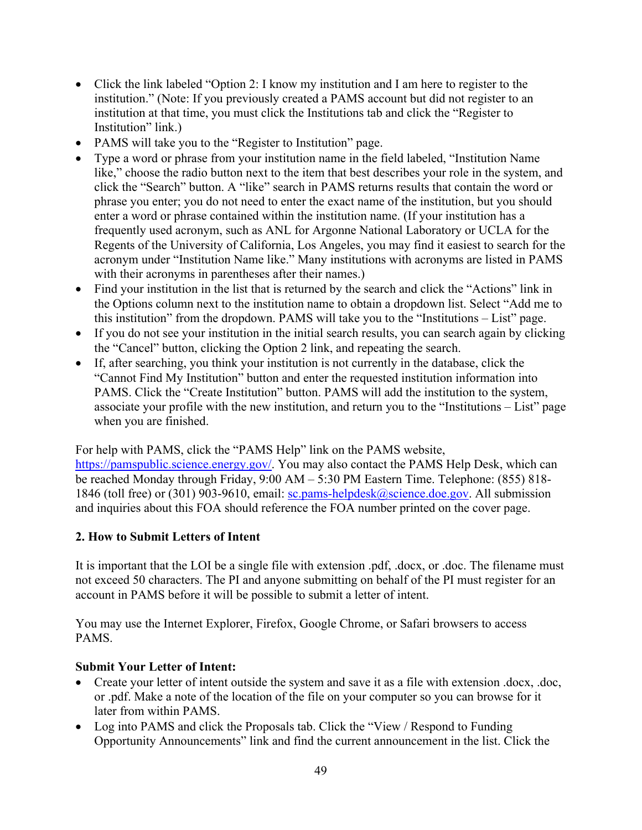- Click the link labeled "Option 2: I know my institution and I am here to register to the institution." (Note: If you previously created a PAMS account but did not register to an institution at that time, you must click the Institutions tab and click the "Register to Institution" link.)
- PAMS will take you to the "Register to Institution" page.
- Type a word or phrase from your institution name in the field labeled, "Institution Name like," choose the radio button next to the item that best describes your role in the system, and click the "Search" button. A "like" search in PAMS returns results that contain the word or phrase you enter; you do not need to enter the exact name of the institution, but you should enter a word or phrase contained within the institution name. (If your institution has a frequently used acronym, such as ANL for Argonne National Laboratory or UCLA for the Regents of the University of California, Los Angeles, you may find it easiest to search for the acronym under "Institution Name like." Many institutions with acronyms are listed in PAMS with their acronyms in parentheses after their names.)
- Find your institution in the list that is returned by the search and click the "Actions" link in the Options column next to the institution name to obtain a dropdown list. Select "Add me to this institution" from the dropdown. PAMS will take you to the "Institutions – List" page.
- If you do not see your institution in the initial search results, you can search again by clicking the "Cancel" button, clicking the Option 2 link, and repeating the search.
- If, after searching, you think your institution is not currently in the database, click the "Cannot Find My Institution" button and enter the requested institution information into PAMS. Click the "Create Institution" button. PAMS will add the institution to the system, associate your profile with the new institution, and return you to the "Institutions – List" page when you are finished.

For help with PAMS, click the "PAMS Help" link on the PAMS website,

https://pamspublic.science.energy.gov/. You may also contact the PAMS Help Desk, which can be reached Monday through Friday, 9:00 AM – 5:30 PM Eastern Time. Telephone: (855) 818- 1846 (toll free) or (301) 903-9610, email: sc.pams-helpdesk@science.doe.gov. All submission and inquiries about this FOA should reference the FOA number printed on the cover page.

## **2. How to Submit Letters of Intent**

It is important that the LOI be a single file with extension .pdf, .docx, or .doc. The filename must not exceed 50 characters. The PI and anyone submitting on behalf of the PI must register for an account in PAMS before it will be possible to submit a letter of intent.

You may use the Internet Explorer, Firefox, Google Chrome, or Safari browsers to access PAMS.

### **Submit Your Letter of Intent:**

- Create your letter of intent outside the system and save it as a file with extension .docx, .doc, or .pdf. Make a note of the location of the file on your computer so you can browse for it later from within PAMS.
- Log into PAMS and click the Proposals tab. Click the "View / Respond to Funding" Opportunity Announcements" link and find the current announcement in the list. Click the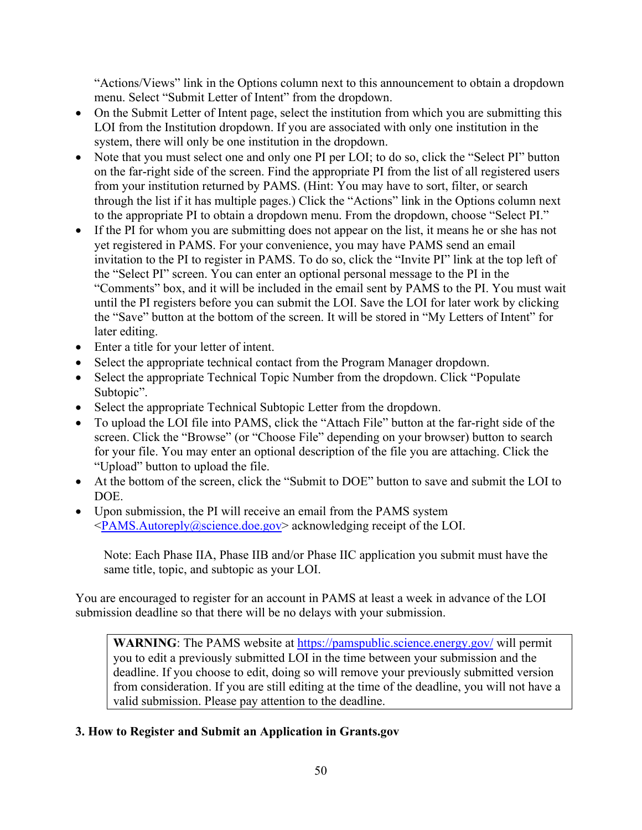"Actions/Views" link in the Options column next to this announcement to obtain a dropdown menu. Select "Submit Letter of Intent" from the dropdown.

- On the Submit Letter of Intent page, select the institution from which you are submitting this LOI from the Institution dropdown. If you are associated with only one institution in the system, there will only be one institution in the dropdown.
- Note that you must select one and only one PI per LOI; to do so, click the "Select PI" button on the far-right side of the screen. Find the appropriate PI from the list of all registered users from your institution returned by PAMS. (Hint: You may have to sort, filter, or search through the list if it has multiple pages.) Click the "Actions" link in the Options column next to the appropriate PI to obtain a dropdown menu. From the dropdown, choose "Select PI."
- If the PI for whom you are submitting does not appear on the list, it means he or she has not yet registered in PAMS. For your convenience, you may have PAMS send an email invitation to the PI to register in PAMS. To do so, click the "Invite PI" link at the top left of the "Select PI" screen. You can enter an optional personal message to the PI in the "Comments" box, and it will be included in the email sent by PAMS to the PI. You must wait until the PI registers before you can submit the LOI. Save the LOI for later work by clicking the "Save" button at the bottom of the screen. It will be stored in "My Letters of Intent" for later editing.
- Enter a title for your letter of intent.
- Select the appropriate technical contact from the Program Manager dropdown.
- Select the appropriate Technical Topic Number from the dropdown. Click "Populate" Subtopic".
- Select the appropriate Technical Subtopic Letter from the dropdown.
- To upload the LOI file into PAMS, click the "Attach File" button at the far-right side of the screen. Click the "Browse" (or "Choose File" depending on your browser) button to search for your file. You may enter an optional description of the file you are attaching. Click the "Upload" button to upload the file.
- At the bottom of the screen, click the "Submit to DOE" button to save and submit the LOI to DOE.
- Upon submission, the PI will receive an email from the PAMS system  $\langle PAMS.Autore ply@science.doc.gov> acknowledge no work on the EOL.$

Note: Each Phase IIA, Phase IIB and/or Phase IIC application you submit must have the same title, topic, and subtopic as your LOI.

You are encouraged to register for an account in PAMS at least a week in advance of the LOI submission deadline so that there will be no delays with your submission.

**WARNING**: The PAMS website at https://pamspublic.science.energy.gov/ will permit you to edit a previously submitted LOI in the time between your submission and the deadline. If you choose to edit, doing so will remove your previously submitted version from consideration. If you are still editing at the time of the deadline, you will not have a valid submission. Please pay attention to the deadline.

## **3. How to Register and Submit an Application in Grants.gov**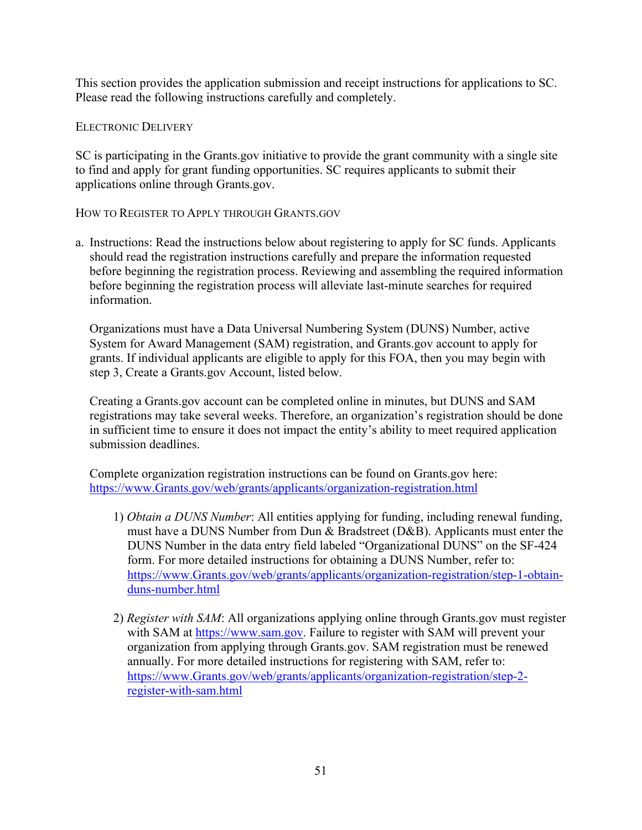This section provides the application submission and receipt instructions for applications to SC. Please read the following instructions carefully and completely.

ELECTRONIC DELIVERY

SC is participating in the Grants.gov initiative to provide the grant community with a single site to find and apply for grant funding opportunities. SC requires applicants to submit their applications online through Grants.gov.

HOW TO REGISTER TO APPLY THROUGH GRANTS.GOV

a. Instructions: Read the instructions below about registering to apply for SC funds. Applicants should read the registration instructions carefully and prepare the information requested before beginning the registration process. Reviewing and assembling the required information before beginning the registration process will alleviate last-minute searches for required information.

Organizations must have a Data Universal Numbering System (DUNS) Number, active System for Award Management (SAM) registration, and Grants.gov account to apply for grants. If individual applicants are eligible to apply for this FOA, then you may begin with step 3, Create a Grants.gov Account, listed below.

Creating a Grants.gov account can be completed online in minutes, but DUNS and SAM registrations may take several weeks. Therefore, an organization's registration should be done in sufficient time to ensure it does not impact the entity's ability to meet required application submission deadlines.

Complete organization registration instructions can be found on Grants.gov here: https://www.Grants.gov/web/grants/applicants/organization-registration.html

- 1) *Obtain a DUNS Number*: All entities applying for funding, including renewal funding, must have a DUNS Number from Dun & Bradstreet (D&B). Applicants must enter the DUNS Number in the data entry field labeled "Organizational DUNS" on the SF-424 form. For more detailed instructions for obtaining a DUNS Number, refer to: https://www.Grants.gov/web/grants/applicants/organization-registration/step-1-obtainduns-number.html
- 2) *Register with SAM*: All organizations applying online through Grants.gov must register with SAM at https://www.sam.gov. Failure to register with SAM will prevent your organization from applying through Grants.gov. SAM registration must be renewed annually. For more detailed instructions for registering with SAM, refer to: https://www.Grants.gov/web/grants/applicants/organization-registration/step-2 register-with-sam.html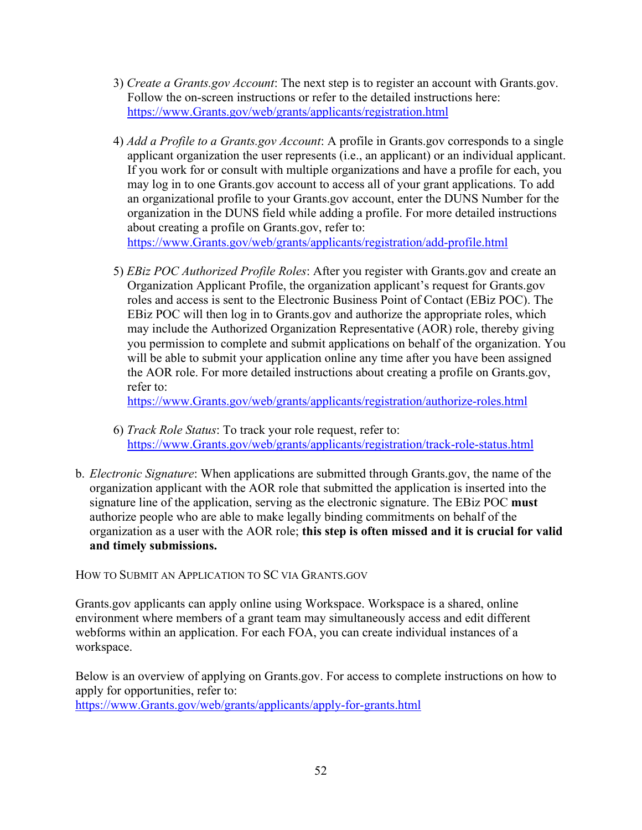- 3) *Create a Grants.gov Account*: The next step is to register an account with Grants.gov. Follow the on-screen instructions or refer to the detailed instructions here: https://www.Grants.gov/web/grants/applicants/registration.html
- 4) *Add a Profile to a Grants.gov Account*: A profile in Grants.gov corresponds to a single applicant organization the user represents (i.e., an applicant) or an individual applicant. If you work for or consult with multiple organizations and have a profile for each, you may log in to one Grants.gov account to access all of your grant applications. To add an organizational profile to your Grants.gov account, enter the DUNS Number for the organization in the DUNS field while adding a profile. For more detailed instructions about creating a profile on Grants.gov, refer to:

https://www.Grants.gov/web/grants/applicants/registration/add-profile.html

5) *EBiz POC Authorized Profile Roles*: After you register with Grants.gov and create an Organization Applicant Profile, the organization applicant's request for Grants.gov roles and access is sent to the Electronic Business Point of Contact (EBiz POC). The EBiz POC will then log in to Grants.gov and authorize the appropriate roles, which may include the Authorized Organization Representative (AOR) role, thereby giving you permission to complete and submit applications on behalf of the organization. You will be able to submit your application online any time after you have been assigned the AOR role. For more detailed instructions about creating a profile on Grants.gov, refer to:

https://www.Grants.gov/web/grants/applicants/registration/authorize-roles.html

- 6) *Track Role Status*: To track your role request, refer to: https://www.Grants.gov/web/grants/applicants/registration/track-role-status.html
- b. *Electronic Signature*: When applications are submitted through Grants.gov, the name of the organization applicant with the AOR role that submitted the application is inserted into the signature line of the application, serving as the electronic signature. The EBiz POC **must**  authorize people who are able to make legally binding commitments on behalf of the organization as a user with the AOR role; **this step is often missed and it is crucial for valid and timely submissions.**

HOW TO SUBMIT AN APPLICATION TO SC VIA GRANTS.GOV

Grants.gov applicants can apply online using Workspace. Workspace is a shared, online environment where members of a grant team may simultaneously access and edit different webforms within an application. For each FOA, you can create individual instances of a workspace.

Below is an overview of applying on Grants.gov. For access to complete instructions on how to apply for opportunities, refer to: https://www.Grants.gov/web/grants/applicants/apply-for-grants.html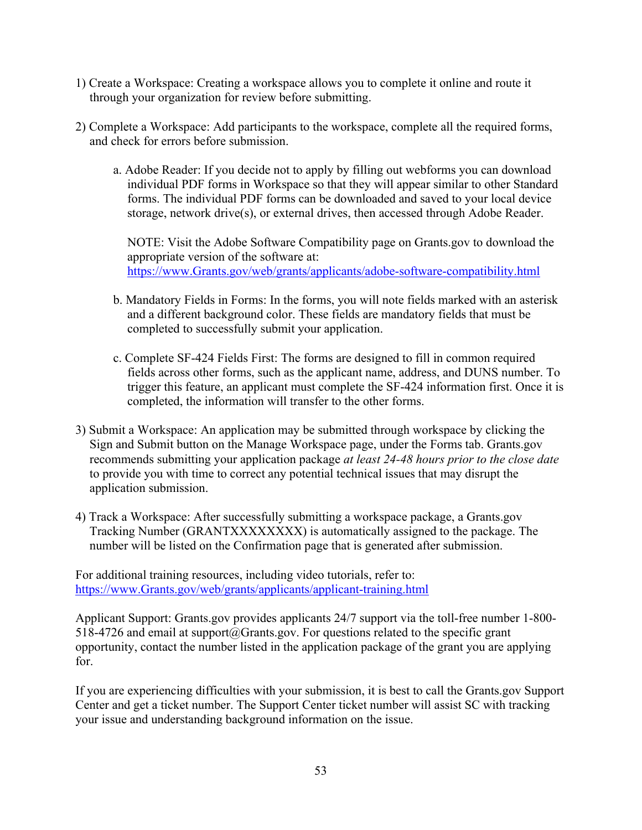- 1) Create a Workspace: Creating a workspace allows you to complete it online and route it through your organization for review before submitting.
- 2) Complete a Workspace: Add participants to the workspace, complete all the required forms, and check for errors before submission.
	- a. Adobe Reader: If you decide not to apply by filling out webforms you can download individual PDF forms in Workspace so that they will appear similar to other Standard forms. The individual PDF forms can be downloaded and saved to your local device storage, network drive(s), or external drives, then accessed through Adobe Reader.

NOTE: Visit the Adobe Software Compatibility page on Grants.gov to download the appropriate version of the software at: https://www.Grants.gov/web/grants/applicants/adobe-software-compatibility.html

- b. Mandatory Fields in Forms: In the forms, you will note fields marked with an asterisk and a different background color. These fields are mandatory fields that must be completed to successfully submit your application.
- c. Complete SF-424 Fields First: The forms are designed to fill in common required fields across other forms, such as the applicant name, address, and DUNS number. To trigger this feature, an applicant must complete the SF-424 information first. Once it is completed, the information will transfer to the other forms.
- 3) Submit a Workspace: An application may be submitted through workspace by clicking the Sign and Submit button on the Manage Workspace page, under the Forms tab. Grants.gov recommends submitting your application package *at least 24-48 hours prior to the close date* to provide you with time to correct any potential technical issues that may disrupt the application submission.
- 4) Track a Workspace: After successfully submitting a workspace package, a Grants.gov Tracking Number (GRANTXXXXXXXX) is automatically assigned to the package. The number will be listed on the Confirmation page that is generated after submission.

For additional training resources, including video tutorials, refer to: https://www.Grants.gov/web/grants/applicants/applicant-training.html

Applicant Support: Grants.gov provides applicants 24/7 support via the toll-free number 1-800-  $518-4726$  and email at support $@G$ rants.gov. For questions related to the specific grant opportunity, contact the number listed in the application package of the grant you are applying for.

If you are experiencing difficulties with your submission, it is best to call the Grants.gov Support Center and get a ticket number. The Support Center ticket number will assist SC with tracking your issue and understanding background information on the issue.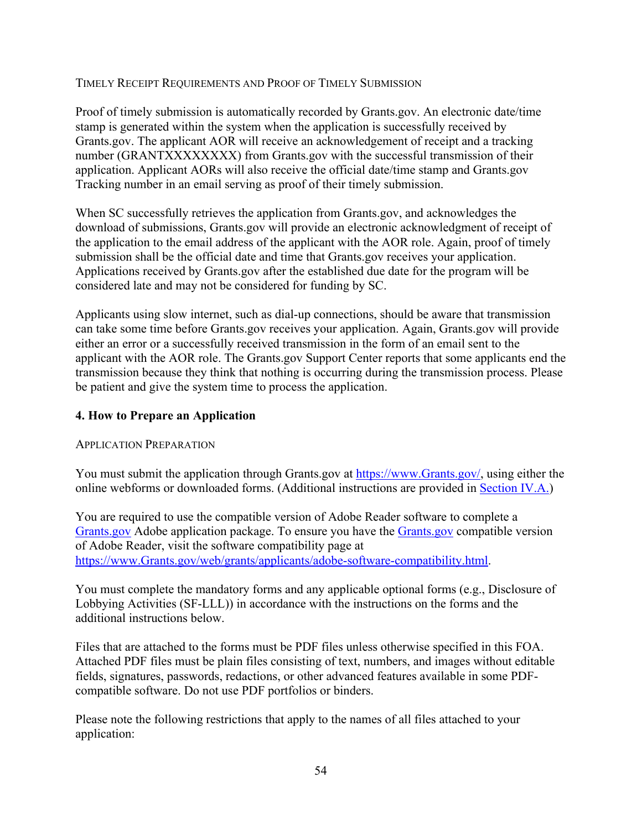### TIMELY RECEIPT REQUIREMENTS AND PROOF OF TIMELY SUBMISSION

Proof of timely submission is automatically recorded by Grants.gov. An electronic date/time stamp is generated within the system when the application is successfully received by Grants.gov. The applicant AOR will receive an acknowledgement of receipt and a tracking number (GRANTXXXXXXXX) from Grants.gov with the successful transmission of their application. Applicant AORs will also receive the official date/time stamp and Grants.gov Tracking number in an email serving as proof of their timely submission.

When SC successfully retrieves the application from Grants.gov, and acknowledges the download of submissions, Grants.gov will provide an electronic acknowledgment of receipt of the application to the email address of the applicant with the AOR role. Again, proof of timely submission shall be the official date and time that Grants.gov receives your application. Applications received by Grants.gov after the established due date for the program will be considered late and may not be considered for funding by SC.

Applicants using slow internet, such as dial-up connections, should be aware that transmission can take some time before Grants.gov receives your application. Again, Grants.gov will provide either an error or a successfully received transmission in the form of an email sent to the applicant with the AOR role. The Grants.gov Support Center reports that some applicants end the transmission because they think that nothing is occurring during the transmission process. Please be patient and give the system time to process the application.

## **4. How to Prepare an Application**

## APPLICATION PREPARATION

You must submit the application through Grants.gov at https://www.Grants.gov/, using either the online webforms or downloaded forms. (Additional instructions are provided in Section IV.A.)

You are required to use the compatible version of Adobe Reader software to complete a Grants.gov Adobe application package. To ensure you have the Grants.gov compatible version of Adobe Reader, visit the software compatibility page at https://www.Grants.gov/web/grants/applicants/adobe-software-compatibility.html.

You must complete the mandatory forms and any applicable optional forms (e.g., Disclosure of Lobbying Activities (SF-LLL)) in accordance with the instructions on the forms and the additional instructions below.

Files that are attached to the forms must be PDF files unless otherwise specified in this FOA. Attached PDF files must be plain files consisting of text, numbers, and images without editable fields, signatures, passwords, redactions, or other advanced features available in some PDFcompatible software. Do not use PDF portfolios or binders.

Please note the following restrictions that apply to the names of all files attached to your application: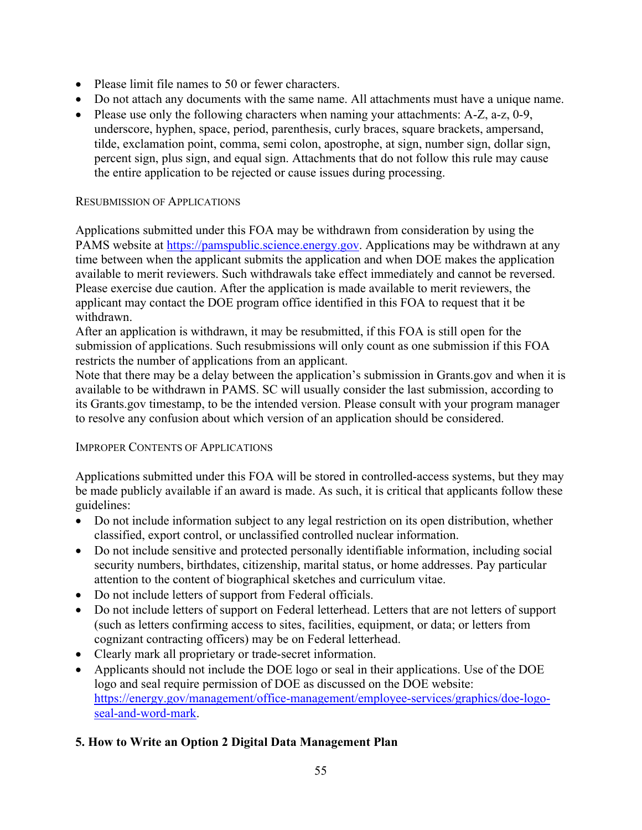- Please limit file names to 50 or fewer characters.
- Do not attach any documents with the same name. All attachments must have a unique name.
- Please use only the following characters when naming your attachments: A-Z, a-z, 0-9, underscore, hyphen, space, period, parenthesis, curly braces, square brackets, ampersand, tilde, exclamation point, comma, semi colon, apostrophe, at sign, number sign, dollar sign, percent sign, plus sign, and equal sign. Attachments that do not follow this rule may cause the entire application to be rejected or cause issues during processing.

### RESUBMISSION OF APPLICATIONS

Applications submitted under this FOA may be withdrawn from consideration by using the PAMS website at https://pamspublic.science.energy.gov. Applications may be withdrawn at any time between when the applicant submits the application and when DOE makes the application available to merit reviewers. Such withdrawals take effect immediately and cannot be reversed. Please exercise due caution. After the application is made available to merit reviewers, the applicant may contact the DOE program office identified in this FOA to request that it be withdrawn.

After an application is withdrawn, it may be resubmitted, if this FOA is still open for the submission of applications. Such resubmissions will only count as one submission if this FOA restricts the number of applications from an applicant.

Note that there may be a delay between the application's submission in Grants.gov and when it is available to be withdrawn in PAMS. SC will usually consider the last submission, according to its Grants.gov timestamp, to be the intended version. Please consult with your program manager to resolve any confusion about which version of an application should be considered.

### IMPROPER CONTENTS OF APPLICATIONS

Applications submitted under this FOA will be stored in controlled-access systems, but they may be made publicly available if an award is made. As such, it is critical that applicants follow these guidelines:

- Do not include information subject to any legal restriction on its open distribution, whether classified, export control, or unclassified controlled nuclear information.
- Do not include sensitive and protected personally identifiable information, including social security numbers, birthdates, citizenship, marital status, or home addresses. Pay particular attention to the content of biographical sketches and curriculum vitae.
- Do not include letters of support from Federal officials.
- Do not include letters of support on Federal letterhead. Letters that are not letters of support (such as letters confirming access to sites, facilities, equipment, or data; or letters from cognizant contracting officers) may be on Federal letterhead.
- Clearly mark all proprietary or trade-secret information.
- Applicants should not include the DOE logo or seal in their applications. Use of the DOE logo and seal require permission of DOE as discussed on the DOE website: https://energy.gov/management/office-management/employee-services/graphics/doe-logoseal-and-word-mark.

## **5. How to Write an Option 2 Digital Data Management Plan**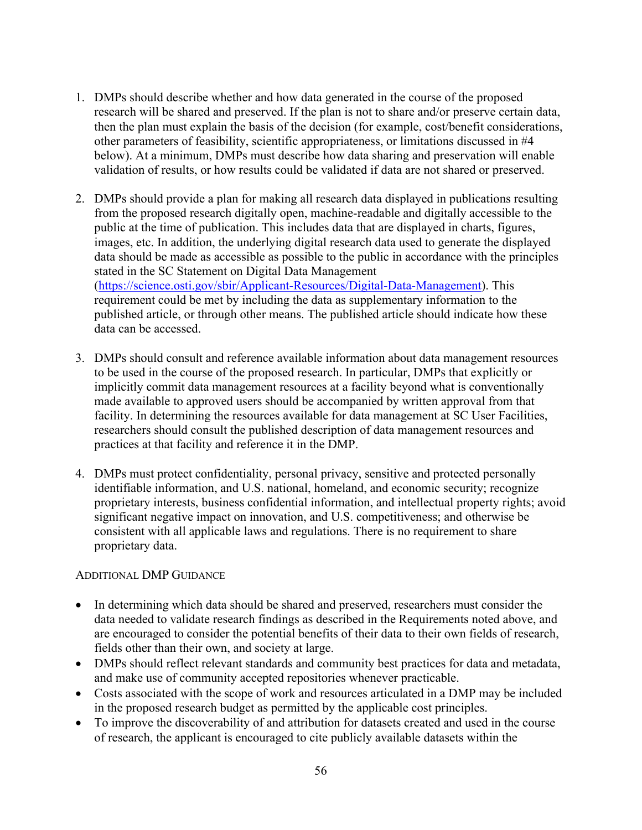- 1. DMPs should describe whether and how data generated in the course of the proposed research will be shared and preserved. If the plan is not to share and/or preserve certain data, then the plan must explain the basis of the decision (for example, cost/benefit considerations, other parameters of feasibility, scientific appropriateness, or limitations discussed in #4 below). At a minimum, DMPs must describe how data sharing and preservation will enable validation of results, or how results could be validated if data are not shared or preserved.
- 2. DMPs should provide a plan for making all research data displayed in publications resulting from the proposed research digitally open, machine-readable and digitally accessible to the public at the time of publication. This includes data that are displayed in charts, figures, images, etc. In addition, the underlying digital research data used to generate the displayed data should be made as accessible as possible to the public in accordance with the principles stated in the SC Statement on Digital Data Management (https://science.osti.gov/sbir/Applicant-Resources/Digital-Data-Management). This requirement could be met by including the data as supplementary information to the published article, or through other means. The published article should indicate how these data can be accessed.
- 3. DMPs should consult and reference available information about data management resources to be used in the course of the proposed research. In particular, DMPs that explicitly or implicitly commit data management resources at a facility beyond what is conventionally made available to approved users should be accompanied by written approval from that facility. In determining the resources available for data management at SC User Facilities, researchers should consult the published description of data management resources and practices at that facility and reference it in the DMP.
- 4. DMPs must protect confidentiality, personal privacy, sensitive and protected personally identifiable information, and U.S. national, homeland, and economic security; recognize proprietary interests, business confidential information, and intellectual property rights; avoid significant negative impact on innovation, and U.S. competitiveness; and otherwise be consistent with all applicable laws and regulations. There is no requirement to share proprietary data.

### ADDITIONAL DMP GUIDANCE

- In determining which data should be shared and preserved, researchers must consider the data needed to validate research findings as described in the Requirements noted above, and are encouraged to consider the potential benefits of their data to their own fields of research, fields other than their own, and society at large.
- DMPs should reflect relevant standards and community best practices for data and metadata, and make use of community accepted repositories whenever practicable.
- Costs associated with the scope of work and resources articulated in a DMP may be included in the proposed research budget as permitted by the applicable cost principles.
- To improve the discoverability of and attribution for datasets created and used in the course of research, the applicant is encouraged to cite publicly available datasets within the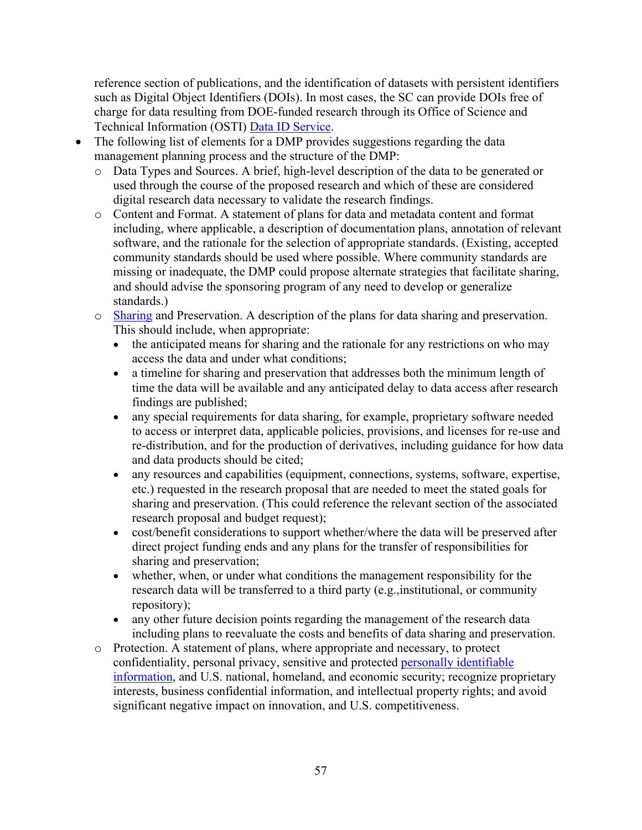reference section of publications, and the identification of datasets with persistent identifiers such as Digital Object Identifiers (DOIs). In most cases, the SC can provide DOIs free of charge for data resulting from DOE-funded research through its Office of Science and Technical Information (OSTI) Data ID Service.

- The following list of elements for a DMP provides suggestions regarding the data management planning process and the structure of the DMP:
	- o Data Types and Sources. A brief, high-level description of the data to be generated or used through the course of the proposed research and which of these are considered digital research data necessary to validate the research findings.
	- o Content and Format. A statement of plans for data and metadata content and format including, where applicable, a description of documentation plans, annotation of relevant software, and the rationale for the selection of appropriate standards. (Existing, accepted community standards should be used where possible. Where community standards are missing or inadequate, the DMP could propose alternate strategies that facilitate sharing, and should advise the sponsoring program of any need to develop or generalize standards.)
	- o Sharing and Preservation. A description of the plans for data sharing and preservation. This should include, when appropriate:
		- the anticipated means for sharing and the rationale for any restrictions on who may access the data and under what conditions;
		- a timeline for sharing and preservation that addresses both the minimum length of time the data will be available and any anticipated delay to data access after research findings are published;
		- any special requirements for data sharing, for example, proprietary software needed to access or interpret data, applicable policies, provisions, and licenses for re-use and re-distribution, and for the production of derivatives, including guidance for how data and data products should be cited;
		- any resources and capabilities (equipment, connections, systems, software, expertise, etc.) requested in the research proposal that are needed to meet the stated goals for sharing and preservation. (This could reference the relevant section of the associated research proposal and budget request);
		- cost/benefit considerations to support whether/where the data will be preserved after direct project funding ends and any plans for the transfer of responsibilities for sharing and preservation;
		- whether, when, or under what conditions the management responsibility for the research data will be transferred to a third party (e.g.,institutional, or community repository);
		- any other future decision points regarding the management of the research data including plans to reevaluate the costs and benefits of data sharing and preservation.
	- o Protection. A statement of plans, where appropriate and necessary, to protect confidentiality, personal privacy, sensitive and protected personally identifiable information, and U.S. national, homeland, and economic security; recognize proprietary interests, business confidential information, and intellectual property rights; and avoid significant negative impact on innovation, and U.S. competitiveness.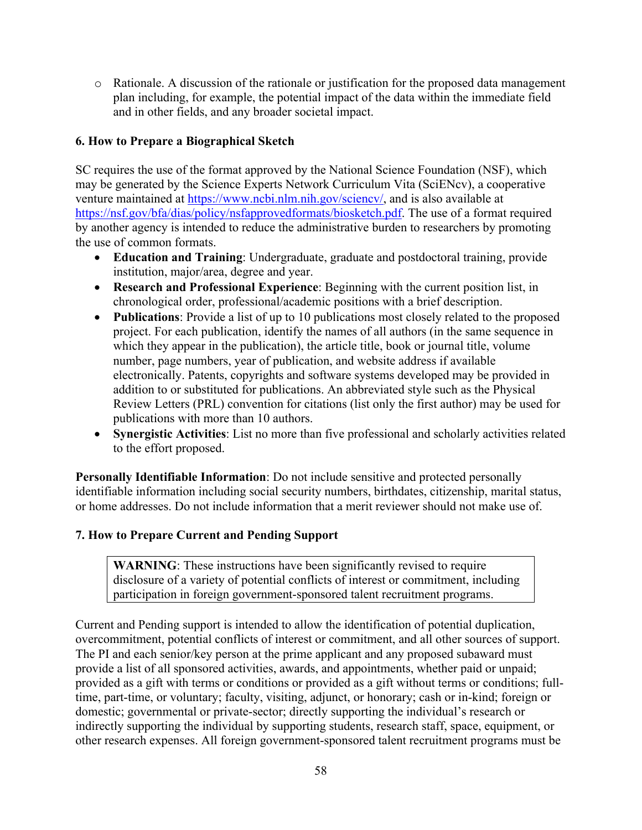o Rationale. A discussion of the rationale or justification for the proposed data management plan including, for example, the potential impact of the data within the immediate field and in other fields, and any broader societal impact.

## **6. How to Prepare a Biographical Sketch**

SC requires the use of the format approved by the National Science Foundation (NSF), which may be generated by the Science Experts Network Curriculum Vita (SciENcv), a cooperative venture maintained at https://www.ncbi.nlm.nih.gov/sciencv/, and is also available at https://nsf.gov/bfa/dias/policy/nsfapprovedformats/biosketch.pdf. The use of a format required by another agency is intended to reduce the administrative burden to researchers by promoting the use of common formats.

- **Education and Training**: Undergraduate, graduate and postdoctoral training, provide institution, major/area, degree and year.
- **Research and Professional Experience**: Beginning with the current position list, in chronological order, professional/academic positions with a brief description.
- **Publications**: Provide a list of up to 10 publications most closely related to the proposed project. For each publication, identify the names of all authors (in the same sequence in which they appear in the publication), the article title, book or journal title, volume number, page numbers, year of publication, and website address if available electronically. Patents, copyrights and software systems developed may be provided in addition to or substituted for publications. An abbreviated style such as the Physical Review Letters (PRL) convention for citations (list only the first author) may be used for publications with more than 10 authors.
- **Synergistic Activities**: List no more than five professional and scholarly activities related to the effort proposed.

**Personally Identifiable Information**: Do not include sensitive and protected personally identifiable information including social security numbers, birthdates, citizenship, marital status, or home addresses. Do not include information that a merit reviewer should not make use of.

## **7. How to Prepare Current and Pending Support**

**WARNING**: These instructions have been significantly revised to require disclosure of a variety of potential conflicts of interest or commitment, including participation in foreign government-sponsored talent recruitment programs.

Current and Pending support is intended to allow the identification of potential duplication, overcommitment, potential conflicts of interest or commitment, and all other sources of support. The PI and each senior/key person at the prime applicant and any proposed subaward must provide a list of all sponsored activities, awards, and appointments, whether paid or unpaid; provided as a gift with terms or conditions or provided as a gift without terms or conditions; fulltime, part-time, or voluntary; faculty, visiting, adjunct, or honorary; cash or in-kind; foreign or domestic; governmental or private-sector; directly supporting the individual's research or indirectly supporting the individual by supporting students, research staff, space, equipment, or other research expenses. All foreign government-sponsored talent recruitment programs must be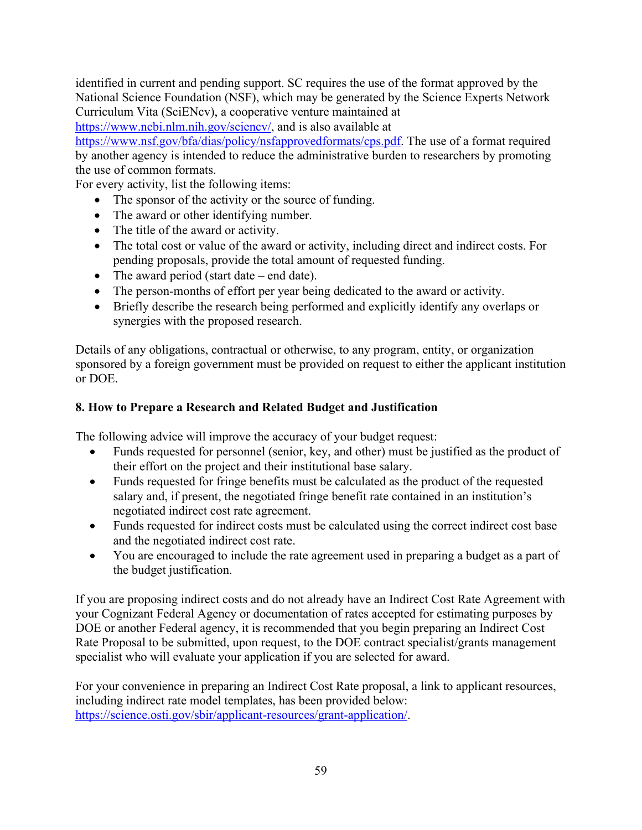identified in current and pending support. SC requires the use of the format approved by the National Science Foundation (NSF), which may be generated by the Science Experts Network Curriculum Vita (SciENcv), a cooperative venture maintained at

https://www.ncbi.nlm.nih.gov/sciencv/, and is also available at

https://www.nsf.gov/bfa/dias/policy/nsfapprovedformats/cps.pdf. The use of a format required by another agency is intended to reduce the administrative burden to researchers by promoting the use of common formats.

For every activity, list the following items:

- The sponsor of the activity or the source of funding.
- The award or other identifying number.
- The title of the award or activity.
- The total cost or value of the award or activity, including direct and indirect costs. For pending proposals, provide the total amount of requested funding.
- The award period (start date end date).
- The person-months of effort per year being dedicated to the award or activity.
- Briefly describe the research being performed and explicitly identify any overlaps or synergies with the proposed research.

Details of any obligations, contractual or otherwise, to any program, entity, or organization sponsored by a foreign government must be provided on request to either the applicant institution or DOE.

## **8. How to Prepare a Research and Related Budget and Justification**

The following advice will improve the accuracy of your budget request:

- Funds requested for personnel (senior, key, and other) must be justified as the product of their effort on the project and their institutional base salary.
- Funds requested for fringe benefits must be calculated as the product of the requested salary and, if present, the negotiated fringe benefit rate contained in an institution's negotiated indirect cost rate agreement.
- Funds requested for indirect costs must be calculated using the correct indirect cost base and the negotiated indirect cost rate.
- You are encouraged to include the rate agreement used in preparing a budget as a part of the budget justification.

If you are proposing indirect costs and do not already have an Indirect Cost Rate Agreement with your Cognizant Federal Agency or documentation of rates accepted for estimating purposes by DOE or another Federal agency, it is recommended that you begin preparing an Indirect Cost Rate Proposal to be submitted, upon request, to the DOE contract specialist/grants management specialist who will evaluate your application if you are selected for award.

For your convenience in preparing an Indirect Cost Rate proposal, a link to applicant resources, including indirect rate model templates, has been provided below: https://science.osti.gov/sbir/applicant-resources/grant-application/.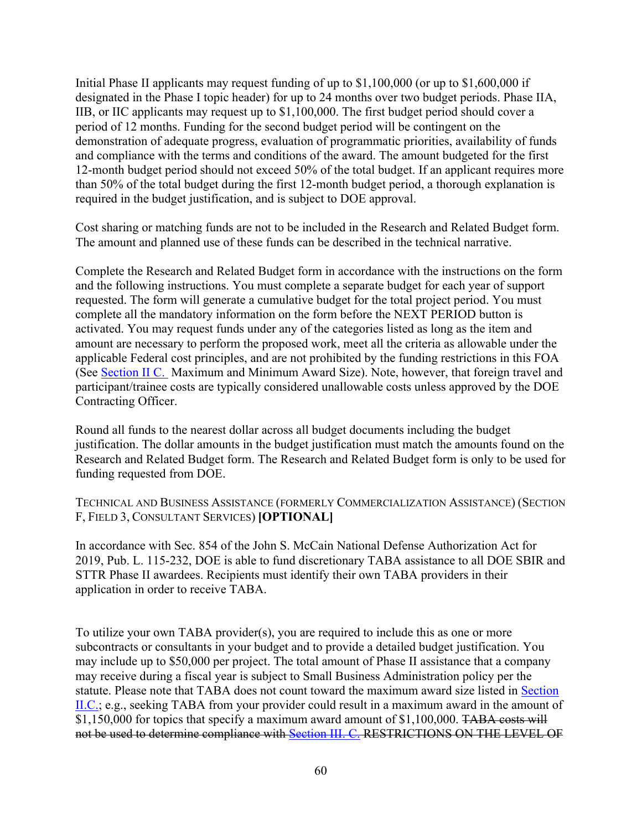Initial Phase II applicants may request funding of up to \$1,100,000 (or up to \$1,600,000 if designated in the Phase I topic header) for up to 24 months over two budget periods. Phase IIA, IIB, or IIC applicants may request up to \$1,100,000. The first budget period should cover a period of 12 months. Funding for the second budget period will be contingent on the demonstration of adequate progress, evaluation of programmatic priorities, availability of funds and compliance with the terms and conditions of the award. The amount budgeted for the first 12-month budget period should not exceed 50% of the total budget. If an applicant requires more than 50% of the total budget during the first 12-month budget period, a thorough explanation is required in the budget justification, and is subject to DOE approval.

Cost sharing or matching funds are not to be included in the Research and Related Budget form. The amount and planned use of these funds can be described in the technical narrative.

Complete the Research and Related Budget form in accordance with the instructions on the form and the following instructions. You must complete a separate budget for each year of support requested. The form will generate a cumulative budget for the total project period. You must complete all the mandatory information on the form before the NEXT PERIOD button is activated. You may request funds under any of the categories listed as long as the item and amount are necessary to perform the proposed work, meet all the criteria as allowable under the applicable Federal cost principles, and are not prohibited by the funding restrictions in this FOA (See Section II C. Maximum and Minimum Award Size). Note, however, that foreign travel and participant/trainee costs are typically considered unallowable costs unless approved by the DOE Contracting Officer.

Round all funds to the nearest dollar across all budget documents including the budget justification. The dollar amounts in the budget justification must match the amounts found on the Research and Related Budget form. The Research and Related Budget form is only to be used for funding requested from DOE.

TECHNICAL AND BUSINESS ASSISTANCE (FORMERLY COMMERCIALIZATION ASSISTANCE) (SECTION F, FIELD 3, CONSULTANT SERVICES) **[OPTIONAL]**

In accordance with Sec. 854 of the John S. McCain National Defense Authorization Act for 2019, Pub. L. 115-232, DOE is able to fund discretionary TABA assistance to all DOE SBIR and STTR Phase II awardees. Recipients must identify their own TABA providers in their application in order to receive TABA.

To utilize your own TABA provider(s), you are required to include this as one or more subcontracts or consultants in your budget and to provide a detailed budget justification. You may include up to \$50,000 per project. The total amount of Phase II assistance that a company may receive during a fiscal year is subject to Small Business Administration policy per the statute. Please note that TABA does not count toward the maximum award size listed in Section II.C.; e.g., seeking TABA from your provider could result in a maximum award in the amount of \$1,150,000 for topics that specify a maximum award amount of \$1,100,000. TABA costs will not be used to determine compliance with Section III. C. RESTRICTIONS ON THE LEVEL OF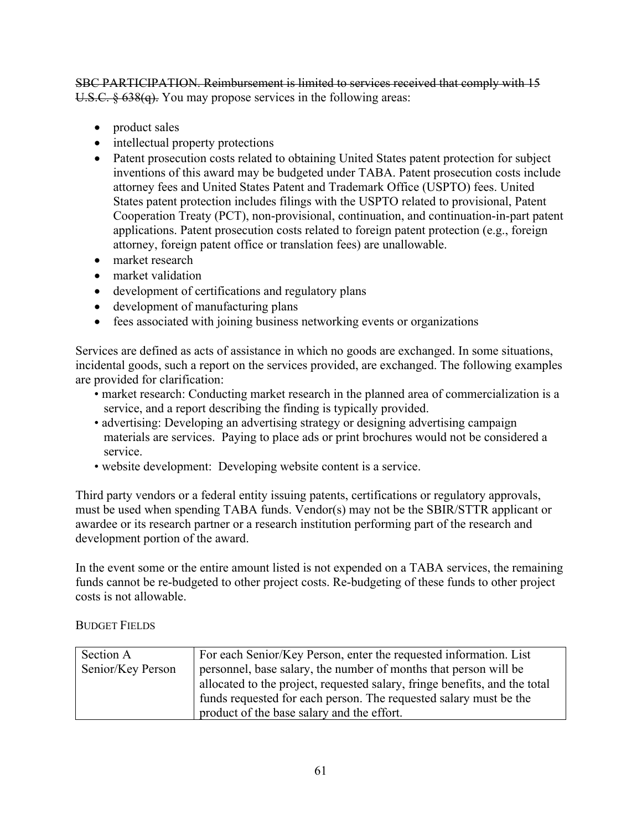SBC PARTICIPATION. Reimbursement is limited to services received that comply with 15 U.S.C. § 638(q). You may propose services in the following areas:

- product sales
- intellectual property protections
- Patent prosecution costs related to obtaining United States patent protection for subject inventions of this award may be budgeted under TABA. Patent prosecution costs include attorney fees and United States Patent and Trademark Office (USPTO) fees. United States patent protection includes filings with the USPTO related to provisional, Patent Cooperation Treaty (PCT), non-provisional, continuation, and continuation-in-part patent applications. Patent prosecution costs related to foreign patent protection (e.g., foreign attorney, foreign patent office or translation fees) are unallowable.
- market research
- market validation
- development of certifications and regulatory plans
- development of manufacturing plans
- fees associated with joining business networking events or organizations

Services are defined as acts of assistance in which no goods are exchanged. In some situations, incidental goods, such a report on the services provided, are exchanged. The following examples are provided for clarification:

- market research: Conducting market research in the planned area of commercialization is a service, and a report describing the finding is typically provided.
- advertising: Developing an advertising strategy or designing advertising campaign materials are services. Paying to place ads or print brochures would not be considered a service.
- website development: Developing website content is a service.

Third party vendors or a federal entity issuing patents, certifications or regulatory approvals, must be used when spending TABA funds. Vendor(s) may not be the SBIR/STTR applicant or awardee or its research partner or a research institution performing part of the research and development portion of the award.

In the event some or the entire amount listed is not expended on a TABA services, the remaining funds cannot be re-budgeted to other project costs. Re-budgeting of these funds to other project costs is not allowable.

BUDGET FIELDS

| Section A         | For each Senior/Key Person, enter the requested information. List          |
|-------------------|----------------------------------------------------------------------------|
| Senior/Key Person | personnel, base salary, the number of months that person will be           |
|                   | allocated to the project, requested salary, fringe benefits, and the total |
|                   | funds requested for each person. The requested salary must be the          |
|                   | product of the base salary and the effort.                                 |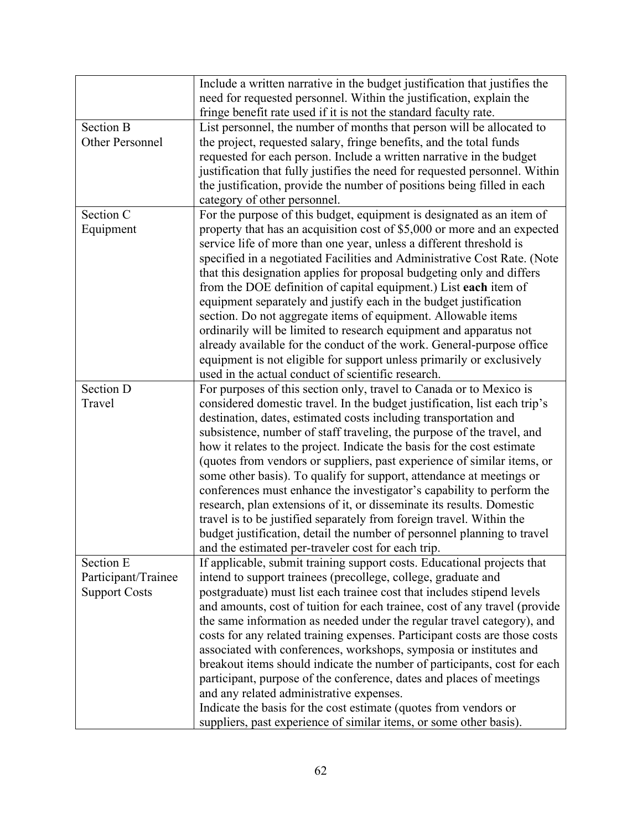|                      | Include a written narrative in the budget justification that justifies the  |
|----------------------|-----------------------------------------------------------------------------|
|                      | need for requested personnel. Within the justification, explain the         |
|                      | fringe benefit rate used if it is not the standard faculty rate.            |
| <b>Section B</b>     | List personnel, the number of months that person will be allocated to       |
| Other Personnel      | the project, requested salary, fringe benefits, and the total funds         |
|                      | requested for each person. Include a written narrative in the budget        |
|                      | justification that fully justifies the need for requested personnel. Within |
|                      | the justification, provide the number of positions being filled in each     |
|                      | category of other personnel.                                                |
| Section C            | For the purpose of this budget, equipment is designated as an item of       |
| Equipment            | property that has an acquisition cost of \$5,000 or more and an expected    |
|                      | service life of more than one year, unless a different threshold is         |
|                      | specified in a negotiated Facilities and Administrative Cost Rate. (Note    |
|                      | that this designation applies for proposal budgeting only and differs       |
|                      | from the DOE definition of capital equipment.) List each item of            |
|                      | equipment separately and justify each in the budget justification           |
|                      | section. Do not aggregate items of equipment. Allowable items               |
|                      | ordinarily will be limited to research equipment and apparatus not          |
|                      | already available for the conduct of the work. General-purpose office       |
|                      | equipment is not eligible for support unless primarily or exclusively       |
|                      | used in the actual conduct of scientific research.                          |
| Section D            | For purposes of this section only, travel to Canada or to Mexico is         |
| Travel               | considered domestic travel. In the budget justification, list each trip's   |
|                      | destination, dates, estimated costs including transportation and            |
|                      | subsistence, number of staff traveling, the purpose of the travel, and      |
|                      | how it relates to the project. Indicate the basis for the cost estimate     |
|                      | (quotes from vendors or suppliers, past experience of similar items, or     |
|                      | some other basis). To qualify for support, attendance at meetings or        |
|                      | conferences must enhance the investigator's capability to perform the       |
|                      | research, plan extensions of it, or disseminate its results. Domestic       |
|                      | travel is to be justified separately from foreign travel. Within the        |
|                      | budget justification, detail the number of personnel planning to travel     |
|                      | and the estimated per-traveler cost for each trip.                          |
| Section E            | If applicable, submit training support costs. Educational projects that     |
| Participant/Trainee  | intend to support trainees (precollege, college, graduate and               |
| <b>Support Costs</b> | postgraduate) must list each trainee cost that includes stipend levels      |
|                      | and amounts, cost of tuition for each trainee, cost of any travel (provide  |
|                      | the same information as needed under the regular travel category), and      |
|                      | costs for any related training expenses. Participant costs are those costs  |
|                      | associated with conferences, workshops, symposia or institutes and          |
|                      | breakout items should indicate the number of participants, cost for each    |
|                      | participant, purpose of the conference, dates and places of meetings        |
|                      | and any related administrative expenses.                                    |
|                      | Indicate the basis for the cost estimate (quotes from vendors or            |
|                      | suppliers, past experience of similar items, or some other basis).          |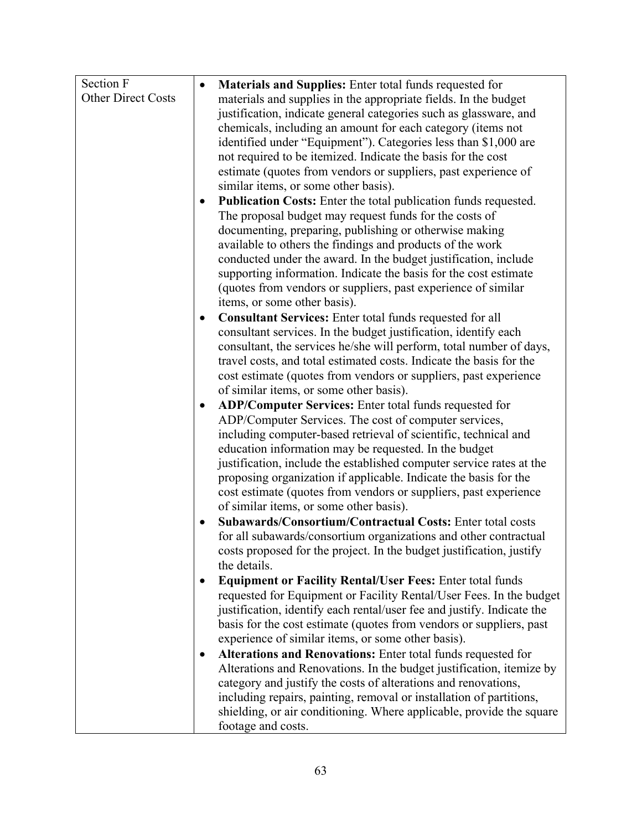| <b>Other Direct Costs</b><br>materials and supplies in the appropriate fields. In the budget<br>justification, indicate general categories such as glassware, and<br>chemicals, including an amount for each category (items not<br>identified under "Equipment"). Categories less than \$1,000 are<br>not required to be itemized. Indicate the basis for the cost |
|---------------------------------------------------------------------------------------------------------------------------------------------------------------------------------------------------------------------------------------------------------------------------------------------------------------------------------------------------------------------|
|                                                                                                                                                                                                                                                                                                                                                                     |
|                                                                                                                                                                                                                                                                                                                                                                     |
|                                                                                                                                                                                                                                                                                                                                                                     |
|                                                                                                                                                                                                                                                                                                                                                                     |
|                                                                                                                                                                                                                                                                                                                                                                     |
| estimate (quotes from vendors or suppliers, past experience of                                                                                                                                                                                                                                                                                                      |
| similar items, or some other basis).                                                                                                                                                                                                                                                                                                                                |
| Publication Costs: Enter the total publication funds requested.                                                                                                                                                                                                                                                                                                     |
| The proposal budget may request funds for the costs of                                                                                                                                                                                                                                                                                                              |
| documenting, preparing, publishing or otherwise making                                                                                                                                                                                                                                                                                                              |
| available to others the findings and products of the work                                                                                                                                                                                                                                                                                                           |
| conducted under the award. In the budget justification, include                                                                                                                                                                                                                                                                                                     |
| supporting information. Indicate the basis for the cost estimate<br>(quotes from vendors or suppliers, past experience of similar                                                                                                                                                                                                                                   |
| items, or some other basis).                                                                                                                                                                                                                                                                                                                                        |
| <b>Consultant Services:</b> Enter total funds requested for all<br>$\bullet$                                                                                                                                                                                                                                                                                        |
| consultant services. In the budget justification, identify each                                                                                                                                                                                                                                                                                                     |
| consultant, the services he/she will perform, total number of days,                                                                                                                                                                                                                                                                                                 |
| travel costs, and total estimated costs. Indicate the basis for the                                                                                                                                                                                                                                                                                                 |
| cost estimate (quotes from vendors or suppliers, past experience                                                                                                                                                                                                                                                                                                    |
| of similar items, or some other basis).                                                                                                                                                                                                                                                                                                                             |
| ADP/Computer Services: Enter total funds requested for<br>$\bullet$                                                                                                                                                                                                                                                                                                 |
| ADP/Computer Services. The cost of computer services,                                                                                                                                                                                                                                                                                                               |
| including computer-based retrieval of scientific, technical and                                                                                                                                                                                                                                                                                                     |
| education information may be requested. In the budget                                                                                                                                                                                                                                                                                                               |
| justification, include the established computer service rates at the                                                                                                                                                                                                                                                                                                |
| proposing organization if applicable. Indicate the basis for the                                                                                                                                                                                                                                                                                                    |
| cost estimate (quotes from vendors or suppliers, past experience<br>of similar items, or some other basis).                                                                                                                                                                                                                                                         |
| Subawards/Consortium/Contractual Costs: Enter total costs                                                                                                                                                                                                                                                                                                           |
| for all subawards/consortium organizations and other contractual                                                                                                                                                                                                                                                                                                    |
| costs proposed for the project. In the budget justification, justify                                                                                                                                                                                                                                                                                                |
| the details.                                                                                                                                                                                                                                                                                                                                                        |
| <b>Equipment or Facility Rental/User Fees: Enter total funds</b><br>$\bullet$                                                                                                                                                                                                                                                                                       |
| requested for Equipment or Facility Rental/User Fees. In the budget                                                                                                                                                                                                                                                                                                 |
| justification, identify each rental/user fee and justify. Indicate the                                                                                                                                                                                                                                                                                              |
| basis for the cost estimate (quotes from vendors or suppliers, past                                                                                                                                                                                                                                                                                                 |
| experience of similar items, or some other basis).                                                                                                                                                                                                                                                                                                                  |
| Alterations and Renovations: Enter total funds requested for                                                                                                                                                                                                                                                                                                        |
| Alterations and Renovations. In the budget justification, itemize by                                                                                                                                                                                                                                                                                                |
| category and justify the costs of alterations and renovations,                                                                                                                                                                                                                                                                                                      |
| including repairs, painting, removal or installation of partitions,                                                                                                                                                                                                                                                                                                 |
| shielding, or air conditioning. Where applicable, provide the square<br>footage and costs.                                                                                                                                                                                                                                                                          |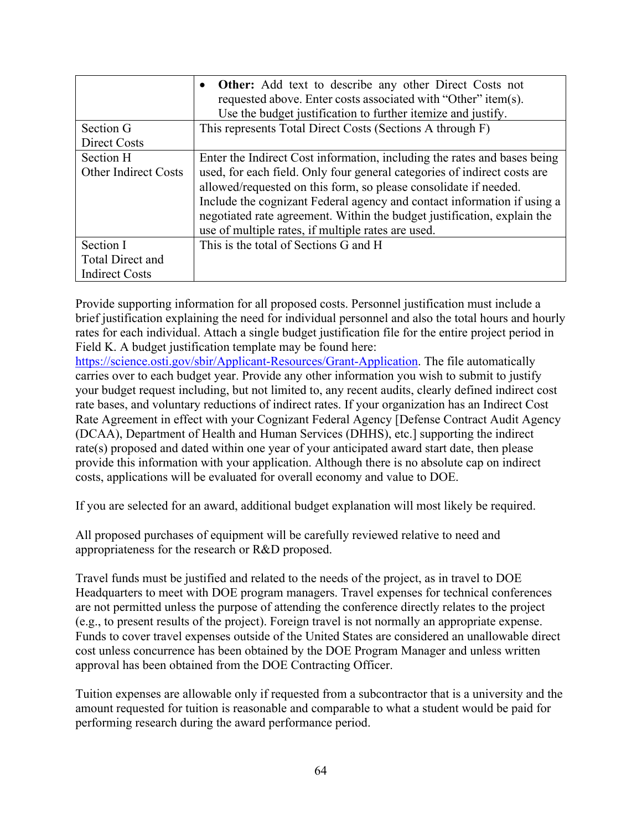|                             | • Other: Add text to describe any other Direct Costs not<br>requested above. Enter costs associated with "Other" item(s).<br>Use the budget justification to further itemize and justify. |
|-----------------------------|-------------------------------------------------------------------------------------------------------------------------------------------------------------------------------------------|
| Section G                   | This represents Total Direct Costs (Sections A through F)                                                                                                                                 |
| Direct Costs                |                                                                                                                                                                                           |
| Section H                   | Enter the Indirect Cost information, including the rates and bases being                                                                                                                  |
| <b>Other Indirect Costs</b> | used, for each field. Only four general categories of indirect costs are                                                                                                                  |
|                             | allowed/requested on this form, so please consolidate if needed.                                                                                                                          |
|                             | Include the cognizant Federal agency and contact information if using a                                                                                                                   |
|                             | negotiated rate agreement. Within the budget justification, explain the                                                                                                                   |
|                             | use of multiple rates, if multiple rates are used.                                                                                                                                        |
| Section I                   | This is the total of Sections G and H                                                                                                                                                     |
| <b>Total Direct and</b>     |                                                                                                                                                                                           |
| <b>Indirect Costs</b>       |                                                                                                                                                                                           |

Provide supporting information for all proposed costs. Personnel justification must include a brief justification explaining the need for individual personnel and also the total hours and hourly rates for each individual. Attach a single budget justification file for the entire project period in Field K. A budget justification template may be found here:

https://science.osti.gov/sbir/Applicant-Resources/Grant-Application. The file automatically carries over to each budget year. Provide any other information you wish to submit to justify your budget request including, but not limited to, any recent audits, clearly defined indirect cost rate bases, and voluntary reductions of indirect rates. If your organization has an Indirect Cost Rate Agreement in effect with your Cognizant Federal Agency [Defense Contract Audit Agency (DCAA), Department of Health and Human Services (DHHS), etc.] supporting the indirect rate(s) proposed and dated within one year of your anticipated award start date, then please provide this information with your application. Although there is no absolute cap on indirect costs, applications will be evaluated for overall economy and value to DOE.

If you are selected for an award, additional budget explanation will most likely be required.

All proposed purchases of equipment will be carefully reviewed relative to need and appropriateness for the research or R&D proposed.

Travel funds must be justified and related to the needs of the project, as in travel to DOE Headquarters to meet with DOE program managers. Travel expenses for technical conferences are not permitted unless the purpose of attending the conference directly relates to the project (e.g., to present results of the project). Foreign travel is not normally an appropriate expense. Funds to cover travel expenses outside of the United States are considered an unallowable direct cost unless concurrence has been obtained by the DOE Program Manager and unless written approval has been obtained from the DOE Contracting Officer.

Tuition expenses are allowable only if requested from a subcontractor that is a university and the amount requested for tuition is reasonable and comparable to what a student would be paid for performing research during the award performance period.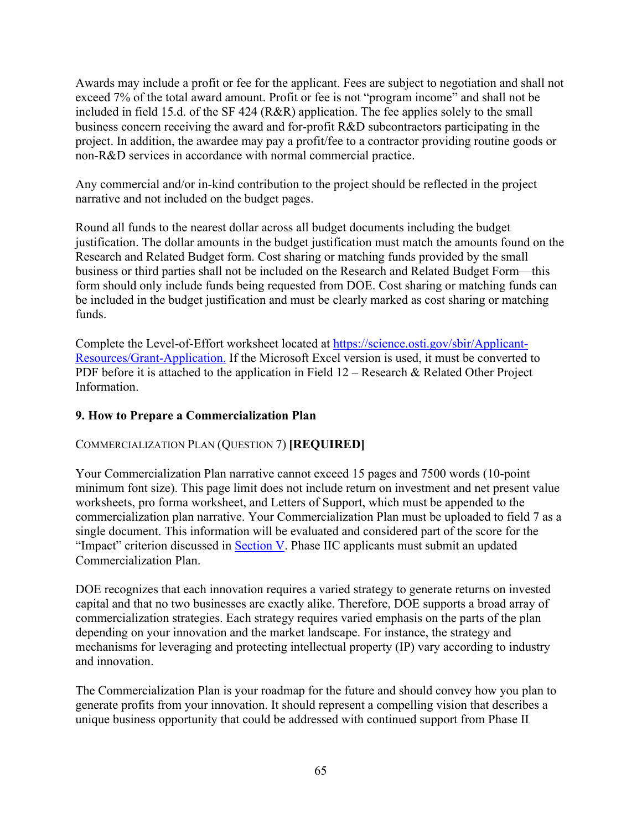Awards may include a profit or fee for the applicant. Fees are subject to negotiation and shall not exceed 7% of the total award amount. Profit or fee is not "program income" and shall not be included in field 15.d. of the SF 424 (R&R) application. The fee applies solely to the small business concern receiving the award and for-profit R&D subcontractors participating in the project. In addition, the awardee may pay a profit/fee to a contractor providing routine goods or non-R&D services in accordance with normal commercial practice.

Any commercial and/or in-kind contribution to the project should be reflected in the project narrative and not included on the budget pages.

Round all funds to the nearest dollar across all budget documents including the budget justification. The dollar amounts in the budget justification must match the amounts found on the Research and Related Budget form. Cost sharing or matching funds provided by the small business or third parties shall not be included on the Research and Related Budget Form—this form should only include funds being requested from DOE. Cost sharing or matching funds can be included in the budget justification and must be clearly marked as cost sharing or matching funds.

Complete the Level-of-Effort worksheet located at https://science.osti.gov/sbir/Applicant-Resources/Grant-Application. If the Microsoft Excel version is used, it must be converted to PDF before it is attached to the application in Field 12 – Research & Related Other Project Information.

## **9. How to Prepare a Commercialization Plan**

## COMMERCIALIZATION PLAN (QUESTION 7) **[REQUIRED]**

Your Commercialization Plan narrative cannot exceed 15 pages and 7500 words (10-point minimum font size). This page limit does not include return on investment and net present value worksheets, pro forma worksheet, and Letters of Support, which must be appended to the commercialization plan narrative. Your Commercialization Plan must be uploaded to field 7 as a single document. This information will be evaluated and considered part of the score for the "Impact" criterion discussed in Section V. Phase IIC applicants must submit an updated Commercialization Plan.

DOE recognizes that each innovation requires a varied strategy to generate returns on invested capital and that no two businesses are exactly alike. Therefore, DOE supports a broad array of commercialization strategies. Each strategy requires varied emphasis on the parts of the plan depending on your innovation and the market landscape. For instance, the strategy and mechanisms for leveraging and protecting intellectual property (IP) vary according to industry and innovation.

The Commercialization Plan is your roadmap for the future and should convey how you plan to generate profits from your innovation. It should represent a compelling vision that describes a unique business opportunity that could be addressed with continued support from Phase II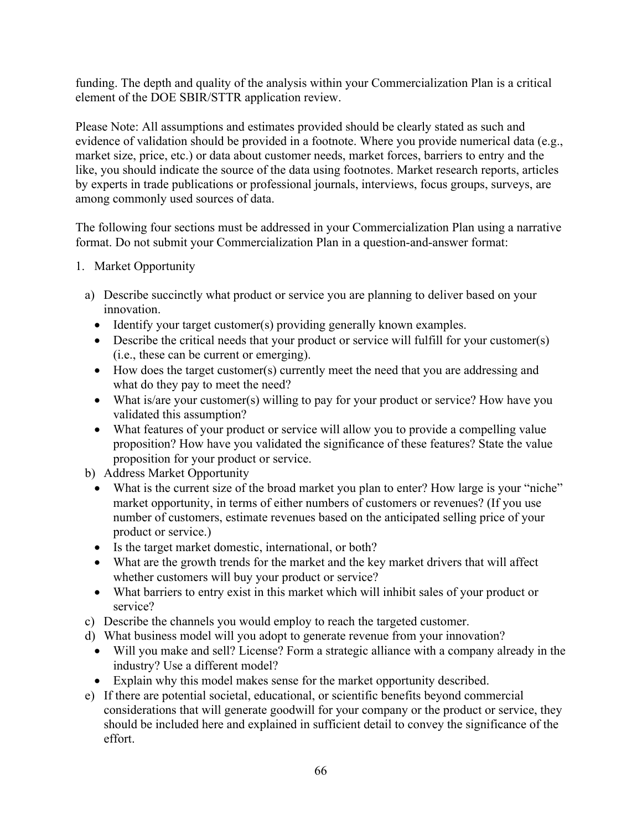funding. The depth and quality of the analysis within your Commercialization Plan is a critical element of the DOE SBIR/STTR application review.

Please Note: All assumptions and estimates provided should be clearly stated as such and evidence of validation should be provided in a footnote. Where you provide numerical data (e.g., market size, price, etc.) or data about customer needs, market forces, barriers to entry and the like, you should indicate the source of the data using footnotes. Market research reports, articles by experts in trade publications or professional journals, interviews, focus groups, surveys, are among commonly used sources of data.

The following four sections must be addressed in your Commercialization Plan using a narrative format. Do not submit your Commercialization Plan in a question-and-answer format:

- 1. Market Opportunity
	- a) Describe succinctly what product or service you are planning to deliver based on your innovation.
		- Identify your target customer(s) providing generally known examples.
		- Describe the critical needs that your product or service will fulfill for your customer(s) (i.e., these can be current or emerging).
		- How does the target customer(s) currently meet the need that you are addressing and what do they pay to meet the need?
		- What is/are your customer(s) willing to pay for your product or service? How have you validated this assumption?
		- What features of your product or service will allow you to provide a compelling value proposition? How have you validated the significance of these features? State the value proposition for your product or service.
	- b) Address Market Opportunity
		- What is the current size of the broad market you plan to enter? How large is your "niche" market opportunity, in terms of either numbers of customers or revenues? (If you use number of customers, estimate revenues based on the anticipated selling price of your product or service.)
		- Is the target market domestic, international, or both?
		- What are the growth trends for the market and the key market drivers that will affect whether customers will buy your product or service?
		- What barriers to entry exist in this market which will inhibit sales of your product or service?
	- c) Describe the channels you would employ to reach the targeted customer.
	- d) What business model will you adopt to generate revenue from your innovation?
		- Will you make and sell? License? Form a strategic alliance with a company already in the industry? Use a different model?
		- Explain why this model makes sense for the market opportunity described.
	- e) If there are potential societal, educational, or scientific benefits beyond commercial considerations that will generate goodwill for your company or the product or service, they should be included here and explained in sufficient detail to convey the significance of the effort.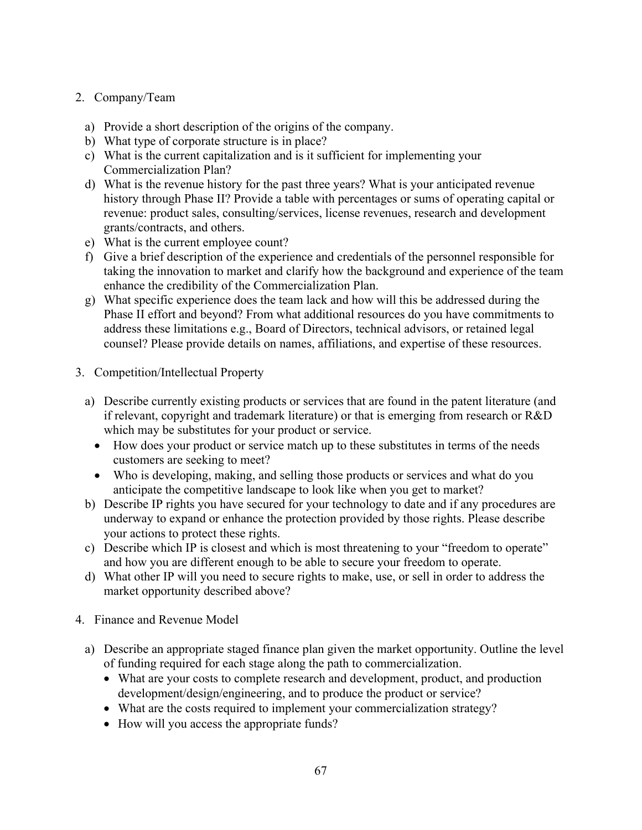## 2. Company/Team

- a) Provide a short description of the origins of the company.
- b) What type of corporate structure is in place?
- c) What is the current capitalization and is it sufficient for implementing your Commercialization Plan?
- d) What is the revenue history for the past three years? What is your anticipated revenue history through Phase II? Provide a table with percentages or sums of operating capital or revenue: product sales, consulting/services, license revenues, research and development grants/contracts, and others.
- e) What is the current employee count?
- f) Give a brief description of the experience and credentials of the personnel responsible for taking the innovation to market and clarify how the background and experience of the team enhance the credibility of the Commercialization Plan.
- g) What specific experience does the team lack and how will this be addressed during the Phase II effort and beyond? From what additional resources do you have commitments to address these limitations e.g., Board of Directors, technical advisors, or retained legal counsel? Please provide details on names, affiliations, and expertise of these resources.
- 3. Competition/Intellectual Property
	- a) Describe currently existing products or services that are found in the patent literature (and if relevant, copyright and trademark literature) or that is emerging from research or R&D which may be substitutes for your product or service.
		- How does your product or service match up to these substitutes in terms of the needs customers are seeking to meet?
		- Who is developing, making, and selling those products or services and what do you anticipate the competitive landscape to look like when you get to market?
	- b) Describe IP rights you have secured for your technology to date and if any procedures are underway to expand or enhance the protection provided by those rights. Please describe your actions to protect these rights.
	- c) Describe which IP is closest and which is most threatening to your "freedom to operate" and how you are different enough to be able to secure your freedom to operate.
	- d) What other IP will you need to secure rights to make, use, or sell in order to address the market opportunity described above?
- 4. Finance and Revenue Model
	- a) Describe an appropriate staged finance plan given the market opportunity. Outline the level of funding required for each stage along the path to commercialization.
		- What are your costs to complete research and development, product, and production development/design/engineering, and to produce the product or service?
		- What are the costs required to implement your commercialization strategy?
		- How will you access the appropriate funds?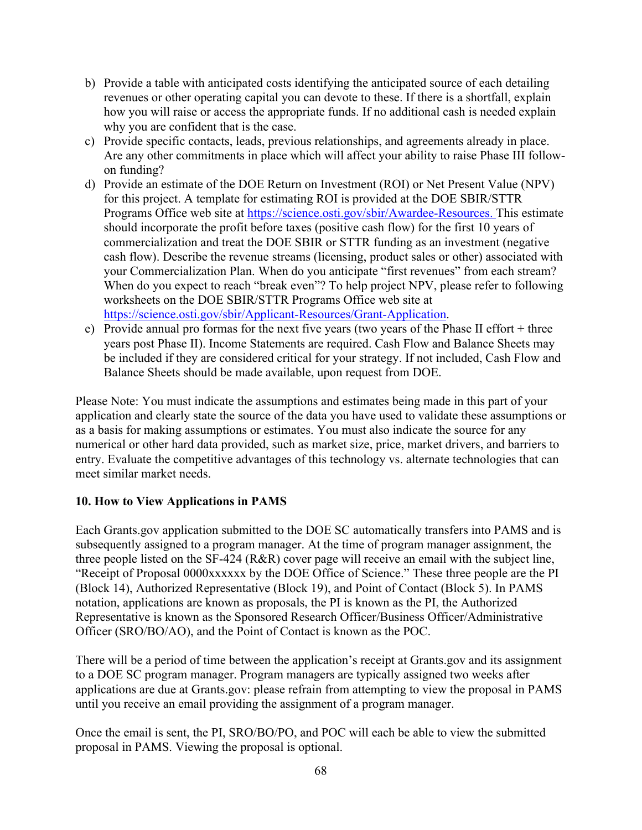- b) Provide a table with anticipated costs identifying the anticipated source of each detailing revenues or other operating capital you can devote to these. If there is a shortfall, explain how you will raise or access the appropriate funds. If no additional cash is needed explain why you are confident that is the case.
- c) Provide specific contacts, leads, previous relationships, and agreements already in place. Are any other commitments in place which will affect your ability to raise Phase III followon funding?
- d) Provide an estimate of the DOE Return on Investment (ROI) or Net Present Value (NPV) for this project. A template for estimating ROI is provided at the DOE SBIR/STTR Programs Office web site at https://science.osti.gov/sbir/Awardee-Resources. This estimate should incorporate the profit before taxes (positive cash flow) for the first 10 years of commercialization and treat the DOE SBIR or STTR funding as an investment (negative cash flow). Describe the revenue streams (licensing, product sales or other) associated with your Commercialization Plan. When do you anticipate "first revenues" from each stream? When do you expect to reach "break even"? To help project NPV, please refer to following worksheets on the DOE SBIR/STTR Programs Office web site at https://science.osti.gov/sbir/Applicant-Resources/Grant-Application.
- e) Provide annual pro formas for the next five years (two years of the Phase II effort + three years post Phase II). Income Statements are required. Cash Flow and Balance Sheets may be included if they are considered critical for your strategy. If not included, Cash Flow and Balance Sheets should be made available, upon request from DOE.

Please Note: You must indicate the assumptions and estimates being made in this part of your application and clearly state the source of the data you have used to validate these assumptions or as a basis for making assumptions or estimates. You must also indicate the source for any numerical or other hard data provided, such as market size, price, market drivers, and barriers to entry. Evaluate the competitive advantages of this technology vs. alternate technologies that can meet similar market needs.

## **10. How to View Applications in PAMS**

Each Grants.gov application submitted to the DOE SC automatically transfers into PAMS and is subsequently assigned to a program manager. At the time of program manager assignment, the three people listed on the SF-424 (R&R) cover page will receive an email with the subject line, "Receipt of Proposal 0000xxxxxx by the DOE Office of Science." These three people are the PI (Block 14), Authorized Representative (Block 19), and Point of Contact (Block 5). In PAMS notation, applications are known as proposals, the PI is known as the PI, the Authorized Representative is known as the Sponsored Research Officer/Business Officer/Administrative Officer (SRO/BO/AO), and the Point of Contact is known as the POC.

There will be a period of time between the application's receipt at Grants.gov and its assignment to a DOE SC program manager. Program managers are typically assigned two weeks after applications are due at Grants.gov: please refrain from attempting to view the proposal in PAMS until you receive an email providing the assignment of a program manager.

Once the email is sent, the PI, SRO/BO/PO, and POC will each be able to view the submitted proposal in PAMS. Viewing the proposal is optional.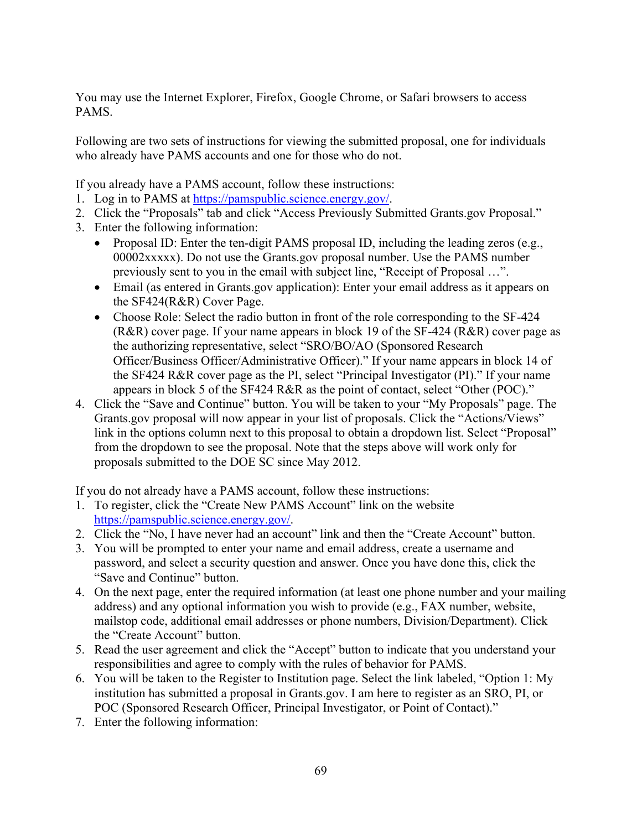You may use the Internet Explorer, Firefox, Google Chrome, or Safari browsers to access PAMS.

Following are two sets of instructions for viewing the submitted proposal, one for individuals who already have PAMS accounts and one for those who do not.

If you already have a PAMS account, follow these instructions:

- 1. Log in to PAMS at https://pamspublic.science.energy.gov/.
- 2. Click the "Proposals" tab and click "Access Previously Submitted Grants.gov Proposal."
- 3. Enter the following information:
	- Proposal ID: Enter the ten-digit PAMS proposal ID, including the leading zeros (e.g., 00002xxxxx). Do not use the Grants.gov proposal number. Use the PAMS number previously sent to you in the email with subject line, "Receipt of Proposal ...".
	- Email (as entered in Grants.gov application): Enter your email address as it appears on the SF424(R&R) Cover Page.
	- Choose Role: Select the radio button in front of the role corresponding to the SF-424 (R&R) cover page. If your name appears in block 19 of the SF-424 (R&R) cover page as the authorizing representative, select "SRO/BO/AO (Sponsored Research Officer/Business Officer/Administrative Officer)." If your name appears in block 14 of the SF424 R&R cover page as the PI, select "Principal Investigator (PI)." If your name appears in block 5 of the SF424 R&R as the point of contact, select "Other (POC)."
- 4. Click the "Save and Continue" button. You will be taken to your "My Proposals" page. The Grants.gov proposal will now appear in your list of proposals. Click the "Actions/Views" link in the options column next to this proposal to obtain a dropdown list. Select "Proposal" from the dropdown to see the proposal. Note that the steps above will work only for proposals submitted to the DOE SC since May 2012.

If you do not already have a PAMS account, follow these instructions:

- 1. To register, click the "Create New PAMS Account" link on the website https://pamspublic.science.energy.gov/.
- 2. Click the "No, I have never had an account" link and then the "Create Account" button.
- 3. You will be prompted to enter your name and email address, create a username and password, and select a security question and answer. Once you have done this, click the "Save and Continue" button.
- 4. On the next page, enter the required information (at least one phone number and your mailing address) and any optional information you wish to provide (e.g., FAX number, website, mailstop code, additional email addresses or phone numbers, Division/Department). Click the "Create Account" button.
- 5. Read the user agreement and click the "Accept" button to indicate that you understand your responsibilities and agree to comply with the rules of behavior for PAMS.
- 6. You will be taken to the Register to Institution page. Select the link labeled, "Option 1: My institution has submitted a proposal in Grants.gov. I am here to register as an SRO, PI, or POC (Sponsored Research Officer, Principal Investigator, or Point of Contact)."
- 7. Enter the following information: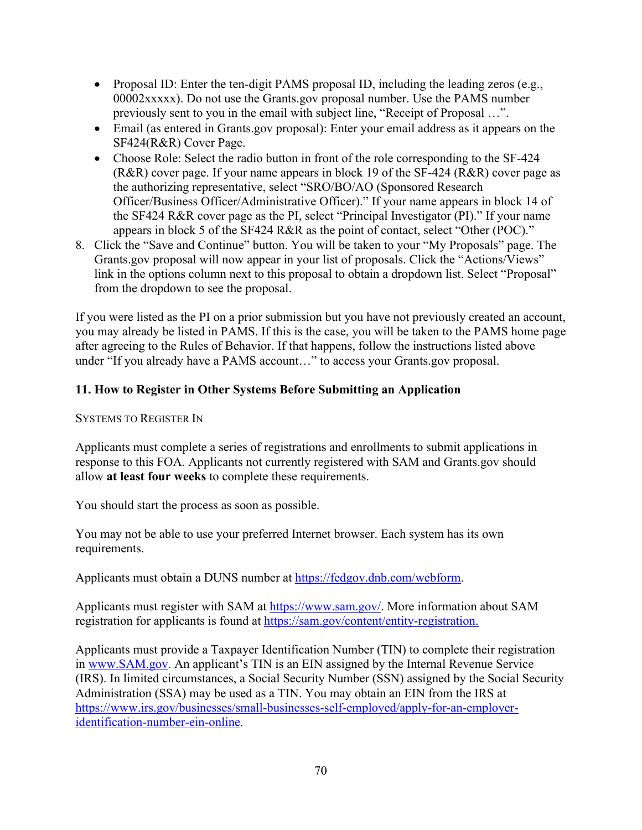- Proposal ID: Enter the ten-digit PAMS proposal ID, including the leading zeros (e.g., 00002xxxxx). Do not use the Grants.gov proposal number. Use the PAMS number previously sent to you in the email with subject line, "Receipt of Proposal …".
- Email (as entered in Grants.gov proposal): Enter your email address as it appears on the SF424(R&R) Cover Page.
- Choose Role: Select the radio button in front of the role corresponding to the SF-424 (R&R) cover page. If your name appears in block 19 of the SF-424 (R&R) cover page as the authorizing representative, select "SRO/BO/AO (Sponsored Research Officer/Business Officer/Administrative Officer)." If your name appears in block 14 of the SF424 R&R cover page as the PI, select "Principal Investigator (PI)." If your name appears in block 5 of the SF424 R&R as the point of contact, select "Other (POC)."
- 8. Click the "Save and Continue" button. You will be taken to your "My Proposals" page. The Grants.gov proposal will now appear in your list of proposals. Click the "Actions/Views" link in the options column next to this proposal to obtain a dropdown list. Select "Proposal" from the dropdown to see the proposal.

If you were listed as the PI on a prior submission but you have not previously created an account, you may already be listed in PAMS. If this is the case, you will be taken to the PAMS home page after agreeing to the Rules of Behavior. If that happens, follow the instructions listed above under "If you already have a PAMS account…" to access your Grants.gov proposal.

# **11. How to Register in Other Systems Before Submitting an Application**

SYSTEMS TO REGISTER IN

Applicants must complete a series of registrations and enrollments to submit applications in response to this FOA. Applicants not currently registered with SAM and Grants.gov should allow **at least four weeks** to complete these requirements.

You should start the process as soon as possible.

You may not be able to use your preferred Internet browser. Each system has its own requirements.

Applicants must obtain a DUNS number at https://fedgov.dnb.com/webform.

Applicants must register with SAM at https://www.sam.gov/. More information about SAM registration for applicants is found at https://sam.gov/content/entity-registration.

Applicants must provide a Taxpayer Identification Number (TIN) to complete their registration in www.SAM.gov. An applicant's TIN is an EIN assigned by the Internal Revenue Service (IRS). In limited circumstances, a Social Security Number (SSN) assigned by the Social Security Administration (SSA) may be used as a TIN. You may obtain an EIN from the IRS at https://www.irs.gov/businesses/small-businesses-self-employed/apply-for-an-employeridentification-number-ein-online.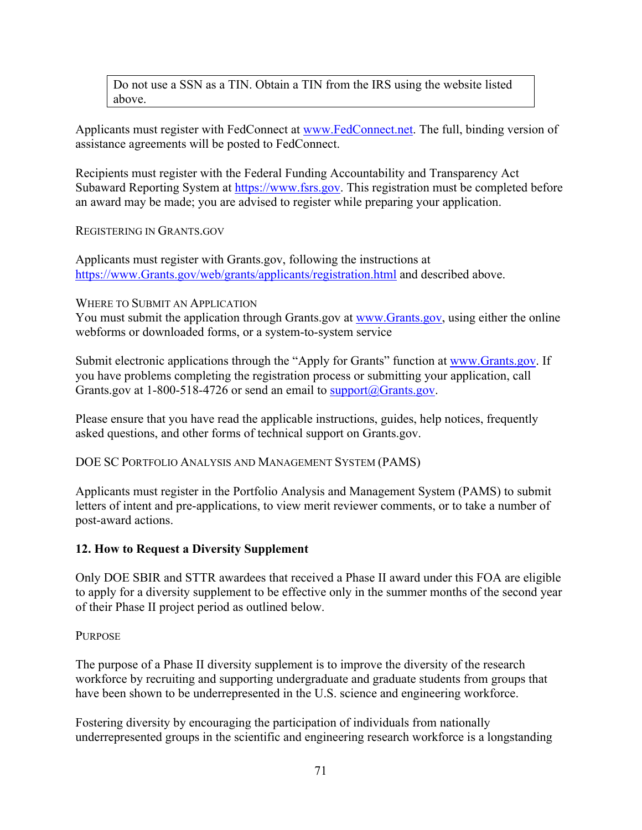Do not use a SSN as a TIN. Obtain a TIN from the IRS using the website listed above.

Applicants must register with FedConnect at www.FedConnect.net. The full, binding version of assistance agreements will be posted to FedConnect.

Recipients must register with the Federal Funding Accountability and Transparency Act Subaward Reporting System at https://www.fsrs.gov. This registration must be completed before an award may be made; you are advised to register while preparing your application.

#### REGISTERING IN GRANTS.GOV

Applicants must register with Grants.gov, following the instructions at https://www.Grants.gov/web/grants/applicants/registration.html and described above.

WHERE TO SUBMIT AN APPLICATION

You must submit the application through Grants.gov at www.Grants.gov, using either the online webforms or downloaded forms, or a system-to-system service

Submit electronic applications through the "Apply for Grants" function at www.Grants.gov. If you have problems completing the registration process or submitting your application, call Grants.gov at 1-800-518-4726 or send an email to support@Grants.gov.

Please ensure that you have read the applicable instructions, guides, help notices, frequently asked questions, and other forms of technical support on Grants.gov.

DOE SC PORTFOLIO ANALYSIS AND MANAGEMENT SYSTEM (PAMS)

Applicants must register in the Portfolio Analysis and Management System (PAMS) to submit letters of intent and pre-applications, to view merit reviewer comments, or to take a number of post-award actions.

## **12. How to Request a Diversity Supplement**

Only DOE SBIR and STTR awardees that received a Phase II award under this FOA are eligible to apply for a diversity supplement to be effective only in the summer months of the second year of their Phase II project period as outlined below.

## PURPOSE

The purpose of a Phase II diversity supplement is to improve the diversity of the research workforce by recruiting and supporting undergraduate and graduate students from groups that have been shown to be underrepresented in the U.S. science and engineering workforce.

Fostering diversity by encouraging the participation of individuals from nationally underrepresented groups in the scientific and engineering research workforce is a longstanding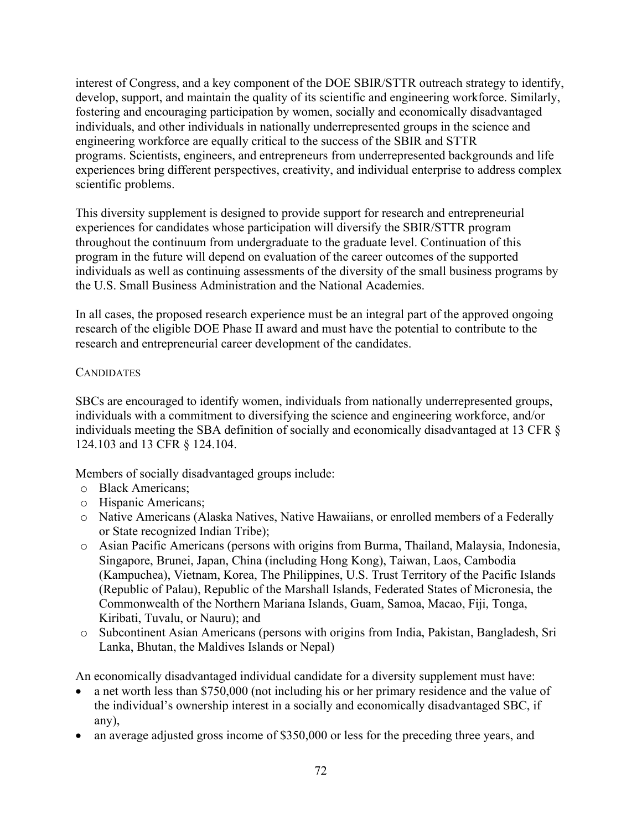interest of Congress, and a key component of the DOE SBIR/STTR outreach strategy to identify, develop, support, and maintain the quality of its scientific and engineering workforce. Similarly, fostering and encouraging participation by women, socially and economically disadvantaged individuals, and other individuals in nationally underrepresented groups in the science and engineering workforce are equally critical to the success of the SBIR and STTR programs. Scientists, engineers, and entrepreneurs from underrepresented backgrounds and life experiences bring different perspectives, creativity, and individual enterprise to address complex scientific problems.

This diversity supplement is designed to provide support for research and entrepreneurial experiences for candidates whose participation will diversify the SBIR/STTR program throughout the continuum from undergraduate to the graduate level. Continuation of this program in the future will depend on evaluation of the career outcomes of the supported individuals as well as continuing assessments of the diversity of the small business programs by the U.S. Small Business Administration and the National Academies.

In all cases, the proposed research experience must be an integral part of the approved ongoing research of the eligible DOE Phase II award and must have the potential to contribute to the research and entrepreneurial career development of the candidates.

#### **CANDIDATES**

SBCs are encouraged to identify women, individuals from nationally underrepresented groups, individuals with a commitment to diversifying the science and engineering workforce, and/or individuals meeting the SBA definition of socially and economically disadvantaged at 13 CFR § 124.103 and 13 CFR § 124.104.

Members of socially disadvantaged groups include:

- o Black Americans;
- o Hispanic Americans;
- o Native Americans (Alaska Natives, Native Hawaiians, or enrolled members of a Federally or State recognized Indian Tribe);
- o Asian Pacific Americans (persons with origins from Burma, Thailand, Malaysia, Indonesia, Singapore, Brunei, Japan, China (including Hong Kong), Taiwan, Laos, Cambodia (Kampuchea), Vietnam, Korea, The Philippines, U.S. Trust Territory of the Pacific Islands (Republic of Palau), Republic of the Marshall Islands, Federated States of Micronesia, the Commonwealth of the Northern Mariana Islands, Guam, Samoa, Macao, Fiji, Tonga, Kiribati, Tuvalu, or Nauru); and
- o Subcontinent Asian Americans (persons with origins from India, Pakistan, Bangladesh, Sri Lanka, Bhutan, the Maldives Islands or Nepal)

An economically disadvantaged individual candidate for a diversity supplement must have:

- a net worth less than \$750,000 (not including his or her primary residence and the value of the individual's ownership interest in a socially and economically disadvantaged SBC, if any),
- an average adjusted gross income of \$350,000 or less for the preceding three years, and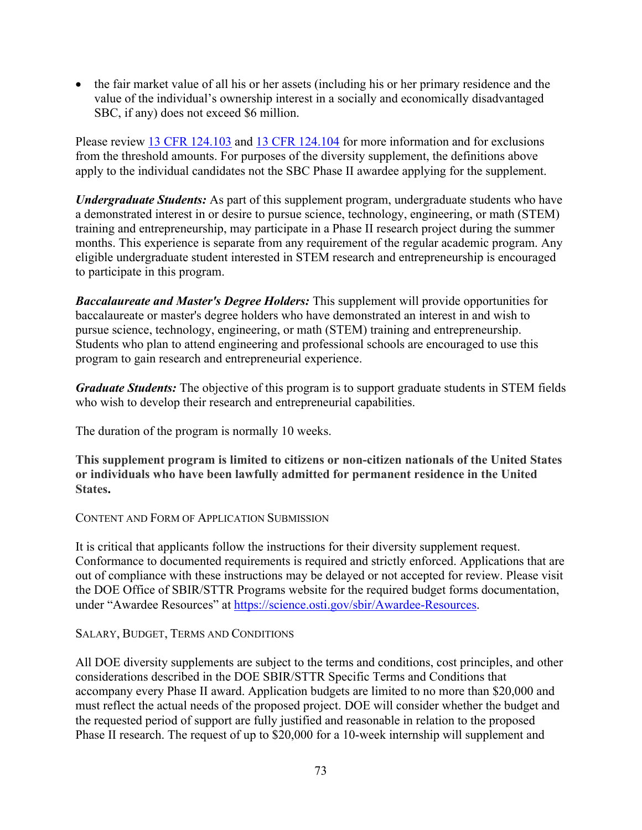• the fair market value of all his or her assets (including his or her primary residence and the value of the individual's ownership interest in a socially and economically disadvantaged SBC, if any) does not exceed \$6 million.

Please review 13 CFR 124.103 and 13 CFR 124.104 for more information and for exclusions from the threshold amounts. For purposes of the diversity supplement, the definitions above apply to the individual candidates not the SBC Phase II awardee applying for the supplement.

*Undergraduate Students:* As part of this supplement program, undergraduate students who have a demonstrated interest in or desire to pursue science, technology, engineering, or math (STEM) training and entrepreneurship, may participate in a Phase II research project during the summer months. This experience is separate from any requirement of the regular academic program. Any eligible undergraduate student interested in STEM research and entrepreneurship is encouraged to participate in this program.

*Baccalaureate and Master's Degree Holders:* This supplement will provide opportunities for baccalaureate or master's degree holders who have demonstrated an interest in and wish to pursue science, technology, engineering, or math (STEM) training and entrepreneurship. Students who plan to attend engineering and professional schools are encouraged to use this program to gain research and entrepreneurial experience.

*Graduate Students:* The objective of this program is to support graduate students in STEM fields who wish to develop their research and entrepreneurial capabilities.

The duration of the program is normally 10 weeks.

**This supplement program is limited to citizens or non-citizen nationals of the United States or individuals who have been lawfully admitted for permanent residence in the United States.**

CONTENT AND FORM OF APPLICATION SUBMISSION

It is critical that applicants follow the instructions for their diversity supplement request. Conformance to documented requirements is required and strictly enforced. Applications that are out of compliance with these instructions may be delayed or not accepted for review. Please visit the DOE Office of SBIR/STTR Programs website for the required budget forms documentation, under "Awardee Resources" at https://science.osti.gov/sbir/Awardee-Resources.

## SALARY, BUDGET, TERMS AND CONDITIONS

All DOE diversity supplements are subject to the terms and conditions, cost principles, and other considerations described in the DOE SBIR/STTR Specific Terms and Conditions that accompany every Phase II award. Application budgets are limited to no more than \$20,000 and must reflect the actual needs of the proposed project. DOE will consider whether the budget and the requested period of support are fully justified and reasonable in relation to the proposed Phase II research. The request of up to \$20,000 for a 10-week internship will supplement and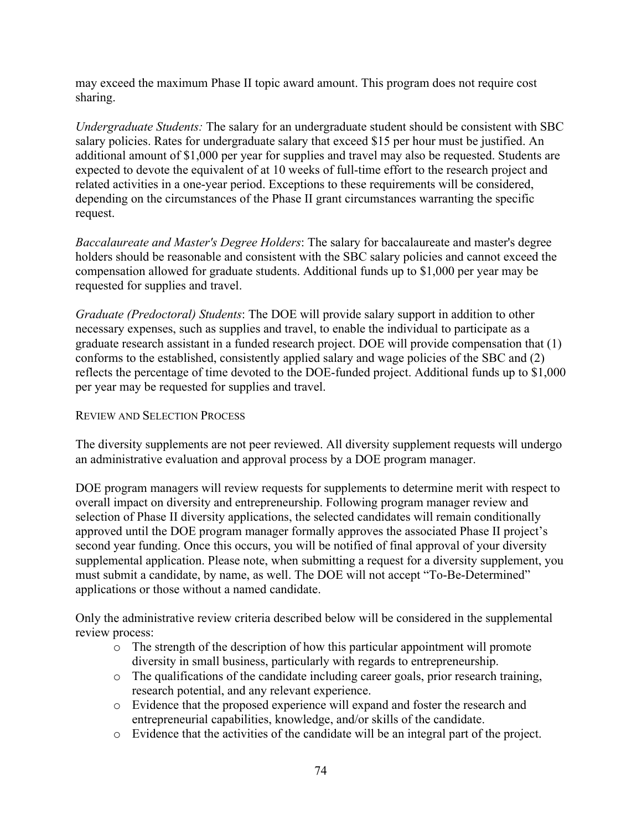may exceed the maximum Phase II topic award amount. This program does not require cost sharing.

*Undergraduate Students:* The salary for an undergraduate student should be consistent with SBC salary policies. Rates for undergraduate salary that exceed \$15 per hour must be justified. An additional amount of \$1,000 per year for supplies and travel may also be requested. Students are expected to devote the equivalent of at 10 weeks of full-time effort to the research project and related activities in a one-year period. Exceptions to these requirements will be considered, depending on the circumstances of the Phase II grant circumstances warranting the specific request.

*Baccalaureate and Master's Degree Holders*: The salary for baccalaureate and master's degree holders should be reasonable and consistent with the SBC salary policies and cannot exceed the compensation allowed for graduate students. Additional funds up to \$1,000 per year may be requested for supplies and travel.

*Graduate (Predoctoral) Students*: The DOE will provide salary support in addition to other necessary expenses, such as supplies and travel, to enable the individual to participate as a graduate research assistant in a funded research project. DOE will provide compensation that (1) conforms to the established, consistently applied salary and wage policies of the SBC and (2) reflects the percentage of time devoted to the DOE-funded project. Additional funds up to \$1,000 per year may be requested for supplies and travel.

#### REVIEW AND SELECTION PROCESS

The diversity supplements are not peer reviewed. All diversity supplement requests will undergo an administrative evaluation and approval process by a DOE program manager.

DOE program managers will review requests for supplements to determine merit with respect to overall impact on diversity and entrepreneurship. Following program manager review and selection of Phase II diversity applications, the selected candidates will remain conditionally approved until the DOE program manager formally approves the associated Phase II project's second year funding. Once this occurs, you will be notified of final approval of your diversity supplemental application. Please note, when submitting a request for a diversity supplement, you must submit a candidate, by name, as well. The DOE will not accept "To-Be-Determined" applications or those without a named candidate.

Only the administrative review criteria described below will be considered in the supplemental review process:

- $\circ$  The strength of the description of how this particular appointment will promote diversity in small business, particularly with regards to entrepreneurship.
- o The qualifications of the candidate including career goals, prior research training, research potential, and any relevant experience.
- o Evidence that the proposed experience will expand and foster the research and entrepreneurial capabilities, knowledge, and/or skills of the candidate.
- o Evidence that the activities of the candidate will be an integral part of the project.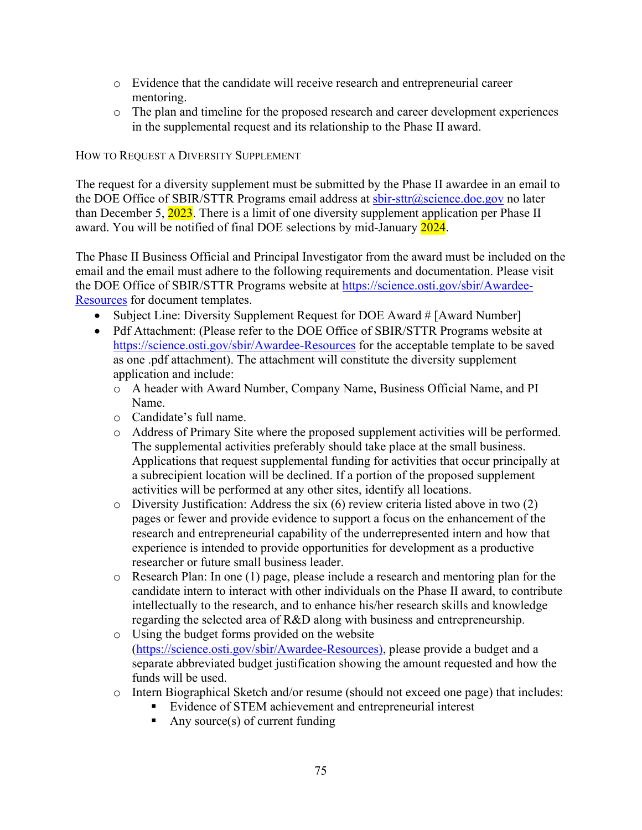- o Evidence that the candidate will receive research and entrepreneurial career mentoring.
- o The plan and timeline for the proposed research and career development experiences in the supplemental request and its relationship to the Phase II award.

#### HOW TO REQUEST A DIVERSITY SUPPLEMENT

The request for a diversity supplement must be submitted by the Phase II awardee in an email to the DOE Office of SBIR/STTR Programs email address at sbir-sttr@science.doe.gov no later than December 5,  $\frac{2023}{100}$ . There is a limit of one diversity supplement application per Phase II award. You will be notified of final DOE selections by mid-January 2024.

The Phase II Business Official and Principal Investigator from the award must be included on the email and the email must adhere to the following requirements and documentation. Please visit the DOE Office of SBIR/STTR Programs website at https://science.osti.gov/sbir/Awardee-Resources for document templates.

- Subject Line: Diversity Supplement Request for DOE Award # [Award Number]
- Pdf Attachment: (Please refer to the DOE Office of SBIR/STTR Programs website at https://science.osti.gov/sbir/Awardee-Resources for the acceptable template to be saved as one .pdf attachment). The attachment will constitute the diversity supplement application and include:
	- o A header with Award Number, Company Name, Business Official Name, and PI Name.
	- o Candidate's full name.
	- o Address of Primary Site where the proposed supplement activities will be performed. The supplemental activities preferably should take place at the small business. Applications that request supplemental funding for activities that occur principally at a subrecipient location will be declined. If a portion of the proposed supplement activities will be performed at any other sites, identify all locations.
	- $\circ$  Diversity Justification: Address the six (6) review criteria listed above in two (2) pages or fewer and provide evidence to support a focus on the enhancement of the research and entrepreneurial capability of the underrepresented intern and how that experience is intended to provide opportunities for development as a productive researcher or future small business leader.
	- o Research Plan: In one (1) page, please include a research and mentoring plan for the candidate intern to interact with other individuals on the Phase II award, to contribute intellectually to the research, and to enhance his/her research skills and knowledge regarding the selected area of R&D along with business and entrepreneurship.
	- o Using the budget forms provided on the website (https://science.osti.gov/sbir/Awardee-Resources), please provide a budget and a separate abbreviated budget justification showing the amount requested and how the funds will be used.
	- o Intern Biographical Sketch and/or resume (should not exceed one page) that includes:
		- Evidence of STEM achievement and entrepreneurial interest
			- Any source(s) of current funding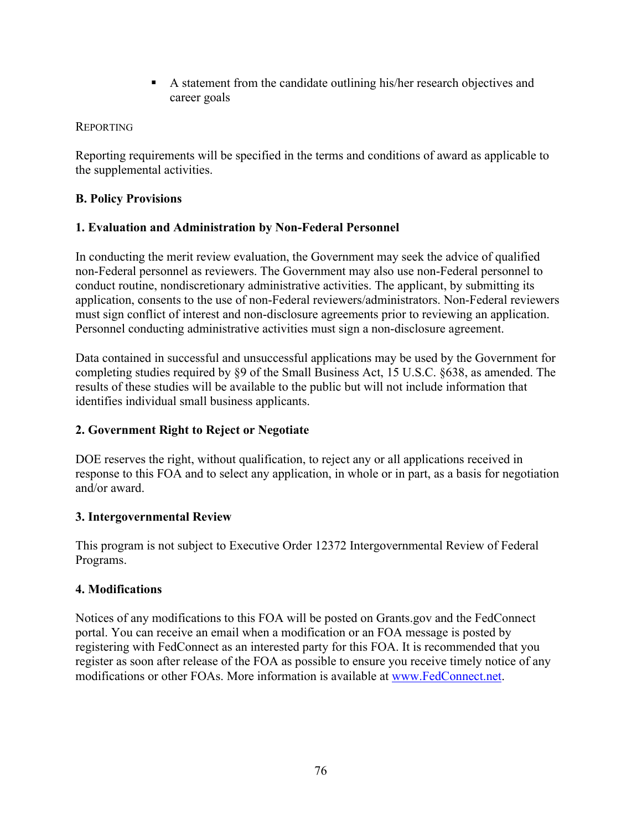A statement from the candidate outlining his/her research objectives and career goals

## REPORTING

Reporting requirements will be specified in the terms and conditions of award as applicable to the supplemental activities.

# **B. Policy Provisions**

# **1. Evaluation and Administration by Non-Federal Personnel**

In conducting the merit review evaluation, the Government may seek the advice of qualified non-Federal personnel as reviewers. The Government may also use non-Federal personnel to conduct routine, nondiscretionary administrative activities. The applicant, by submitting its application, consents to the use of non-Federal reviewers/administrators. Non-Federal reviewers must sign conflict of interest and non-disclosure agreements prior to reviewing an application. Personnel conducting administrative activities must sign a non-disclosure agreement.

Data contained in successful and unsuccessful applications may be used by the Government for completing studies required by §9 of the Small Business Act, 15 U.S.C. §638, as amended. The results of these studies will be available to the public but will not include information that identifies individual small business applicants.

# **2. Government Right to Reject or Negotiate**

DOE reserves the right, without qualification, to reject any or all applications received in response to this FOA and to select any application, in whole or in part, as a basis for negotiation and/or award.

# **3. Intergovernmental Review**

This program is not subject to Executive Order 12372 Intergovernmental Review of Federal Programs.

## **4. Modifications**

Notices of any modifications to this FOA will be posted on Grants.gov and the FedConnect portal. You can receive an email when a modification or an FOA message is posted by registering with FedConnect as an interested party for this FOA. It is recommended that you register as soon after release of the FOA as possible to ensure you receive timely notice of any modifications or other FOAs. More information is available at www.FedConnect.net.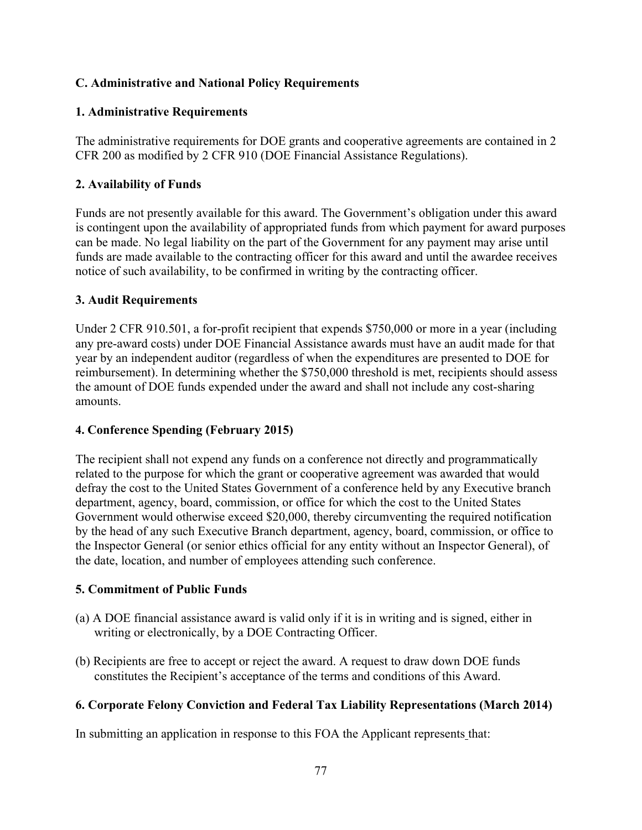## **C. Administrative and National Policy Requirements**

## **1. Administrative Requirements**

The administrative requirements for DOE grants and cooperative agreements are contained in 2 CFR 200 as modified by 2 CFR 910 (DOE Financial Assistance Regulations).

# **2. Availability of Funds**

Funds are not presently available for this award. The Government's obligation under this award is contingent upon the availability of appropriated funds from which payment for award purposes can be made. No legal liability on the part of the Government for any payment may arise until funds are made available to the contracting officer for this award and until the awardee receives notice of such availability, to be confirmed in writing by the contracting officer.

## **3. Audit Requirements**

Under 2 CFR 910.501, a for-profit recipient that expends \$750,000 or more in a year (including any pre-award costs) under DOE Financial Assistance awards must have an audit made for that year by an independent auditor (regardless of when the expenditures are presented to DOE for reimbursement). In determining whether the \$750,000 threshold is met, recipients should assess the amount of DOE funds expended under the award and shall not include any cost-sharing amounts.

# **4. Conference Spending (February 2015)**

The recipient shall not expend any funds on a conference not directly and programmatically related to the purpose for which the grant or cooperative agreement was awarded that would defray the cost to the United States Government of a conference held by any Executive branch department, agency, board, commission, or office for which the cost to the United States Government would otherwise exceed \$20,000, thereby circumventing the required notification by the head of any such Executive Branch department, agency, board, commission, or office to the Inspector General (or senior ethics official for any entity without an Inspector General), of the date, location, and number of employees attending such conference.

## **5. Commitment of Public Funds**

- (a) A DOE financial assistance award is valid only if it is in writing and is signed, either in writing or electronically, by a DOE Contracting Officer.
- (b) Recipients are free to accept or reject the award. A request to draw down DOE funds constitutes the Recipient's acceptance of the terms and conditions of this Award.

# **6. Corporate Felony Conviction and Federal Tax Liability Representations (March 2014)**

In submitting an application in response to this FOA the Applicant represents that: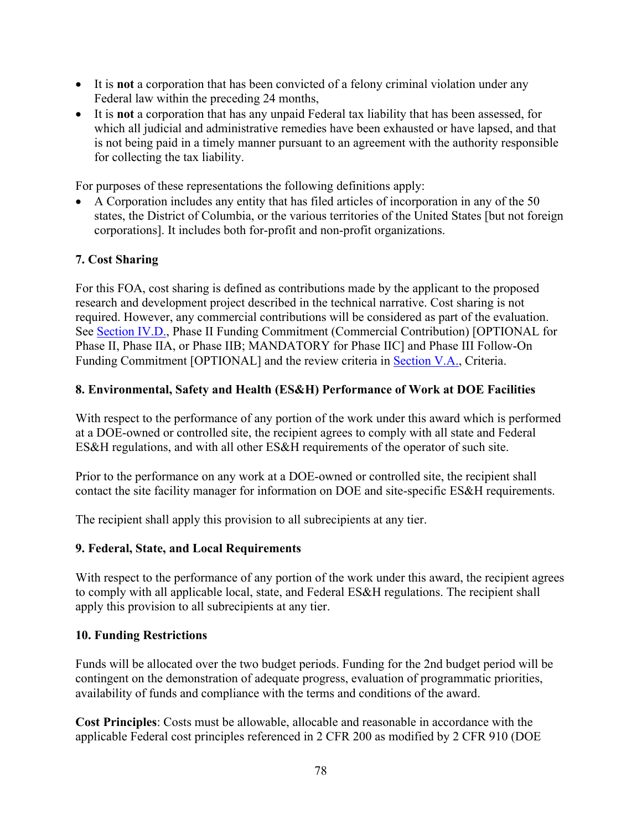- It is **not** a corporation that has been convicted of a felony criminal violation under any Federal law within the preceding 24 months,
- It is **not** a corporation that has any unpaid Federal tax liability that has been assessed, for which all judicial and administrative remedies have been exhausted or have lapsed, and that is not being paid in a timely manner pursuant to an agreement with the authority responsible for collecting the tax liability.

For purposes of these representations the following definitions apply:

 A Corporation includes any entity that has filed articles of incorporation in any of the 50 states, the District of Columbia, or the various territories of the United States [but not foreign corporations]. It includes both for-profit and non-profit organizations.

# **7. Cost Sharing**

For this FOA, cost sharing is defined as contributions made by the applicant to the proposed research and development project described in the technical narrative. Cost sharing is not required. However, any commercial contributions will be considered as part of the evaluation. See Section IV.D., Phase II Funding Commitment (Commercial Contribution) [OPTIONAL for Phase II, Phase IIA, or Phase IIB; MANDATORY for Phase IIC] and Phase III Follow-On Funding Commitment [OPTIONAL] and the review criteria in Section V.A., Criteria.

#### **8. Environmental, Safety and Health (ES&H) Performance of Work at DOE Facilities**

With respect to the performance of any portion of the work under this award which is performed at a DOE-owned or controlled site, the recipient agrees to comply with all state and Federal ES&H regulations, and with all other ES&H requirements of the operator of such site.

Prior to the performance on any work at a DOE-owned or controlled site, the recipient shall contact the site facility manager for information on DOE and site-specific ES&H requirements.

The recipient shall apply this provision to all subrecipients at any tier.

#### **9. Federal, State, and Local Requirements**

With respect to the performance of any portion of the work under this award, the recipient agrees to comply with all applicable local, state, and Federal ES&H regulations. The recipient shall apply this provision to all subrecipients at any tier.

#### **10. Funding Restrictions**

Funds will be allocated over the two budget periods. Funding for the 2nd budget period will be contingent on the demonstration of adequate progress, evaluation of programmatic priorities, availability of funds and compliance with the terms and conditions of the award.

**Cost Principles**: Costs must be allowable, allocable and reasonable in accordance with the applicable Federal cost principles referenced in 2 CFR 200 as modified by 2 CFR 910 (DOE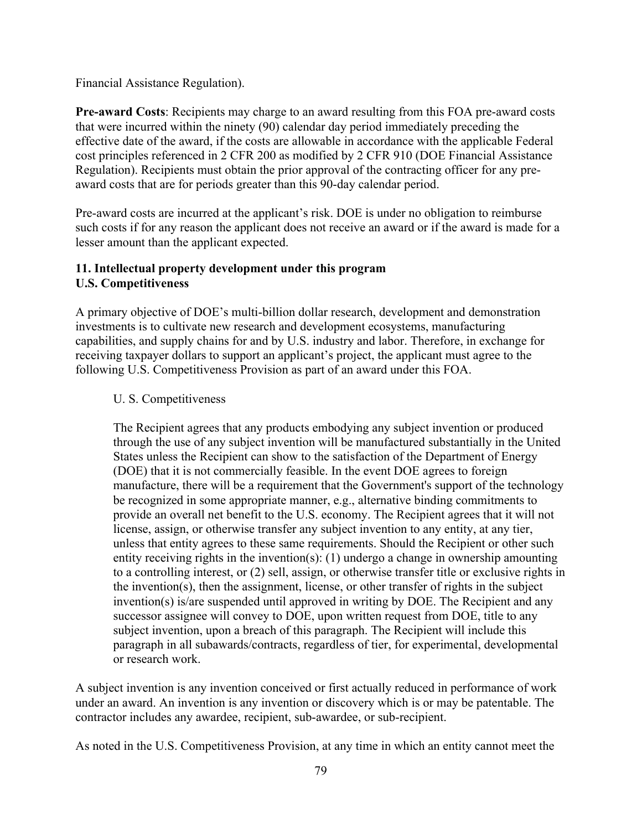Financial Assistance Regulation).

**Pre-award Costs**: Recipients may charge to an award resulting from this FOA pre-award costs that were incurred within the ninety (90) calendar day period immediately preceding the effective date of the award, if the costs are allowable in accordance with the applicable Federal cost principles referenced in 2 CFR 200 as modified by 2 CFR 910 (DOE Financial Assistance Regulation). Recipients must obtain the prior approval of the contracting officer for any preaward costs that are for periods greater than this 90-day calendar period.

Pre-award costs are incurred at the applicant's risk. DOE is under no obligation to reimburse such costs if for any reason the applicant does not receive an award or if the award is made for a lesser amount than the applicant expected.

## **11. Intellectual property development under this program U.S. Competitiveness**

A primary objective of DOE's multi-billion dollar research, development and demonstration investments is to cultivate new research and development ecosystems, manufacturing capabilities, and supply chains for and by U.S. industry and labor. Therefore, in exchange for receiving taxpayer dollars to support an applicant's project, the applicant must agree to the following U.S. Competitiveness Provision as part of an award under this FOA.

## U. S. Competitiveness

The Recipient agrees that any products embodying any subject invention or produced through the use of any subject invention will be manufactured substantially in the United States unless the Recipient can show to the satisfaction of the Department of Energy (DOE) that it is not commercially feasible. In the event DOE agrees to foreign manufacture, there will be a requirement that the Government's support of the technology be recognized in some appropriate manner, e.g., alternative binding commitments to provide an overall net benefit to the U.S. economy. The Recipient agrees that it will not license, assign, or otherwise transfer any subject invention to any entity, at any tier, unless that entity agrees to these same requirements. Should the Recipient or other such entity receiving rights in the invention(s): (1) undergo a change in ownership amounting to a controlling interest, or (2) sell, assign, or otherwise transfer title or exclusive rights in the invention(s), then the assignment, license, or other transfer of rights in the subject invention(s) is/are suspended until approved in writing by DOE. The Recipient and any successor assignee will convey to DOE, upon written request from DOE, title to any subject invention, upon a breach of this paragraph. The Recipient will include this paragraph in all subawards/contracts, regardless of tier, for experimental, developmental or research work.

A subject invention is any invention conceived or first actually reduced in performance of work under an award. An invention is any invention or discovery which is or may be patentable. The contractor includes any awardee, recipient, sub-awardee, or sub-recipient.

As noted in the U.S. Competitiveness Provision, at any time in which an entity cannot meet the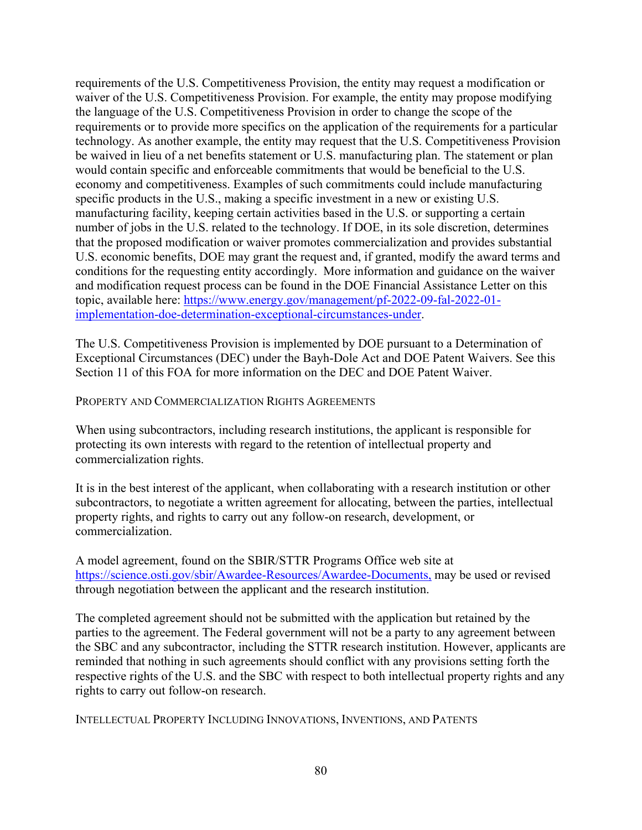requirements of the U.S. Competitiveness Provision, the entity may request a modification or waiver of the U.S. Competitiveness Provision. For example, the entity may propose modifying the language of the U.S. Competitiveness Provision in order to change the scope of the requirements or to provide more specifics on the application of the requirements for a particular technology. As another example, the entity may request that the U.S. Competitiveness Provision be waived in lieu of a net benefits statement or U.S. manufacturing plan. The statement or plan would contain specific and enforceable commitments that would be beneficial to the U.S. economy and competitiveness. Examples of such commitments could include manufacturing specific products in the U.S., making a specific investment in a new or existing U.S. manufacturing facility, keeping certain activities based in the U.S. or supporting a certain number of jobs in the U.S. related to the technology. If DOE, in its sole discretion, determines that the proposed modification or waiver promotes commercialization and provides substantial U.S. economic benefits, DOE may grant the request and, if granted, modify the award terms and conditions for the requesting entity accordingly. More information and guidance on the waiver and modification request process can be found in the DOE Financial Assistance Letter on this topic, available here: https://www.energy.gov/management/pf-2022-09-fal-2022-01 implementation-doe-determination-exceptional-circumstances-under.

The U.S. Competitiveness Provision is implemented by DOE pursuant to a Determination of Exceptional Circumstances (DEC) under the Bayh-Dole Act and DOE Patent Waivers. See this Section 11 of this FOA for more information on the DEC and DOE Patent Waiver.

PROPERTY AND COMMERCIALIZATION RIGHTS AGREEMENTS

When using subcontractors, including research institutions, the applicant is responsible for protecting its own interests with regard to the retention of intellectual property and commercialization rights.

It is in the best interest of the applicant, when collaborating with a research institution or other subcontractors, to negotiate a written agreement for allocating, between the parties, intellectual property rights, and rights to carry out any follow-on research, development, or commercialization.

A model agreement, found on the SBIR/STTR Programs Office web site at https://science.osti.gov/sbir/Awardee-Resources/Awardee-Documents, may be used or revised through negotiation between the applicant and the research institution.

The completed agreement should not be submitted with the application but retained by the parties to the agreement. The Federal government will not be a party to any agreement between the SBC and any subcontractor, including the STTR research institution. However, applicants are reminded that nothing in such agreements should conflict with any provisions setting forth the respective rights of the U.S. and the SBC with respect to both intellectual property rights and any rights to carry out follow-on research.

INTELLECTUAL PROPERTY INCLUDING INNOVATIONS, INVENTIONS, AND PATENTS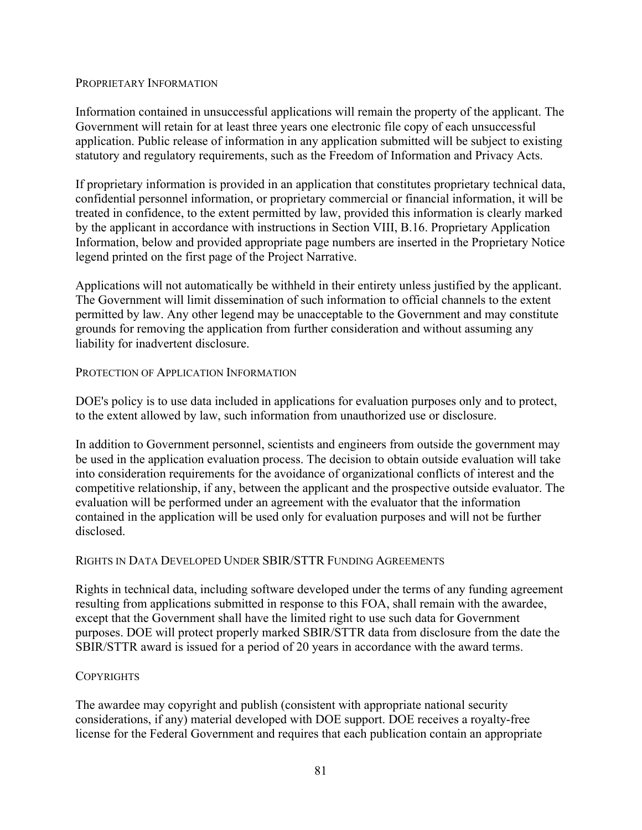#### PROPRIETARY INFORMATION

Information contained in unsuccessful applications will remain the property of the applicant. The Government will retain for at least three years one electronic file copy of each unsuccessful application. Public release of information in any application submitted will be subject to existing statutory and regulatory requirements, such as the Freedom of Information and Privacy Acts.

If proprietary information is provided in an application that constitutes proprietary technical data, confidential personnel information, or proprietary commercial or financial information, it will be treated in confidence, to the extent permitted by law, provided this information is clearly marked by the applicant in accordance with instructions in Section VIII, B.16. Proprietary Application Information, below and provided appropriate page numbers are inserted in the Proprietary Notice legend printed on the first page of the Project Narrative.

Applications will not automatically be withheld in their entirety unless justified by the applicant. The Government will limit dissemination of such information to official channels to the extent permitted by law. Any other legend may be unacceptable to the Government and may constitute grounds for removing the application from further consideration and without assuming any liability for inadvertent disclosure.

#### PROTECTION OF APPLICATION INFORMATION

DOE's policy is to use data included in applications for evaluation purposes only and to protect, to the extent allowed by law, such information from unauthorized use or disclosure.

In addition to Government personnel, scientists and engineers from outside the government may be used in the application evaluation process. The decision to obtain outside evaluation will take into consideration requirements for the avoidance of organizational conflicts of interest and the competitive relationship, if any, between the applicant and the prospective outside evaluator. The evaluation will be performed under an agreement with the evaluator that the information contained in the application will be used only for evaluation purposes and will not be further disclosed.

#### RIGHTS IN DATA DEVELOPED UNDER SBIR/STTR FUNDING AGREEMENTS

Rights in technical data, including software developed under the terms of any funding agreement resulting from applications submitted in response to this FOA, shall remain with the awardee, except that the Government shall have the limited right to use such data for Government purposes. DOE will protect properly marked SBIR/STTR data from disclosure from the date the SBIR/STTR award is issued for a period of 20 years in accordance with the award terms.

#### **COPYRIGHTS**

The awardee may copyright and publish (consistent with appropriate national security considerations, if any) material developed with DOE support. DOE receives a royalty-free license for the Federal Government and requires that each publication contain an appropriate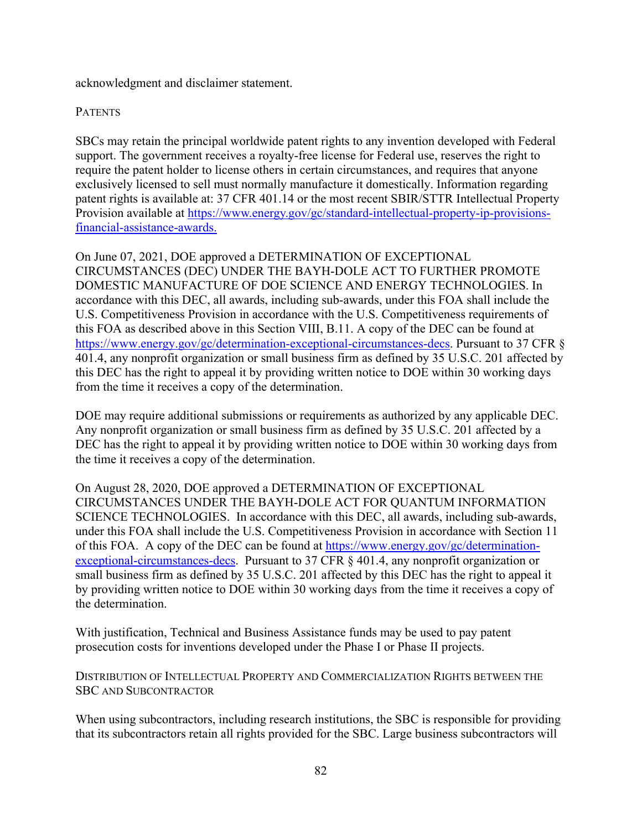acknowledgment and disclaimer statement.

## **PATENTS**

SBCs may retain the principal worldwide patent rights to any invention developed with Federal support. The government receives a royalty-free license for Federal use, reserves the right to require the patent holder to license others in certain circumstances, and requires that anyone exclusively licensed to sell must normally manufacture it domestically. Information regarding patent rights is available at: 37 CFR 401.14 or the most recent SBIR/STTR Intellectual Property Provision available at https://www.energy.gov/gc/standard-intellectual-property-ip-provisionsfinancial-assistance-awards.

On June 07, 2021, DOE approved a DETERMINATION OF EXCEPTIONAL CIRCUMSTANCES (DEC) UNDER THE BAYH-DOLE ACT TO FURTHER PROMOTE DOMESTIC MANUFACTURE OF DOE SCIENCE AND ENERGY TECHNOLOGIES. In accordance with this DEC, all awards, including sub-awards, under this FOA shall include the U.S. Competitiveness Provision in accordance with the U.S. Competitiveness requirements of this FOA as described above in this Section VIII, B.11. A copy of the DEC can be found at https://www.energy.gov/gc/determination-exceptional-circumstances-decs. Pursuant to 37 CFR § 401.4, any nonprofit organization or small business firm as defined by 35 U.S.C. 201 affected by this DEC has the right to appeal it by providing written notice to DOE within 30 working days from the time it receives a copy of the determination.

DOE may require additional submissions or requirements as authorized by any applicable DEC. Any nonprofit organization or small business firm as defined by 35 U.S.C. 201 affected by a DEC has the right to appeal it by providing written notice to DOE within 30 working days from the time it receives a copy of the determination.

On August 28, 2020, DOE approved a DETERMINATION OF EXCEPTIONAL CIRCUMSTANCES UNDER THE BAYH-DOLE ACT FOR QUANTUM INFORMATION SCIENCE TECHNOLOGIES. In accordance with this DEC, all awards, including sub-awards, under this FOA shall include the U.S. Competitiveness Provision in accordance with Section 11 of this FOA. A copy of the DEC can be found at https://www.energy.gov/gc/determinationexceptional-circumstances-decs. Pursuant to 37 CFR § 401.4, any nonprofit organization or small business firm as defined by 35 U.S.C. 201 affected by this DEC has the right to appeal it by providing written notice to DOE within 30 working days from the time it receives a copy of the determination.

With justification, Technical and Business Assistance funds may be used to pay patent prosecution costs for inventions developed under the Phase I or Phase II projects.

DISTRIBUTION OF INTELLECTUAL PROPERTY AND COMMERCIALIZATION RIGHTS BETWEEN THE SBC AND SUBCONTRACTOR

When using subcontractors, including research institutions, the SBC is responsible for providing that its subcontractors retain all rights provided for the SBC. Large business subcontractors will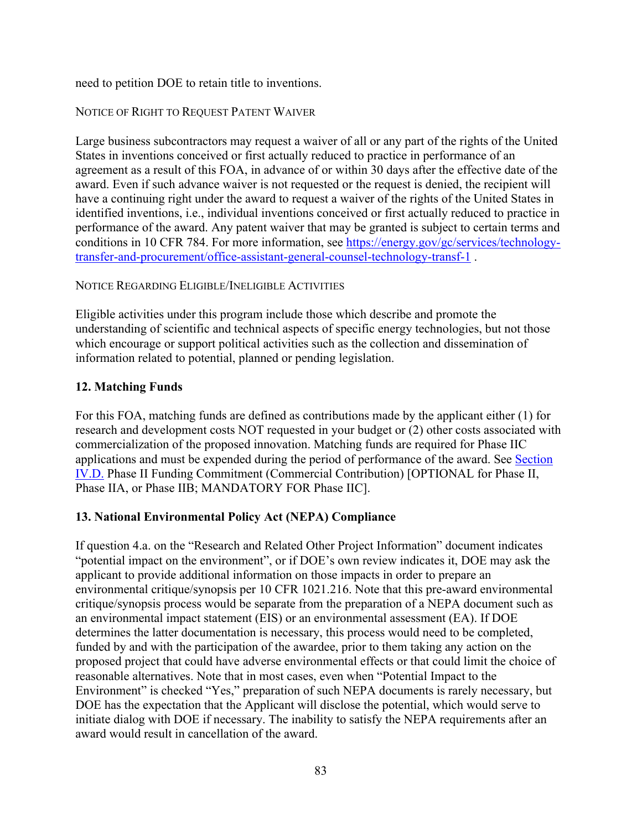need to petition DOE to retain title to inventions.

## NOTICE OF RIGHT TO REQUEST PATENT WAIVER

Large business subcontractors may request a waiver of all or any part of the rights of the United States in inventions conceived or first actually reduced to practice in performance of an agreement as a result of this FOA, in advance of or within 30 days after the effective date of the award. Even if such advance waiver is not requested or the request is denied, the recipient will have a continuing right under the award to request a waiver of the rights of the United States in identified inventions, i.e., individual inventions conceived or first actually reduced to practice in performance of the award. Any patent waiver that may be granted is subject to certain terms and conditions in 10 CFR 784. For more information, see https://energy.gov/gc/services/technologytransfer-and-procurement/office-assistant-general-counsel-technology-transf-1 .

#### NOTICE REGARDING ELIGIBLE/INELIGIBLE ACTIVITIES

Eligible activities under this program include those which describe and promote the understanding of scientific and technical aspects of specific energy technologies, but not those which encourage or support political activities such as the collection and dissemination of information related to potential, planned or pending legislation.

## **12. Matching Funds**

For this FOA, matching funds are defined as contributions made by the applicant either (1) for research and development costs NOT requested in your budget or (2) other costs associated with commercialization of the proposed innovation. Matching funds are required for Phase IIC applications and must be expended during the period of performance of the award. See Section IV.D. Phase II Funding Commitment (Commercial Contribution) [OPTIONAL for Phase II, Phase IIA, or Phase IIB; MANDATORY FOR Phase IIC].

## **13. National Environmental Policy Act (NEPA) Compliance**

If question 4.a. on the "Research and Related Other Project Information" document indicates "potential impact on the environment", or if DOE's own review indicates it, DOE may ask the applicant to provide additional information on those impacts in order to prepare an environmental critique/synopsis per 10 CFR 1021.216. Note that this pre-award environmental critique/synopsis process would be separate from the preparation of a NEPA document such as an environmental impact statement (EIS) or an environmental assessment (EA). If DOE determines the latter documentation is necessary, this process would need to be completed, funded by and with the participation of the awardee, prior to them taking any action on the proposed project that could have adverse environmental effects or that could limit the choice of reasonable alternatives. Note that in most cases, even when "Potential Impact to the Environment" is checked "Yes," preparation of such NEPA documents is rarely necessary, but DOE has the expectation that the Applicant will disclose the potential, which would serve to initiate dialog with DOE if necessary. The inability to satisfy the NEPA requirements after an award would result in cancellation of the award.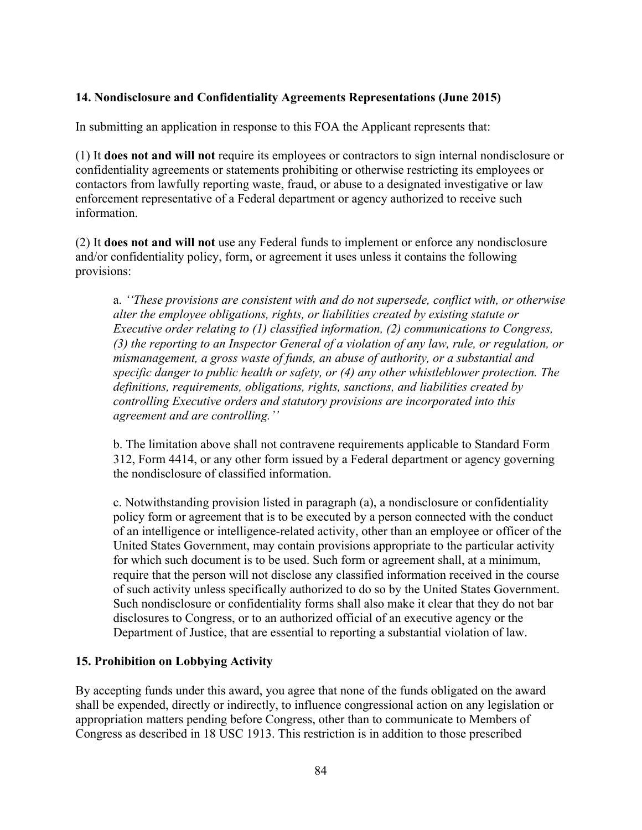## **14. Nondisclosure and Confidentiality Agreements Representations (June 2015)**

In submitting an application in response to this FOA the Applicant represents that:

(1) It **does not and will not** require its employees or contractors to sign internal nondisclosure or confidentiality agreements or statements prohibiting or otherwise restricting its employees or contactors from lawfully reporting waste, fraud, or abuse to a designated investigative or law enforcement representative of a Federal department or agency authorized to receive such information.

(2) It **does not and will not** use any Federal funds to implement or enforce any nondisclosure and/or confidentiality policy, form, or agreement it uses unless it contains the following provisions:

a. *''These provisions are consistent with and do not supersede, conflict with, or otherwise alter the employee obligations, rights, or liabilities created by existing statute or Executive order relating to (1) classified information, (2) communications to Congress, (3) the reporting to an Inspector General of a violation of any law, rule, or regulation, or mismanagement, a gross waste of funds, an abuse of authority, or a substantial and specific danger to public health or safety, or (4) any other whistleblower protection. The definitions, requirements, obligations, rights, sanctions, and liabilities created by controlling Executive orders and statutory provisions are incorporated into this agreement and are controlling.''* 

b. The limitation above shall not contravene requirements applicable to Standard Form 312, Form 4414, or any other form issued by a Federal department or agency governing the nondisclosure of classified information.

c. Notwithstanding provision listed in paragraph (a), a nondisclosure or confidentiality policy form or agreement that is to be executed by a person connected with the conduct of an intelligence or intelligence-related activity, other than an employee or officer of the United States Government, may contain provisions appropriate to the particular activity for which such document is to be used. Such form or agreement shall, at a minimum, require that the person will not disclose any classified information received in the course of such activity unless specifically authorized to do so by the United States Government. Such nondisclosure or confidentiality forms shall also make it clear that they do not bar disclosures to Congress, or to an authorized official of an executive agency or the Department of Justice, that are essential to reporting a substantial violation of law.

## **15. Prohibition on Lobbying Activity**

By accepting funds under this award, you agree that none of the funds obligated on the award shall be expended, directly or indirectly, to influence congressional action on any legislation or appropriation matters pending before Congress, other than to communicate to Members of Congress as described in 18 USC 1913. This restriction is in addition to those prescribed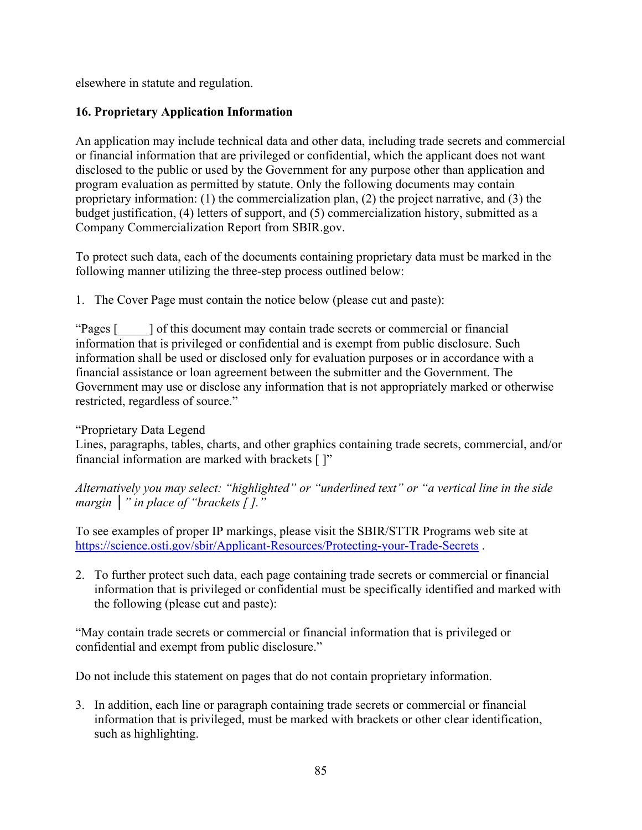elsewhere in statute and regulation.

# **16. Proprietary Application Information**

An application may include technical data and other data, including trade secrets and commercial or financial information that are privileged or confidential, which the applicant does not want disclosed to the public or used by the Government for any purpose other than application and program evaluation as permitted by statute. Only the following documents may contain proprietary information: (1) the commercialization plan, (2) the project narrative, and (3) the budget justification, (4) letters of support, and (5) commercialization history, submitted as a Company Commercialization Report from SBIR.gov.

To protect such data, each of the documents containing proprietary data must be marked in the following manner utilizing the three-step process outlined below:

1. The Cover Page must contain the notice below (please cut and paste):

"Pages [\_\_\_\_\_] of this document may contain trade secrets or commercial or financial information that is privileged or confidential and is exempt from public disclosure. Such information shall be used or disclosed only for evaluation purposes or in accordance with a financial assistance or loan agreement between the submitter and the Government. The Government may use or disclose any information that is not appropriately marked or otherwise restricted, regardless of source."

# "Proprietary Data Legend

Lines, paragraphs, tables, charts, and other graphics containing trade secrets, commercial, and/or financial information are marked with brackets [ ]"

*Alternatively you may select: "highlighted" or "underlined text" or "a vertical line in the side margin* │*" in place of "brackets [ ]."*

To see examples of proper IP markings, please visit the SBIR/STTR Programs web site at https://science.osti.gov/sbir/Applicant-Resources/Protecting-your-Trade-Secrets .

2. To further protect such data, each page containing trade secrets or commercial or financial information that is privileged or confidential must be specifically identified and marked with the following (please cut and paste):

"May contain trade secrets or commercial or financial information that is privileged or confidential and exempt from public disclosure."

Do not include this statement on pages that do not contain proprietary information.

3. In addition, each line or paragraph containing trade secrets or commercial or financial information that is privileged, must be marked with brackets or other clear identification, such as highlighting.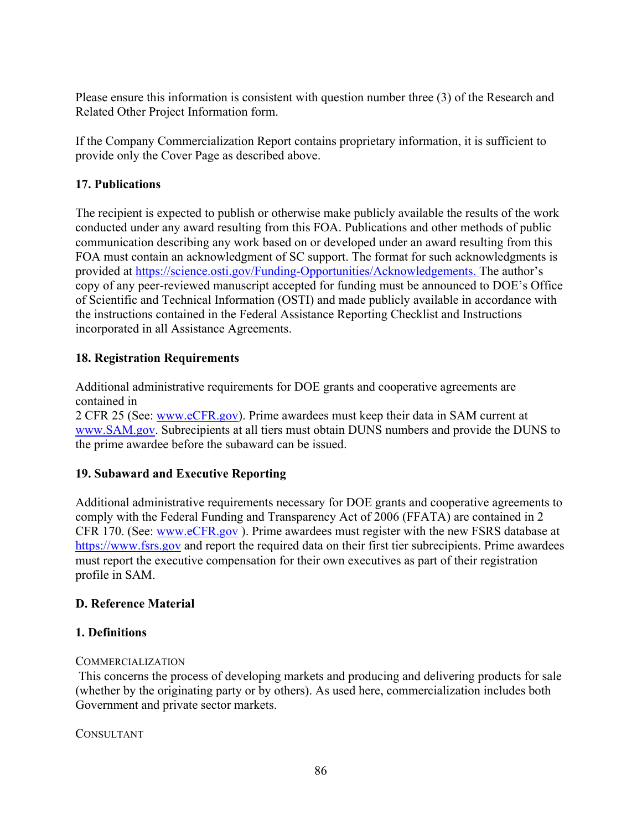Please ensure this information is consistent with question number three (3) of the Research and Related Other Project Information form.

If the Company Commercialization Report contains proprietary information, it is sufficient to provide only the Cover Page as described above.

# **17. Publications**

The recipient is expected to publish or otherwise make publicly available the results of the work conducted under any award resulting from this FOA. Publications and other methods of public communication describing any work based on or developed under an award resulting from this FOA must contain an acknowledgment of SC support. The format for such acknowledgments is provided at https://science.osti.gov/Funding-Opportunities/Acknowledgements. The author's copy of any peer-reviewed manuscript accepted for funding must be announced to DOE's Office of Scientific and Technical Information (OSTI) and made publicly available in accordance with the instructions contained in the Federal Assistance Reporting Checklist and Instructions incorporated in all Assistance Agreements.

# **18. Registration Requirements**

Additional administrative requirements for DOE grants and cooperative agreements are contained in

2 CFR 25 (See: www.eCFR.gov). Prime awardees must keep their data in SAM current at www.SAM.gov. Subrecipients at all tiers must obtain DUNS numbers and provide the DUNS to the prime awardee before the subaward can be issued.

# **19. Subaward and Executive Reporting**

Additional administrative requirements necessary for DOE grants and cooperative agreements to comply with the Federal Funding and Transparency Act of 2006 (FFATA) are contained in 2 CFR 170. (See: www.eCFR.gov ). Prime awardees must register with the new FSRS database at https://www.fsrs.gov and report the required data on their first tier subrecipients. Prime awardees must report the executive compensation for their own executives as part of their registration profile in SAM.

# **D. Reference Material**

# **1. Definitions**

## **COMMERCIALIZATION**

 This concerns the process of developing markets and producing and delivering products for sale (whether by the originating party or by others). As used here, commercialization includes both Government and private sector markets.

## CONSULTANT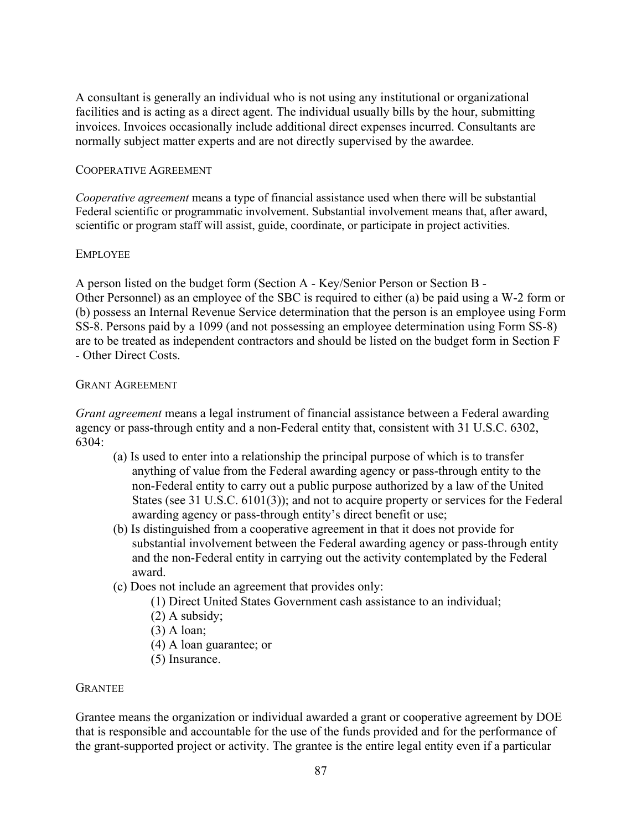A consultant is generally an individual who is not using any institutional or organizational facilities and is acting as a direct agent. The individual usually bills by the hour, submitting invoices. Invoices occasionally include additional direct expenses incurred. Consultants are normally subject matter experts and are not directly supervised by the awardee.

#### COOPERATIVE AGREEMENT

*Cooperative agreement* means a type of financial assistance used when there will be substantial Federal scientific or programmatic involvement. Substantial involvement means that, after award, scientific or program staff will assist, guide, coordinate, or participate in project activities.

#### EMPLOYEE

A person listed on the budget form (Section A - Key/Senior Person or Section B - Other Personnel) as an employee of the SBC is required to either (a) be paid using a W-2 form or (b) possess an Internal Revenue Service determination that the person is an employee using Form SS-8. Persons paid by a 1099 (and not possessing an employee determination using Form SS-8) are to be treated as independent contractors and should be listed on the budget form in Section F - Other Direct Costs.

#### GRANT AGREEMENT

*Grant agreement* means a legal instrument of financial assistance between a Federal awarding agency or pass-through entity and a non-Federal entity that, consistent with 31 U.S.C. 6302, 6304:

- (a) Is used to enter into a relationship the principal purpose of which is to transfer anything of value from the Federal awarding agency or pass-through entity to the non-Federal entity to carry out a public purpose authorized by a law of the United States (see 31 U.S.C. 6101(3)); and not to acquire property or services for the Federal awarding agency or pass-through entity's direct benefit or use;
- (b) Is distinguished from a cooperative agreement in that it does not provide for substantial involvement between the Federal awarding agency or pass-through entity and the non-Federal entity in carrying out the activity contemplated by the Federal award.
- (c) Does not include an agreement that provides only:
	- (1) Direct United States Government cash assistance to an individual;
	- (2) A subsidy;
	- (3) A loan;
	- (4) A loan guarantee; or
	- (5) Insurance.

#### GRANTEE

Grantee means the organization or individual awarded a grant or cooperative agreement by DOE that is responsible and accountable for the use of the funds provided and for the performance of the grant-supported project or activity. The grantee is the entire legal entity even if a particular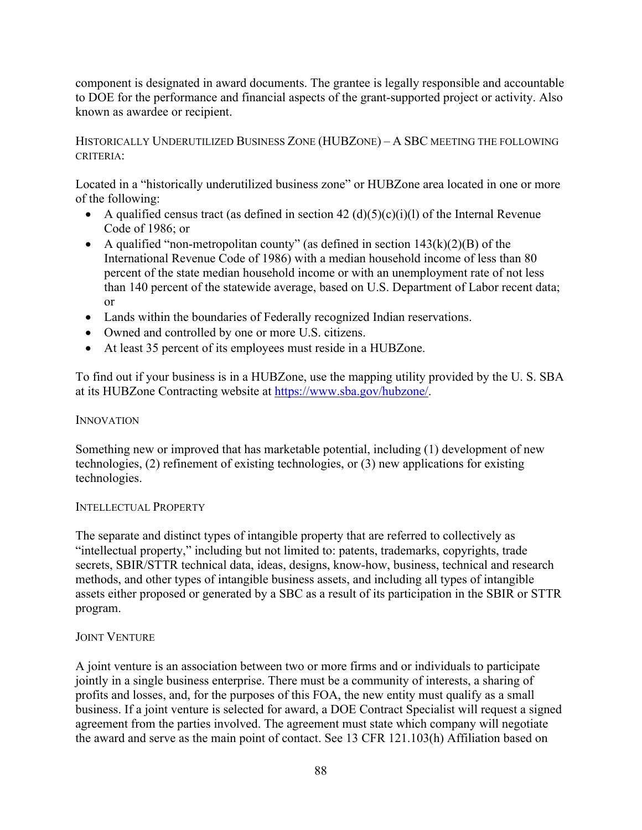component is designated in award documents. The grantee is legally responsible and accountable to DOE for the performance and financial aspects of the grant-supported project or activity. Also known as awardee or recipient.

## HISTORICALLY UNDERUTILIZED BUSINESS ZONE (HUBZONE) – A SBC MEETING THE FOLLOWING CRITERIA:

Located in a "historically underutilized business zone" or HUBZone area located in one or more of the following:

- A qualified census tract (as defined in section  $42 \left( d \right) (5)(c)(i)(l)$  of the Internal Revenue Code of 1986; or
- A qualified "non-metropolitan county" (as defined in section  $143(k)(2)(B)$  of the International Revenue Code of 1986) with a median household income of less than 80 percent of the state median household income or with an unemployment rate of not less than 140 percent of the statewide average, based on U.S. Department of Labor recent data; or
- Lands within the boundaries of Federally recognized Indian reservations.
- Owned and controlled by one or more U.S. citizens.
- At least 35 percent of its employees must reside in a HUBZone.

To find out if your business is in a HUBZone, use the mapping utility provided by the U. S. SBA at its HUBZone Contracting website at https://www.sba.gov/hubzone/.

#### **INNOVATION**

Something new or improved that has marketable potential, including (1) development of new technologies, (2) refinement of existing technologies, or (3) new applications for existing technologies.

#### INTELLECTUAL PROPERTY

The separate and distinct types of intangible property that are referred to collectively as "intellectual property," including but not limited to: patents, trademarks, copyrights, trade secrets, SBIR/STTR technical data, ideas, designs, know-how, business, technical and research methods, and other types of intangible business assets, and including all types of intangible assets either proposed or generated by a SBC as a result of its participation in the SBIR or STTR program.

## JOINT VENTURE

A joint venture is an association between two or more firms and or individuals to participate jointly in a single business enterprise. There must be a community of interests, a sharing of profits and losses, and, for the purposes of this FOA, the new entity must qualify as a small business. If a joint venture is selected for award, a DOE Contract Specialist will request a signed agreement from the parties involved. The agreement must state which company will negotiate the award and serve as the main point of contact. See 13 CFR 121.103(h) Affiliation based on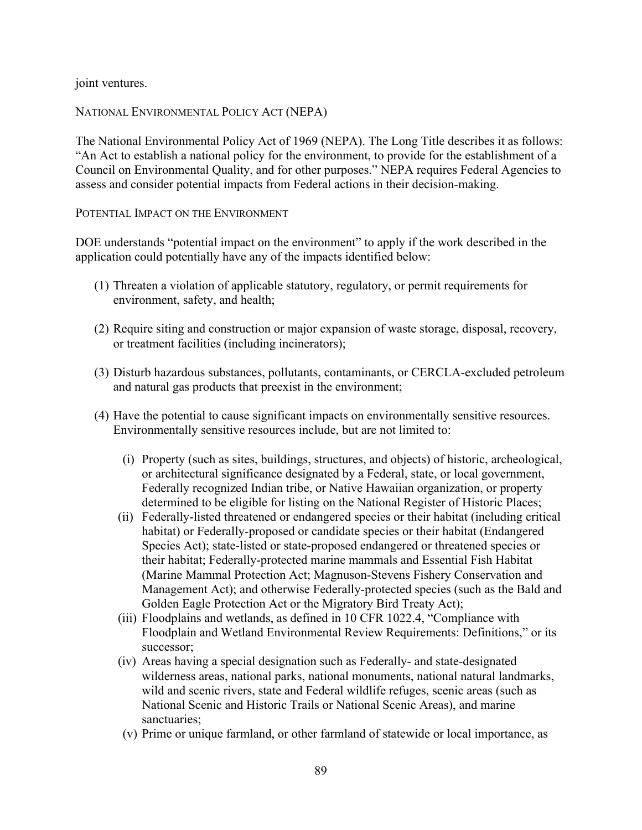joint ventures.

#### NATIONAL ENVIRONMENTAL POLICY ACT (NEPA)

The National Environmental Policy Act of 1969 (NEPA). The Long Title describes it as follows: "An Act to establish a national policy for the environment, to provide for the establishment of a Council on Environmental Quality, and for other purposes." NEPA requires Federal Agencies to assess and consider potential impacts from Federal actions in their decision-making.

#### POTENTIAL IMPACT ON THE ENVIRONMENT

DOE understands "potential impact on the environment" to apply if the work described in the application could potentially have any of the impacts identified below:

- (1) Threaten a violation of applicable statutory, regulatory, or permit requirements for environment, safety, and health;
- (2) Require siting and construction or major expansion of waste storage, disposal, recovery, or treatment facilities (including incinerators);
- (3) Disturb hazardous substances, pollutants, contaminants, or CERCLA-excluded petroleum and natural gas products that preexist in the environment;
- (4) Have the potential to cause significant impacts on environmentally sensitive resources. Environmentally sensitive resources include, but are not limited to:
	- (i) Property (such as sites, buildings, structures, and objects) of historic, archeological, or architectural significance designated by a Federal, state, or local government, Federally recognized Indian tribe, or Native Hawaiian organization, or property determined to be eligible for listing on the National Register of Historic Places;
	- (ii) Federally-listed threatened or endangered species or their habitat (including critical habitat) or Federally-proposed or candidate species or their habitat (Endangered Species Act); state-listed or state-proposed endangered or threatened species or their habitat; Federally-protected marine mammals and Essential Fish Habitat (Marine Mammal Protection Act; Magnuson-Stevens Fishery Conservation and Management Act); and otherwise Federally-protected species (such as the Bald and Golden Eagle Protection Act or the Migratory Bird Treaty Act);
	- (iii) Floodplains and wetlands, as defined in 10 CFR 1022.4, "Compliance with Floodplain and Wetland Environmental Review Requirements: Definitions," or its successor;
	- (iv) Areas having a special designation such as Federally- and state-designated wilderness areas, national parks, national monuments, national natural landmarks, wild and scenic rivers, state and Federal wildlife refuges, scenic areas (such as National Scenic and Historic Trails or National Scenic Areas), and marine sanctuaries;
	- (v) Prime or unique farmland, or other farmland of statewide or local importance, as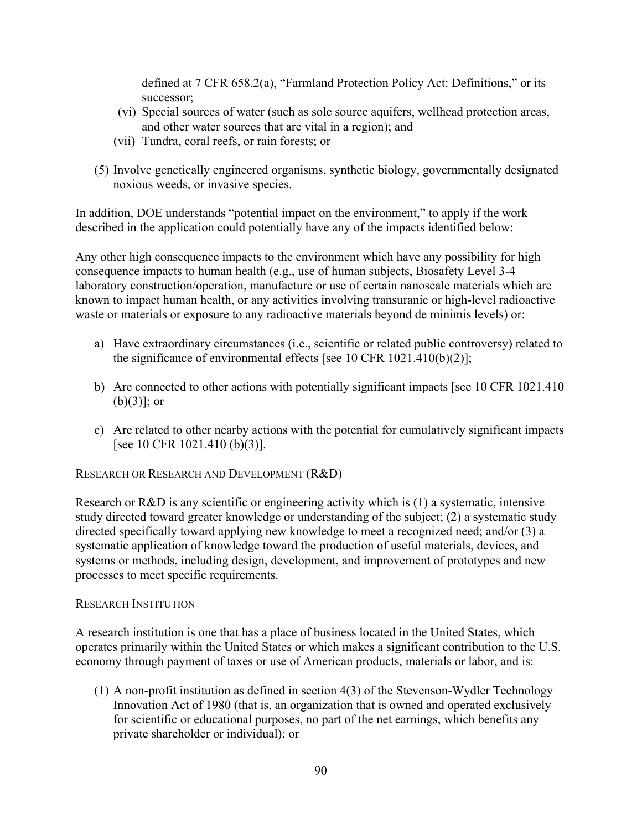defined at 7 CFR 658.2(a), "Farmland Protection Policy Act: Definitions," or its successor;

- (vi) Special sources of water (such as sole source aquifers, wellhead protection areas, and other water sources that are vital in a region); and
- (vii) Tundra, coral reefs, or rain forests; or
- (5) Involve genetically engineered organisms, synthetic biology, governmentally designated noxious weeds, or invasive species.

In addition, DOE understands "potential impact on the environment," to apply if the work described in the application could potentially have any of the impacts identified below:

Any other high consequence impacts to the environment which have any possibility for high consequence impacts to human health (e.g., use of human subjects, Biosafety Level 3-4 laboratory construction/operation, manufacture or use of certain nanoscale materials which are known to impact human health, or any activities involving transuranic or high-level radioactive waste or materials or exposure to any radioactive materials beyond de minimis levels) or:

- a) Have extraordinary circumstances (i.e., scientific or related public controversy) related to the significance of environmental effects [see 10 CFR 1021.410(b)(2)];
- b) Are connected to other actions with potentially significant impacts [see 10 CFR 1021.410  $(b)(3)$ ; or
- c) Are related to other nearby actions with the potential for cumulatively significant impacts [see 10 CFR 1021.410 (b)(3)].

RESEARCH OR RESEARCH AND DEVELOPMENT (R&D)

Research or R&D is any scientific or engineering activity which is (1) a systematic, intensive study directed toward greater knowledge or understanding of the subject; (2) a systematic study directed specifically toward applying new knowledge to meet a recognized need; and/or (3) a systematic application of knowledge toward the production of useful materials, devices, and systems or methods, including design, development, and improvement of prototypes and new processes to meet specific requirements.

#### RESEARCH INSTITUTION

A research institution is one that has a place of business located in the United States, which operates primarily within the United States or which makes a significant contribution to the U.S. economy through payment of taxes or use of American products, materials or labor, and is:

(1) A non-profit institution as defined in section 4(3) of the Stevenson-Wydler Technology Innovation Act of 1980 (that is, an organization that is owned and operated exclusively for scientific or educational purposes, no part of the net earnings, which benefits any private shareholder or individual); or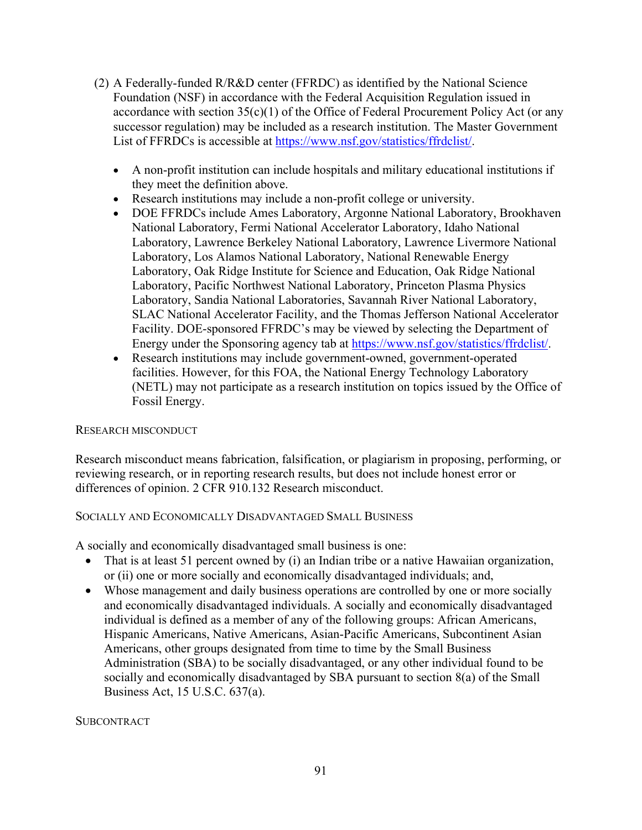- (2) A Federally-funded R/R&D center (FFRDC) as identified by the National Science Foundation (NSF) in accordance with the Federal Acquisition Regulation issued in accordance with section  $35(c)(1)$  of the Office of Federal Procurement Policy Act (or any successor regulation) may be included as a research institution. The Master Government List of FFRDCs is accessible at https://www.nsf.gov/statistics/ffrdclist/.
	- A non-profit institution can include hospitals and military educational institutions if they meet the definition above.
	- Research institutions may include a non-profit college or university.
	- DOE FFRDCs include Ames Laboratory, Argonne National Laboratory, Brookhaven National Laboratory, Fermi National Accelerator Laboratory, Idaho National Laboratory, Lawrence Berkeley National Laboratory, Lawrence Livermore National Laboratory, Los Alamos National Laboratory, National Renewable Energy Laboratory, Oak Ridge Institute for Science and Education, Oak Ridge National Laboratory, Pacific Northwest National Laboratory, Princeton Plasma Physics Laboratory, Sandia National Laboratories, Savannah River National Laboratory, SLAC National Accelerator Facility, and the Thomas Jefferson National Accelerator Facility. DOE-sponsored FFRDC's may be viewed by selecting the Department of Energy under the Sponsoring agency tab at https://www.nsf.gov/statistics/ffrdclist/.
	- Research institutions may include government-owned, government-operated facilities. However, for this FOA, the National Energy Technology Laboratory (NETL) may not participate as a research institution on topics issued by the Office of Fossil Energy.

## RESEARCH MISCONDUCT

Research misconduct means fabrication, falsification, or plagiarism in proposing, performing, or reviewing research, or in reporting research results, but does not include honest error or differences of opinion. 2 CFR 910.132 Research misconduct.

## SOCIALLY AND ECONOMICALLY DISADVANTAGED SMALL BUSINESS

A socially and economically disadvantaged small business is one:

- That is at least 51 percent owned by (i) an Indian tribe or a native Hawaiian organization, or (ii) one or more socially and economically disadvantaged individuals; and,
- Whose management and daily business operations are controlled by one or more socially and economically disadvantaged individuals. A socially and economically disadvantaged individual is defined as a member of any of the following groups: African Americans, Hispanic Americans, Native Americans, Asian-Pacific Americans, Subcontinent Asian Americans, other groups designated from time to time by the Small Business Administration (SBA) to be socially disadvantaged, or any other individual found to be socially and economically disadvantaged by SBA pursuant to section 8(a) of the Small Business Act, 15 U.S.C. 637(a).

**SUBCONTRACT**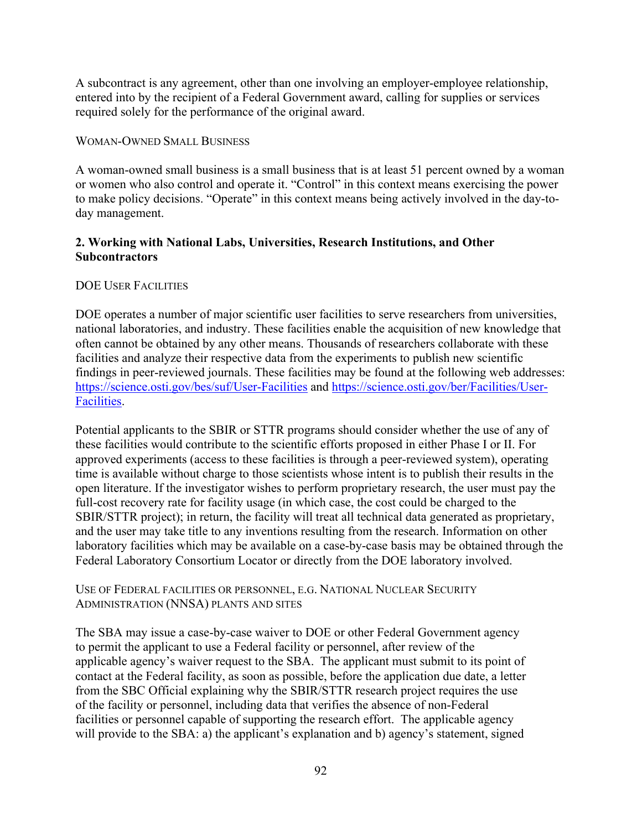A subcontract is any agreement, other than one involving an employer-employee relationship, entered into by the recipient of a Federal Government award, calling for supplies or services required solely for the performance of the original award.

#### WOMAN-OWNED SMALL BUSINESS

A woman-owned small business is a small business that is at least 51 percent owned by a woman or women who also control and operate it. "Control" in this context means exercising the power to make policy decisions. "Operate" in this context means being actively involved in the day-today management.

## **2. Working with National Labs, Universities, Research Institutions, and Other Subcontractors**

## DOE USER FACILITIES

DOE operates a number of major scientific user facilities to serve researchers from universities, national laboratories, and industry. These facilities enable the acquisition of new knowledge that often cannot be obtained by any other means. Thousands of researchers collaborate with these facilities and analyze their respective data from the experiments to publish new scientific findings in peer-reviewed journals. These facilities may be found at the following web addresses: https://science.osti.gov/bes/suf/User-Facilities and https://science.osti.gov/ber/Facilities/User-Facilities.

Potential applicants to the SBIR or STTR programs should consider whether the use of any of these facilities would contribute to the scientific efforts proposed in either Phase I or II. For approved experiments (access to these facilities is through a peer-reviewed system), operating time is available without charge to those scientists whose intent is to publish their results in the open literature. If the investigator wishes to perform proprietary research, the user must pay the full-cost recovery rate for facility usage (in which case, the cost could be charged to the SBIR/STTR project); in return, the facility will treat all technical data generated as proprietary, and the user may take title to any inventions resulting from the research. Information on other laboratory facilities which may be available on a case-by-case basis may be obtained through the Federal Laboratory Consortium Locator or directly from the DOE laboratory involved.

#### USE OF FEDERAL FACILITIES OR PERSONNEL, E.G. NATIONAL NUCLEAR SECURITY ADMINISTRATION (NNSA) PLANTS AND SITES

The SBA may issue a case-by-case waiver to DOE or other Federal Government agency to permit the applicant to use a Federal facility or personnel, after review of the applicable agency's waiver request to the SBA. The applicant must submit to its point of contact at the Federal facility, as soon as possible, before the application due date, a letter from the SBC Official explaining why the SBIR/STTR research project requires the use of the facility or personnel, including data that verifies the absence of non-Federal facilities or personnel capable of supporting the research effort. The applicable agency will provide to the SBA: a) the applicant's explanation and b) agency's statement, signed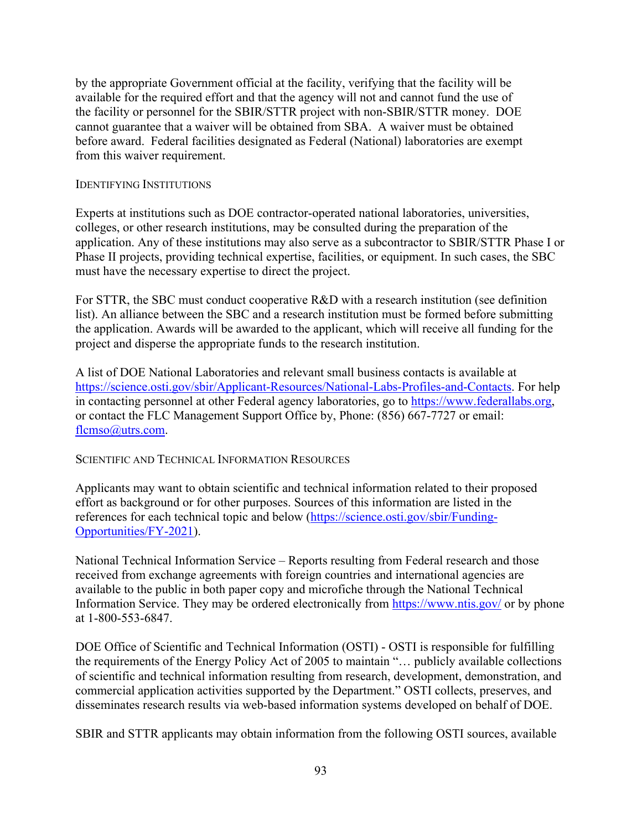by the appropriate Government official at the facility, verifying that the facility will be available for the required effort and that the agency will not and cannot fund the use of the facility or personnel for the SBIR/STTR project with non-SBIR/STTR money. DOE cannot guarantee that a waiver will be obtained from SBA. A waiver must be obtained before award. Federal facilities designated as Federal (National) laboratories are exempt from this waiver requirement.

#### IDENTIFYING INSTITUTIONS

Experts at institutions such as DOE contractor-operated national laboratories, universities, colleges, or other research institutions, may be consulted during the preparation of the application. Any of these institutions may also serve as a subcontractor to SBIR/STTR Phase I or Phase II projects, providing technical expertise, facilities, or equipment. In such cases, the SBC must have the necessary expertise to direct the project.

For STTR, the SBC must conduct cooperative R&D with a research institution (see definition list). An alliance between the SBC and a research institution must be formed before submitting the application. Awards will be awarded to the applicant, which will receive all funding for the project and disperse the appropriate funds to the research institution.

A list of DOE National Laboratories and relevant small business contacts is available at https://science.osti.gov/sbir/Applicant-Resources/National-Labs-Profiles-and-Contacts. For help in contacting personnel at other Federal agency laboratories, go to https://www.federallabs.org, or contact the FLC Management Support Office by, Phone: (856) 667-7727 or email: flcmso@utrs.com.

SCIENTIFIC AND TECHNICAL INFORMATION RESOURCES

Applicants may want to obtain scientific and technical information related to their proposed effort as background or for other purposes. Sources of this information are listed in the references for each technical topic and below (https://science.osti.gov/sbir/Funding-Opportunities/FY-2021).

National Technical Information Service – Reports resulting from Federal research and those received from exchange agreements with foreign countries and international agencies are available to the public in both paper copy and microfiche through the National Technical Information Service. They may be ordered electronically from https://www.ntis.gov/ or by phone at 1-800-553-6847.

DOE Office of Scientific and Technical Information (OSTI) - OSTI is responsible for fulfilling the requirements of the Energy Policy Act of 2005 to maintain "… publicly available collections of scientific and technical information resulting from research, development, demonstration, and commercial application activities supported by the Department." OSTI collects, preserves, and disseminates research results via web-based information systems developed on behalf of DOE.

SBIR and STTR applicants may obtain information from the following OSTI sources, available